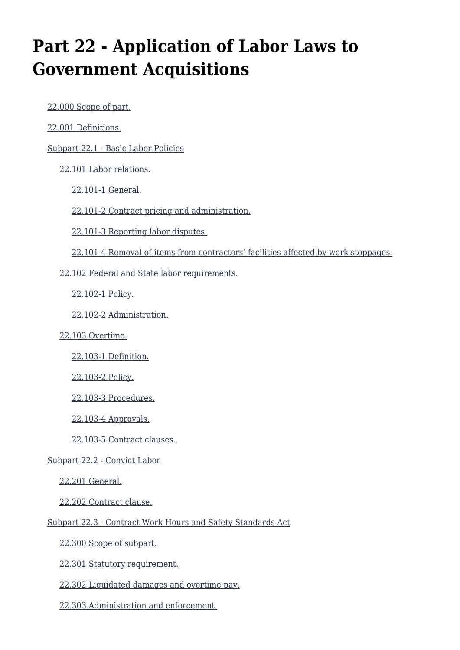# **Part 22 - Application of Labor Laws to Government Acquisitions**

[22.000 Scope of part.](#page--1-0)

[22.001 Definitions.](#page--1-0)

[Subpart 22.1 - Basic Labor Policies](#page--1-0)

[22.101 Labor relations.](#page--1-0)

[22.101-1 General.](#page--1-0)

[22.101-2 Contract pricing and administration.](#page--1-0)

[22.101-3 Reporting labor disputes.](#page--1-0)

[22.101-4 Removal of items from contractors' facilities affected by work stoppages.](#page--1-0)

[22.102 Federal and State labor requirements.](#page--1-0)

[22.102-1 Policy.](#page--1-0)

[22.102-2 Administration.](#page--1-0)

[22.103 Overtime.](#page--1-0)

[22.103-1 Definition.](#page--1-0)

[22.103-2 Policy.](#page--1-0)

[22.103-3 Procedures.](#page--1-0)

[22.103-4 Approvals.](#page--1-0)

[22.103-5 Contract clauses.](#page--1-0)

[Subpart 22.2 - Convict Labor](#page--1-0)

[22.201 General.](#page--1-0)

[22.202 Contract clause.](#page--1-0)

[Subpart 22.3 - Contract Work Hours and Safety Standards Act](#page--1-0)

[22.300 Scope of subpart.](#page--1-0)

[22.301 Statutory requirement.](#page--1-0)

[22.302 Liquidated damages and overtime pay.](#page--1-0)

[22.303 Administration and enforcement.](#page--1-0)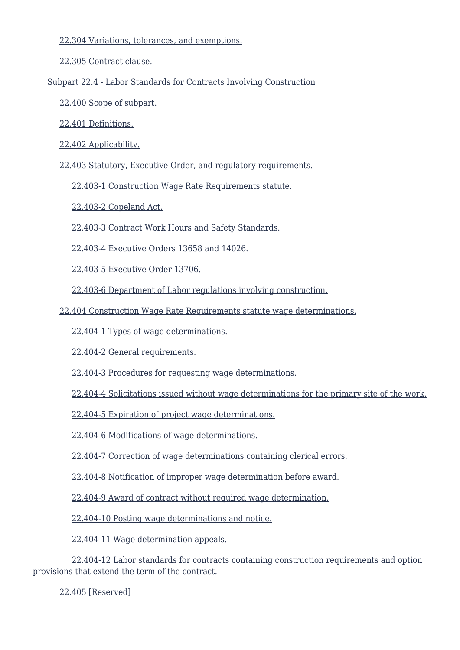[22.304 Variations, tolerances, and exemptions.](#page--1-0)

[22.305 Contract clause.](#page--1-0)

[Subpart 22.4 - Labor Standards for Contracts Involving Construction](#page--1-0)

- [22.400 Scope of subpart.](#page--1-0)
- [22.401 Definitions.](#page--1-0)
- [22.402 Applicability.](#page--1-0)
- [22.403 Statutory, Executive Order, and regulatory requirements.](#page--1-0)

[22.403-1 Construction Wage Rate Requirements statute.](#page--1-0)

- [22.403-2 Copeland Act.](#page--1-0)
- [22.403-3 Contract Work Hours and Safety Standards.](#page--1-0)
- [22.403-4 Executive Orders 13658 and 14026.](#page--1-0)
- [22.403-5 Executive Order 13706.](#page--1-0)
- [22.403-6 Department of Labor regulations involving construction.](#page--1-0)
- [22.404 Construction Wage Rate Requirements statute wage determinations.](#page--1-0)
	- [22.404-1 Types of wage determinations.](#page--1-0)
	- [22.404-2 General requirements.](#page--1-0)
	- [22.404-3 Procedures for requesting wage determinations.](#page--1-0)

[22.404-4 Solicitations issued without wage determinations for the primary site of the work.](#page--1-0)

- [22.404-5 Expiration of project wage determinations.](#page--1-0)
- [22.404-6 Modifications of wage determinations.](#page--1-0)
- [22.404-7 Correction of wage determinations containing clerical errors.](#page--1-0)
- [22.404-8 Notification of improper wage determination before award.](#page--1-0)
- [22.404-9 Award of contract without required wage determination.](#page--1-0)

[22.404-10 Posting wage determinations and notice.](#page--1-0)

[22.404-11 Wage determination appeals.](#page--1-0)

 [22.404-12 Labor standards for contracts containing construction requirements and option](#page--1-0) [provisions that extend the term of the contract.](#page--1-0)

[22.405 \[Reserved\]](#page--1-0)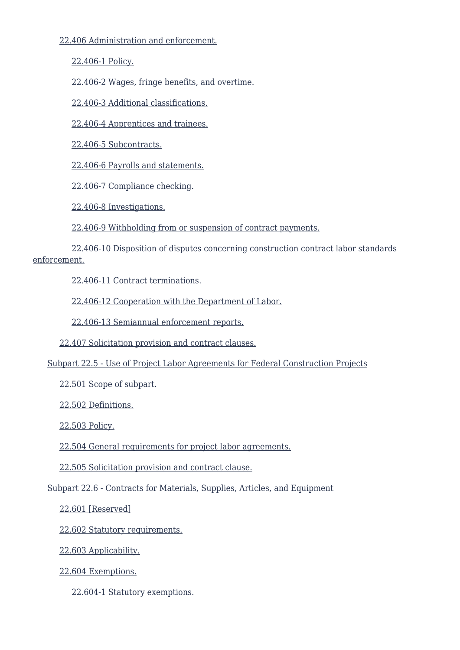[22.406 Administration and enforcement.](#page--1-0)

[22.406-1 Policy.](#page--1-0)

[22.406-2 Wages, fringe benefits, and overtime.](#page--1-0)

[22.406-3 Additional classifications.](#page--1-0)

[22.406-4 Apprentices and trainees.](#page--1-0)

[22.406-5 Subcontracts.](#page--1-0)

[22.406-6 Payrolls and statements.](#page--1-0)

[22.406-7 Compliance checking.](#page--1-0)

[22.406-8 Investigations.](#page--1-0)

[22.406-9 Withholding from or suspension of contract payments.](#page--1-0)

 [22.406-10 Disposition of disputes concerning construction contract labor standards](#page--1-0) [enforcement.](#page--1-0)

[22.406-11 Contract terminations.](#page--1-0)

[22.406-12 Cooperation with the Department of Labor.](#page--1-0)

[22.406-13 Semiannual enforcement reports.](#page--1-0)

[22.407 Solicitation provision and contract clauses.](#page--1-0)

[Subpart 22.5 - Use of Project Labor Agreements for Federal Construction Projects](#page--1-0)

[22.501 Scope of subpart.](#page--1-0)

[22.502 Definitions.](#page--1-0)

[22.503 Policy.](#page--1-0)

[22.504 General requirements for project labor agreements.](#page--1-0)

[22.505 Solicitation provision and contract clause.](#page--1-0)

[Subpart 22.6 - Contracts for Materials, Supplies, Articles, and Equipment](#page--1-0)

[22.601 \[Reserved\]](#page--1-0)

[22.602 Statutory requirements.](#page--1-0)

[22.603 Applicability.](#page--1-0)

[22.604 Exemptions.](#page--1-0)

[22.604-1 Statutory exemptions.](#page--1-0)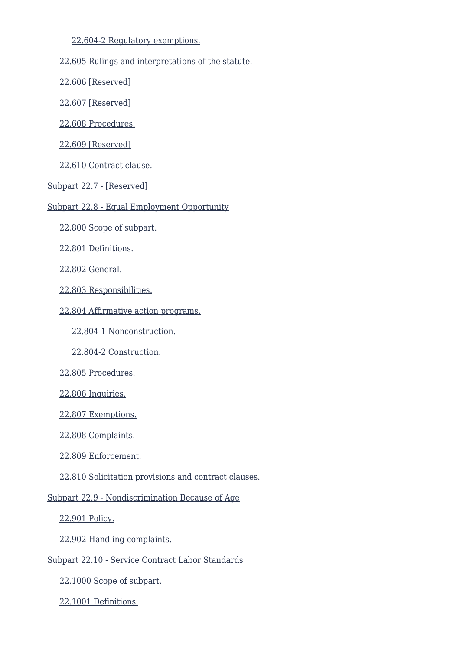#### [22.604-2 Regulatory exemptions.](#page--1-0)

#### [22.605 Rulings and interpretations of the statute.](#page--1-0)

[22.606 \[Reserved\]](#page--1-0)

[22.607 \[Reserved\]](#page--1-0)

[22.608 Procedures.](#page--1-0)

[22.609 \[Reserved\]](#page--1-0)

[22.610 Contract clause.](#page--1-0)

[Subpart 22.7 - \[Reserved\]](#page--1-0)

[Subpart 22.8 - Equal Employment Opportunity](#page--1-0)

[22.800 Scope of subpart.](#page--1-0)

[22.801 Definitions.](#page--1-0)

[22.802 General.](#page--1-0)

[22.803 Responsibilities.](#page--1-0)

[22.804 Affirmative action programs.](#page--1-0)

[22.804-1 Nonconstruction.](#page--1-0)

[22.804-2 Construction.](#page--1-0)

[22.805 Procedures.](#page--1-0)

[22.806 Inquiries.](#page--1-0)

[22.807 Exemptions.](#page--1-0)

[22.808 Complaints.](#page--1-0)

[22.809 Enforcement.](#page--1-0)

[22.810 Solicitation provisions and contract clauses.](#page--1-0)

[Subpart 22.9 - Nondiscrimination Because of Age](#page--1-0)

[22.901 Policy.](#page--1-0)

[22.902 Handling complaints.](#page--1-0)

[Subpart 22.10 - Service Contract Labor Standards](#page--1-0)

[22.1000 Scope of subpart.](#page--1-0)

[22.1001 Definitions.](#page--1-0)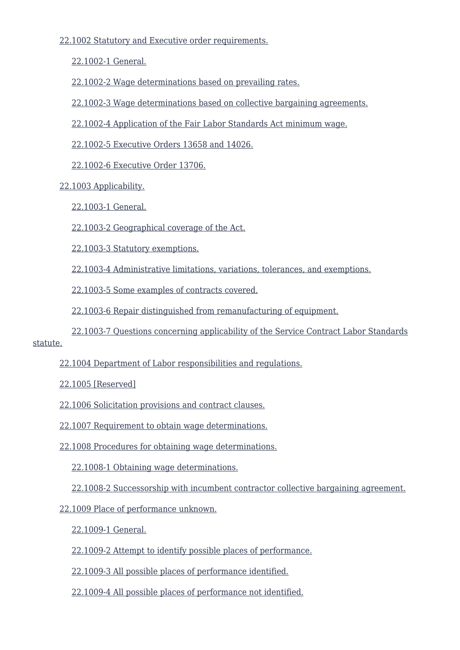[22.1002 Statutory and Executive order requirements.](#page--1-0)

[22.1002-1 General.](#page--1-0)

[22.1002-2 Wage determinations based on prevailing rates.](#page--1-0)

[22.1002-3 Wage determinations based on collective bargaining agreements.](#page--1-0)

[22.1002-4 Application of the Fair Labor Standards Act minimum wage.](#page--1-0)

[22.1002-5 Executive Orders 13658 and 14026.](#page--1-0)

[22.1002-6 Executive Order 13706.](#page--1-0)

[22.1003 Applicability.](#page--1-0)

[22.1003-1 General.](#page--1-0)

[22.1003-2 Geographical coverage of the Act.](#page--1-0)

[22.1003-3 Statutory exemptions.](#page--1-0)

[22.1003-4 Administrative limitations, variations, tolerances, and exemptions.](#page--1-0)

[22.1003-5 Some examples of contracts covered.](#page--1-0)

[22.1003-6 Repair distinguished from remanufacturing of equipment.](#page--1-0)

 [22.1003-7 Questions concerning applicability of the Service Contract Labor Standards](#page--1-0) [statute.](#page--1-0)

[22.1004 Department of Labor responsibilities and regulations.](#page--1-0)

[22.1005 \[Reserved\]](#page--1-0)

[22.1006 Solicitation provisions and contract clauses.](#page--1-0)

[22.1007 Requirement to obtain wage determinations.](#page--1-0)

[22.1008 Procedures for obtaining wage determinations.](#page--1-0)

[22.1008-1 Obtaining wage determinations.](#page--1-0)

[22.1008-2 Successorship with incumbent contractor collective bargaining agreement.](#page--1-0)

[22.1009 Place of performance unknown.](#page--1-0)

[22.1009-1 General.](#page--1-0)

[22.1009-2 Attempt to identify possible places of performance.](#page--1-0)

[22.1009-3 All possible places of performance identified.](#page--1-0)

[22.1009-4 All possible places of performance not identified.](#page--1-0)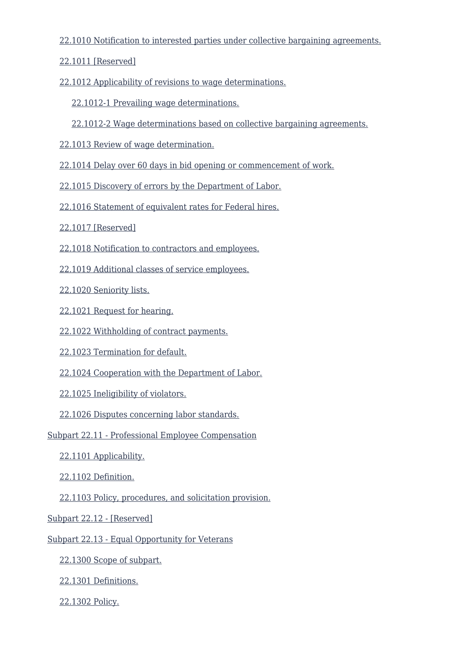[22.1010 Notification to interested parties under collective bargaining agreements.](#page--1-0)

[22.1011 \[Reserved\]](#page--1-0)

[22.1012 Applicability of revisions to wage determinations.](#page--1-0)

[22.1012-1 Prevailing wage determinations.](#page--1-0)

- [22.1012-2 Wage determinations based on collective bargaining agreements.](#page--1-0)
- [22.1013 Review of wage determination.](#page--1-0)
- [22.1014 Delay over 60 days in bid opening or commencement of work.](#page--1-0)
- [22.1015 Discovery of errors by the Department of Labor.](#page--1-0)
- [22.1016 Statement of equivalent rates for Federal hires.](#page--1-0)
- [22.1017 \[Reserved\]](#page--1-0)
- [22.1018 Notification to contractors and employees.](#page--1-0)
- [22.1019 Additional classes of service employees.](#page--1-0)
- [22.1020 Seniority lists.](#page--1-0)
- [22.1021 Request for hearing.](#page--1-0)
- [22.1022 Withholding of contract payments.](#page--1-0)
- [22.1023 Termination for default.](#page--1-0)
- [22.1024 Cooperation with the Department of Labor.](#page--1-0)
- [22.1025 Ineligibility of violators.](#page--1-0)
- [22.1026 Disputes concerning labor standards.](#page--1-0)
- [Subpart 22.11 Professional Employee Compensation](#page--1-0)
	- [22.1101 Applicability.](#page--1-0)
	- [22.1102 Definition.](#page--1-0)
	- [22.1103 Policy, procedures, and solicitation provision.](#page--1-0)
- [Subpart 22.12 \[Reserved\]](#page--1-0)
- [Subpart 22.13 Equal Opportunity for Veterans](#page--1-0)
	- [22.1300 Scope of subpart.](#page--1-0)
	- [22.1301 Definitions.](#page--1-0)
	- [22.1302 Policy.](#page--1-0)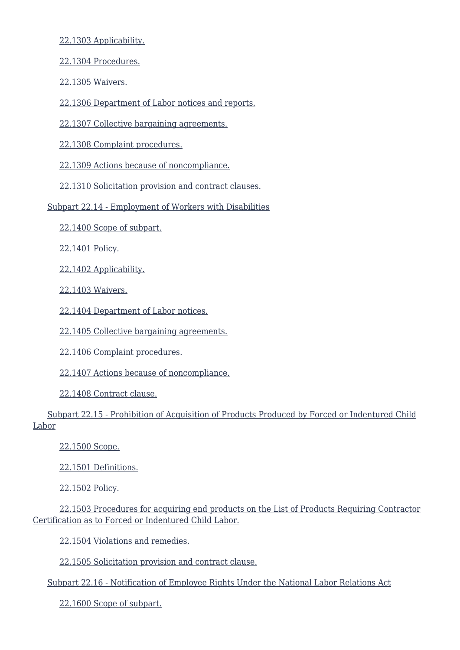[22.1303 Applicability.](#page--1-0)

[22.1304 Procedures.](#page--1-0)

[22.1305 Waivers.](#page--1-0)

[22.1306 Department of Labor notices and reports.](#page--1-0)

[22.1307 Collective bargaining agreements.](#page--1-0)

[22.1308 Complaint procedures.](#page--1-0)

[22.1309 Actions because of noncompliance.](#page--1-0)

[22.1310 Solicitation provision and contract clauses.](#page--1-0)

[Subpart 22.14 - Employment of Workers with Disabilities](#page--1-0)

[22.1400 Scope of subpart.](#page--1-0)

[22.1401 Policy.](#page--1-0)

[22.1402 Applicability.](#page--1-0)

[22.1403 Waivers.](#page--1-0)

[22.1404 Department of Labor notices.](#page--1-0)

[22.1405 Collective bargaining agreements.](#page--1-0)

[22.1406 Complaint procedures.](#page--1-0)

[22.1407 Actions because of noncompliance.](#page--1-0)

[22.1408 Contract clause.](#page--1-0)

 [Subpart 22.15 - Prohibition of Acquisition of Products Produced by Forced or Indentured Child](#page--1-0) [Labor](#page--1-0)

[22.1500 Scope.](#page--1-0)

[22.1501 Definitions.](#page--1-0)

[22.1502 Policy.](#page--1-0)

 [22.1503 Procedures for acquiring end products on the List of Products Requiring Contractor](#page--1-0) [Certification as to Forced or Indentured Child Labor.](#page--1-0)

[22.1504 Violations and remedies.](#page--1-0)

[22.1505 Solicitation provision and contract clause.](#page--1-0)

[Subpart 22.16 - Notification of Employee Rights Under the National Labor Relations Act](#page--1-0)

[22.1600 Scope of subpart.](#page--1-0)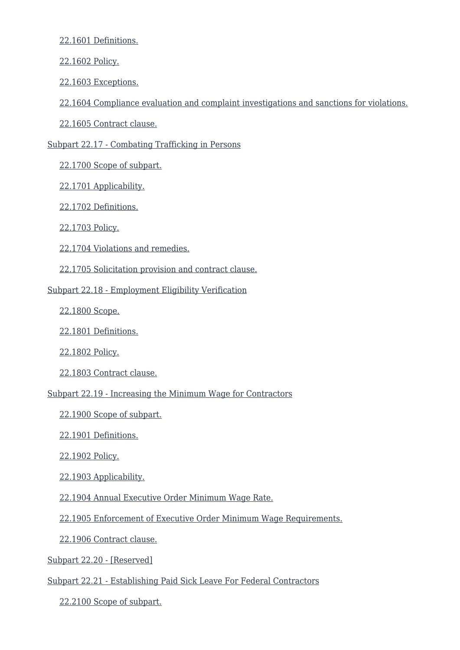[22.1601 Definitions.](#page--1-0)

[22.1602 Policy.](#page--1-0)

[22.1603 Exceptions.](#page--1-0)

[22.1604 Compliance evaluation and complaint investigations and sanctions for violations.](#page--1-0)

[22.1605 Contract clause.](#page--1-0)

[Subpart 22.17 - Combating Trafficking in Persons](#page--1-0)

[22.1700 Scope of subpart.](#page--1-0)

[22.1701 Applicability.](#page--1-0)

[22.1702 Definitions.](#page--1-0)

[22.1703 Policy.](#page--1-0)

[22.1704 Violations and remedies.](#page--1-0)

[22.1705 Solicitation provision and contract clause.](#page--1-0)

[Subpart 22.18 - Employment Eligibility Verification](#page--1-0)

[22.1800 Scope.](#page--1-0)

[22.1801 Definitions.](#page--1-0)

[22.1802 Policy.](#page--1-0)

[22.1803 Contract clause.](#page--1-0)

[Subpart 22.19 - Increasing the Minimum Wage for Contractors](#page--1-0)

[22.1900 Scope of subpart.](#page--1-0)

[22.1901 Definitions.](#page--1-0)

[22.1902 Policy.](#page--1-0)

[22.1903 Applicability.](#page--1-0)

[22.1904 Annual Executive Order Minimum Wage Rate.](#page--1-0)

[22.1905 Enforcement of Executive Order Minimum Wage Requirements.](#page--1-0)

[22.1906 Contract clause.](#page--1-0)

[Subpart 22.20 - \[Reserved\]](#page--1-0)

[Subpart 22.21 - Establishing Paid Sick Leave For Federal Contractors](#page--1-0)

[22.2100 Scope of subpart.](#page--1-0)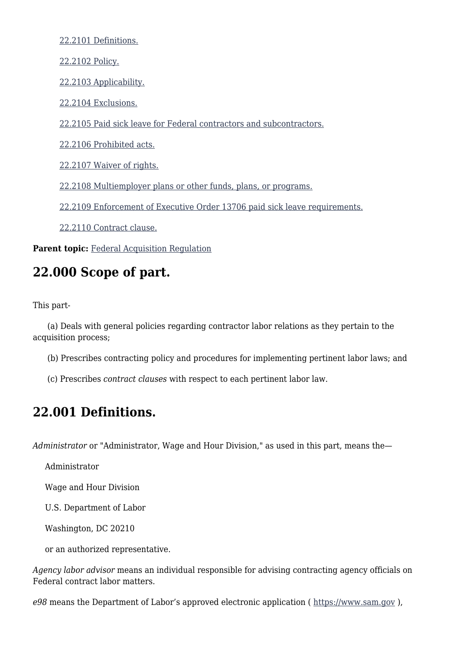[22.2101 Definitions.](#page--1-0)

[22.2102 Policy.](#page--1-0)

[22.2103 Applicability.](#page--1-0)

[22.2104 Exclusions.](#page--1-0)

[22.2105 Paid sick leave for Federal contractors and subcontractors.](#page--1-0)

[22.2106 Prohibited acts.](#page--1-0)

[22.2107 Waiver of rights.](#page--1-0)

[22.2108 Multiemployer plans or other funds, plans, or programs.](#page--1-0)

[22.2109 Enforcement of Executive Order 13706 paid sick leave requirements.](#page--1-0)

[22.2110 Contract clause.](#page--1-0)

Parent topic: [Federal Acquisition Regulation](https://login.acquisition.gov/far/far4)

# **22.000 Scope of part.**

This part-

 (a) Deals with general policies regarding contractor labor relations as they pertain to the acquisition process;

- (b) Prescribes contracting policy and procedures for implementing pertinent labor laws; and
- (c) Prescribes *contract clauses* with respect to each pertinent labor law.

# **22.001 Definitions.**

*Administrator* or "Administrator, Wage and Hour Division," as used in this part, means the—

Administrator

Wage and Hour Division

U.S. Department of Labor

Washington, DC 20210

or an authorized representative.

*Agency labor advisor* means an individual responsible for advising contracting agency officials on Federal contract labor matters.

e98 means the Department of Labor's approved electronic application (<https://www.sam.gov>),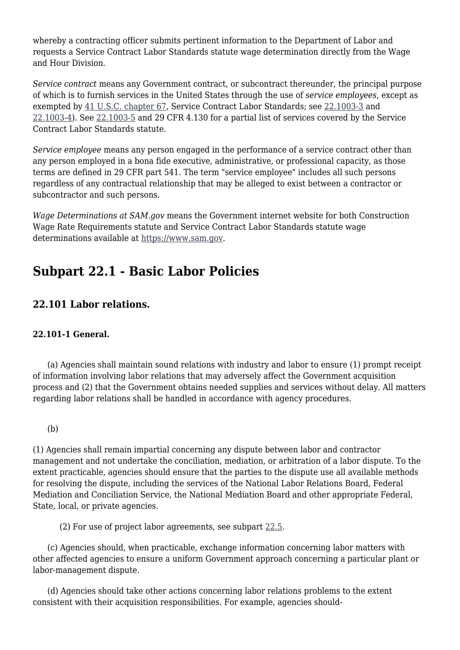whereby a contracting officer submits pertinent information to the Department of Labor and requests a Service Contract Labor Standards statute wage determination directly from the Wage and Hour Division.

*Service contract* means any Government contract, or subcontract thereunder, the principal purpose of which is to furnish services in the United States through the use of *service employees*, except as exempted by [41 U.S.C. chapter 67](http://uscode.house.gov/browse.xhtml;jsessionid=114A3287C7B3359E597506A31FC855B3), Service Contract Labor Standards; see [22.1003-3](#page--1-0) and [22.1003-4](#page--1-0)). See [22.1003-5](#page--1-0) and 29 CFR 4.130 for a partial list of services covered by the Service Contract Labor Standards statute.

*Service employee* means any person engaged in the performance of a service contract other than any person employed in a bona fide executive, administrative, or professional capacity, as those terms are defined in 29 CFR part 541. The term "service employee" includes all such persons regardless of any contractual relationship that may be alleged to exist between a contractor or subcontractor and such persons.

*Wage Determinations at SAM.gov* means the Government internet website for both Construction Wage Rate Requirements statute and Service Contract Labor Standards statute wage determinations available at [https://www.sam.gov.](https://www.sam.gov)

# **Subpart 22.1 - Basic Labor Policies**

# **22.101 Labor relations.**

## **22.101-1 General.**

 (a) Agencies shall maintain sound relations with industry and labor to ensure (1) prompt receipt of information involving labor relations that may adversely affect the Government acquisition process and (2) that the Government obtains needed supplies and services without delay. All matters regarding labor relations shall be handled in accordance with agency procedures.

(b)

(1) Agencies shall remain impartial concerning any dispute between labor and contractor management and not undertake the conciliation, mediation, or arbitration of a labor dispute. To the extent practicable, agencies should ensure that the parties to the dispute use all available methods for resolving the dispute, including the services of the National Labor Relations Board, Federal Mediation and Conciliation Service, the National Mediation Board and other appropriate Federal, State, local, or private agencies.

(2) For use of project labor agreements, see subpart [22.5](#page--1-0).

 (c) Agencies should, when practicable, exchange information concerning labor matters with other affected agencies to ensure a uniform Government approach concerning a particular plant or labor-management dispute.

 (d) Agencies should take other actions concerning labor relations problems to the extent consistent with their acquisition responsibilities. For example, agencies should-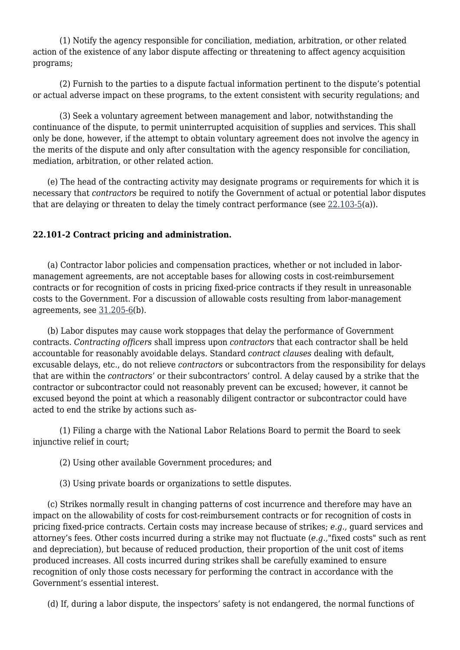(1) Notify the agency responsible for conciliation, mediation, arbitration, or other related action of the existence of any labor dispute affecting or threatening to affect agency acquisition programs;

 (2) Furnish to the parties to a dispute factual information pertinent to the dispute's potential or actual adverse impact on these programs, to the extent consistent with security regulations; and

 (3) Seek a voluntary agreement between management and labor, notwithstanding the continuance of the dispute, to permit uninterrupted acquisition of supplies and services. This shall only be done, however, if the attempt to obtain voluntary agreement does not involve the agency in the merits of the dispute and only after consultation with the agency responsible for conciliation, mediation, arbitration, or other related action.

 (e) The head of the contracting activity may designate programs or requirements for which it is necessary that *contractors* be required to notify the Government of actual or potential labor disputes that are delaying or threaten to delay the timely contract performance (see [22.103-5\(](#page--1-0)a)).

#### **22.101-2 Contract pricing and administration.**

 (a) Contractor labor policies and compensation practices, whether or not included in labormanagement agreements, are not acceptable bases for allowing costs in cost-reimbursement contracts or for recognition of costs in pricing fixed-price contracts if they result in unreasonable costs to the Government. For a discussion of allowable costs resulting from labor-management agreements, see  $31.205-6(b)$ .

 (b) Labor disputes may cause work stoppages that delay the performance of Government contracts. *Contracting officers* shall impress upon *contractors* that each contractor shall be held accountable for reasonably avoidable delays. Standard *contract clauses* dealing with default, excusable delays, etc., do not relieve *contractors* or subcontractors from the responsibility for delays that are within the *contractors*' or their subcontractors' control. A delay caused by a strike that the contractor or subcontractor could not reasonably prevent can be excused; however, it cannot be excused beyond the point at which a reasonably diligent contractor or subcontractor could have acted to end the strike by actions such as-

 (1) Filing a charge with the National Labor Relations Board to permit the Board to seek injunctive relief in court;

(2) Using other available Government procedures; and

(3) Using private boards or organizations to settle disputes.

 (c) Strikes normally result in changing patterns of cost incurrence and therefore may have an impact on the allowability of costs for cost-reimbursement contracts or for recognition of costs in pricing fixed-price contracts. Certain costs may increase because of strikes; *e.g.,* guard services and attorney's fees. Other costs incurred during a strike may not fluctuate (*e.g.,*"fixed costs" such as rent and depreciation), but because of reduced production, their proportion of the unit cost of items produced increases. All costs incurred during strikes shall be carefully examined to ensure recognition of only those costs necessary for performing the contract in accordance with the Government's essential interest.

(d) If, during a labor dispute, the inspectors' safety is not endangered, the normal functions of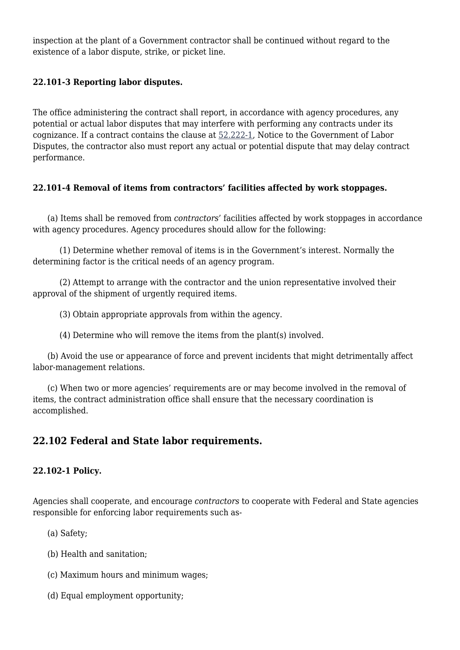inspection at the plant of a Government contractor shall be continued without regard to the existence of a labor dispute, strike, or picket line.

#### **22.101-3 Reporting labor disputes.**

The office administering the contract shall report, in accordance with agency procedures, any potential or actual labor disputes that may interfere with performing any contracts under its cognizance. If a contract contains the clause at [52.222-1](https://login.acquisition.gov/far/part-52#FAR_52_222_1), Notice to the Government of Labor Disputes, the contractor also must report any actual or potential dispute that may delay contract performance.

#### **22.101-4 Removal of items from contractors' facilities affected by work stoppages.**

 (a) Items shall be removed from *contractors*' facilities affected by work stoppages in accordance with agency procedures. Agency procedures should allow for the following:

 (1) Determine whether removal of items is in the Government's interest. Normally the determining factor is the critical needs of an agency program.

 (2) Attempt to arrange with the contractor and the union representative involved their approval of the shipment of urgently required items.

(3) Obtain appropriate approvals from within the agency.

(4) Determine who will remove the items from the plant(s) involved.

 (b) Avoid the use or appearance of force and prevent incidents that might detrimentally affect labor-management relations.

 (c) When two or more agencies' requirements are or may become involved in the removal of items, the contract administration office shall ensure that the necessary coordination is accomplished.

# **22.102 Federal and State labor requirements.**

#### **22.102-1 Policy.**

Agencies shall cooperate, and encourage *contractors* to cooperate with Federal and State agencies responsible for enforcing labor requirements such as-

- (a) Safety;
- (b) Health and sanitation;
- (c) Maximum hours and minimum wages;
- (d) Equal employment opportunity;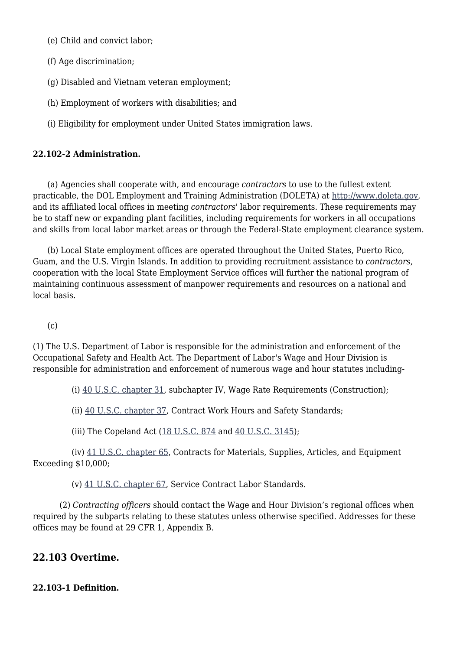- (e) Child and convict labor;
- (f) Age discrimination;
- (g) Disabled and Vietnam veteran employment;
- (h) Employment of workers with disabilities; and
- (i) Eligibility for employment under United States immigration laws.

#### **22.102-2 Administration.**

 (a) Agencies shall cooperate with, and encourage *contractors* to use to the fullest extent practicable, the DOL Employment and Training Administration (DOLETA) at <http://www.doleta.gov>, and its affiliated local offices in meeting *contractors*' labor requirements. These requirements may be to staff new or expanding plant facilities, including requirements for workers in all occupations and skills from local labor market areas or through the Federal-State employment clearance system.

 (b) Local State employment offices are operated throughout the United States, Puerto Rico, Guam, and the U.S. Virgin Islands. In addition to providing recruitment assistance to *contractors*, cooperation with the local State Employment Service offices will further the national program of maintaining continuous assessment of manpower requirements and resources on a national and local basis.

 $(c)$ 

(1) The U.S. Department of Labor is responsible for the administration and enforcement of the Occupational Safety and Health Act. The Department of Labor's Wage and Hour Division is responsible for administration and enforcement of numerous wage and hour statutes including-

(i) [40 U.S.C. chapter 31](http://uscode.house.gov/browse.xhtml;jsessionid=114A3287C7B3359E597506A31FC855B3), subchapter IV, Wage Rate Requirements (Construction);

(ii) [40 U.S.C. chapter 37](http://uscode.house.gov/browse.xhtml;jsessionid=114A3287C7B3359E597506A31FC855B3), Contract Work Hours and Safety Standards;

(iii) The Copeland Act  $(18 \text{ U.S.C. } 874 \text{ and } 40 \text{ U.S.C. } 3145)$ ;

 (iv) [41 U.S.C. chapter 65,](http://uscode.house.gov/browse.xhtml;jsessionid=114A3287C7B3359E597506A31FC855B3) Contracts for Materials, Supplies, Articles, and Equipment Exceeding \$10,000;

(v) [41 U.S.C. chapter 67,](http://uscode.house.gov/browse.xhtml;jsessionid=114A3287C7B3359E597506A31FC855B3) Service Contract Labor Standards.

 (2) *Contracting officers* should contact the Wage and Hour Division's regional offices when required by the subparts relating to these statutes unless otherwise specified. Addresses for these offices may be found at 29 CFR 1, Appendix B.

## **22.103 Overtime.**

#### **22.103-1 Definition.**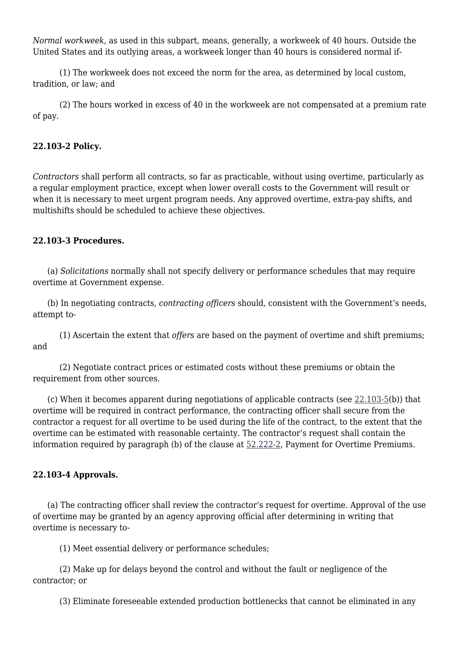*Normal workweek*, as used in this subpart, means, generally, a workweek of 40 hours. Outside the United States and its outlying areas, a workweek longer than 40 hours is considered normal if-

 (1) The workweek does not exceed the norm for the area, as determined by local custom, tradition, or law; and

 (2) The hours worked in excess of 40 in the workweek are not compensated at a premium rate of pay.

#### **22.103-2 Policy.**

*Contractors* shall perform all contracts, so far as practicable, without using overtime, particularly as a regular employment practice, except when lower overall costs to the Government will result or when it is necessary to meet urgent program needs. Any approved overtime, extra-pay shifts, and multishifts should be scheduled to achieve these objectives.

#### **22.103-3 Procedures.**

 (a) *Solicitations* normally shall not specify delivery or performance schedules that may require overtime at Government expense.

 (b) In negotiating contracts, *contracting officers* should, consistent with the Government's needs, attempt to-

 (1) Ascertain the extent that *offers* are based on the payment of overtime and shift premiums; and

 (2) Negotiate contract prices or estimated costs without these premiums or obtain the requirement from other sources.

(c) When it becomes apparent during negotiations of applicable contracts (see  $22.103-5(b)$ ) that overtime will be required in contract performance, the contracting officer shall secure from the contractor a request for all overtime to be used during the life of the contract, to the extent that the overtime can be estimated with reasonable certainty. The contractor's request shall contain the information required by paragraph (b) of the clause at [52.222-2](https://login.acquisition.gov/far/part-52#FAR_52_222_2), Payment for Overtime Premiums.

#### **22.103-4 Approvals.**

 (a) The contracting officer shall review the contractor's request for overtime. Approval of the use of overtime may be granted by an agency approving official after determining in writing that overtime is necessary to-

(1) Meet essential delivery or performance schedules;

 (2) Make up for delays beyond the control and without the fault or negligence of the contractor; or

(3) Eliminate foreseeable extended production bottlenecks that cannot be eliminated in any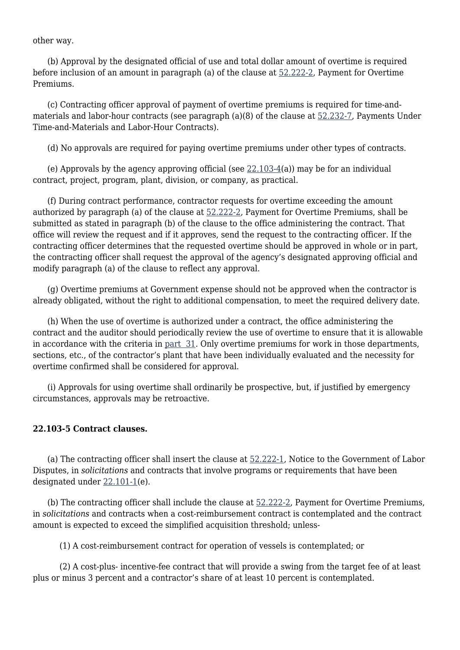other way.

 (b) Approval by the designated official of use and total dollar amount of overtime is required before inclusion of an amount in paragraph (a) of the clause at [52.222-2](https://login.acquisition.gov/far/part-52#FAR_52_222_2), Payment for Overtime Premiums.

 (c) Contracting officer approval of payment of overtime premiums is required for time-andmaterials and labor-hour contracts (see paragraph (a)(8) of the clause at [52.232-7](https://login.acquisition.gov/far/part-52#FAR_52_232_7), Payments Under Time-and-Materials and Labor-Hour Contracts).

(d) No approvals are required for paying overtime premiums under other types of contracts.

(e) Approvals by the agency approving official (see  $22.103-4(a)$  $22.103-4(a)$ ) may be for an individual contract, project, program, plant, division, or company, as practical.

 (f) During contract performance, contractor requests for overtime exceeding the amount authorized by paragraph (a) of the clause at  $52.222-2$ , Payment for Overtime Premiums, shall be submitted as stated in paragraph (b) of the clause to the office administering the contract. That office will review the request and if it approves, send the request to the contracting officer. If the contracting officer determines that the requested overtime should be approved in whole or in part, the contracting officer shall request the approval of the agency's designated approving official and modify paragraph (a) of the clause to reflect any approval.

 (g) Overtime premiums at Government expense should not be approved when the contractor is already obligated, without the right to additional compensation, to meet the required delivery date.

 (h) When the use of overtime is authorized under a contract, the office administering the contract and the auditor should periodically review the use of overtime to ensure that it is allowable in accordance with the criteria in [part 31](https://login.acquisition.gov/far/part-31#FAR_Part_31). Only overtime premiums for work in those departments, sections, etc., of the contractor's plant that have been individually evaluated and the necessity for overtime confirmed shall be considered for approval.

 (i) Approvals for using overtime shall ordinarily be prospective, but, if justified by emergency circumstances, approvals may be retroactive.

#### **22.103-5 Contract clauses.**

 (a) The contracting officer shall insert the clause at [52.222-1,](https://login.acquisition.gov/far/part-52#FAR_52_222_1) Notice to the Government of Labor Disputes, in *solicitations* and contracts that involve programs or requirements that have been designated under [22.101-1\(](#page--1-0)e).

 (b) The contracting officer shall include the clause at [52.222-2,](https://login.acquisition.gov/far/part-52#FAR_52_222_2) Payment for Overtime Premiums, in *solicitations* and contracts when a cost-reimbursement contract is contemplated and the contract amount is expected to exceed the simplified acquisition threshold; unless-

(1) A cost-reimbursement contract for operation of vessels is contemplated; or

 (2) A cost-plus- incentive-fee contract that will provide a swing from the target fee of at least plus or minus 3 percent and a contractor's share of at least 10 percent is contemplated.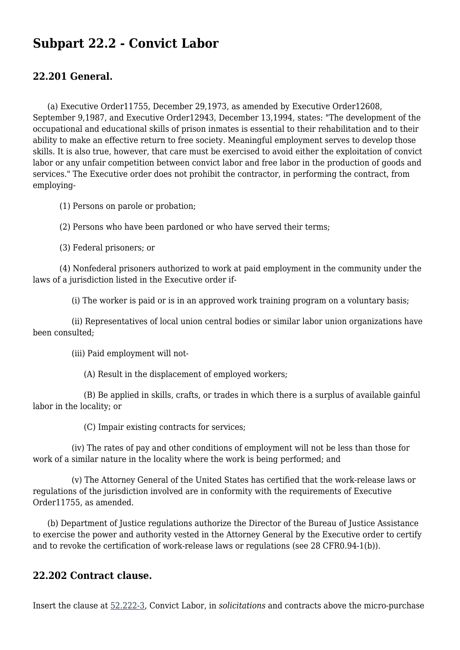# **Subpart 22.2 - Convict Labor**

# **22.201 General.**

 (a) Executive Order11755, December 29,1973, as amended by Executive Order12608, September 9,1987, and Executive Order12943, December 13,1994, states: "The development of the occupational and educational skills of prison inmates is essential to their rehabilitation and to their ability to make an effective return to free society. Meaningful employment serves to develop those skills. It is also true, however, that care must be exercised to avoid either the exploitation of convict labor or any unfair competition between convict labor and free labor in the production of goods and services." The Executive order does not prohibit the contractor, in performing the contract, from employing-

(1) Persons on parole or probation;

(2) Persons who have been pardoned or who have served their terms;

(3) Federal prisoners; or

 (4) Nonfederal prisoners authorized to work at paid employment in the community under the laws of a jurisdiction listed in the Executive order if-

(i) The worker is paid or is in an approved work training program on a voluntary basis;

 (ii) Representatives of local union central bodies or similar labor union organizations have been consulted;

(iii) Paid employment will not-

(A) Result in the displacement of employed workers;

 (B) Be applied in skills, crafts, or trades in which there is a surplus of available gainful labor in the locality; or

(C) Impair existing contracts for services;

 (iv) The rates of pay and other conditions of employment will not be less than those for work of a similar nature in the locality where the work is being performed; and

 (v) The Attorney General of the United States has certified that the work-release laws or regulations of the jurisdiction involved are in conformity with the requirements of Executive Order11755, as amended.

 (b) Department of Justice regulations authorize the Director of the Bureau of Justice Assistance to exercise the power and authority vested in the Attorney General by the Executive order to certify and to revoke the certification of work-release laws or regulations (see 28 CFR0.94-1(b)).

## **22.202 Contract clause.**

Insert the clause at [52.222-3](https://login.acquisition.gov/far/part-52#FAR_52_222_3), Convict Labor, in *solicitations* and contracts above the micro-purchase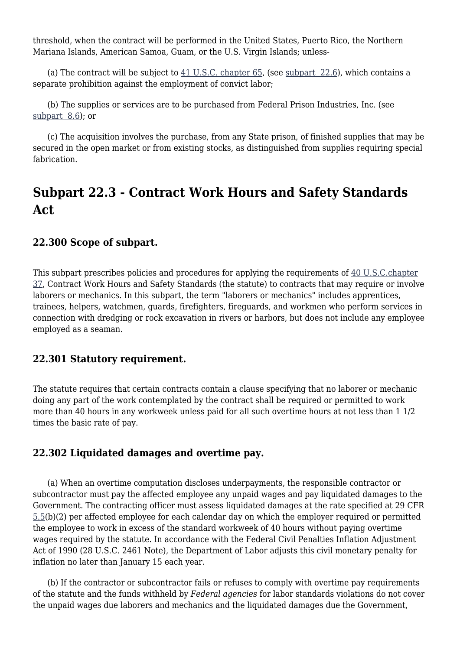threshold, when the contract will be performed in the United States, Puerto Rico, the Northern Mariana Islands, American Samoa, Guam, or the U.S. Virgin Islands; unless-

(a) The contract will be subject to  $41$  U.S.C. chapter 65, (see [subpart 22.6\)](#page--1-0), which contains a separate prohibition against the employment of convict labor;

 (b) The supplies or services are to be purchased from Federal Prison Industries, Inc. (see [subpart 8.6](https://login.acquisition.gov/far/part-8#FAR_Subpart_8_6)); or

 (c) The acquisition involves the purchase, from any State prison, of finished supplies that may be secured in the open market or from existing stocks, as distinguished from supplies requiring special fabrication.

# **Subpart 22.3 - Contract Work Hours and Safety Standards Act**

## **22.300 Scope of subpart.**

This subpart prescribes policies and procedures for applying the requirements of [40 U.S.C.chapter](http://uscode.house.gov/browse.xhtml;jsessionid=114A3287C7B3359E597506A31FC855B3) [37](http://uscode.house.gov/browse.xhtml;jsessionid=114A3287C7B3359E597506A31FC855B3), Contract Work Hours and Safety Standards (the statute) to contracts that may require or involve laborers or mechanics. In this subpart, the term "laborers or mechanics" includes apprentices, trainees, helpers, watchmen, guards, firefighters, fireguards, and workmen who perform services in connection with dredging or rock excavation in rivers or harbors, but does not include any employee employed as a seaman.

## **22.301 Statutory requirement.**

The statute requires that certain contracts contain a clause specifying that no laborer or mechanic doing any part of the work contemplated by the contract shall be required or permitted to work more than 40 hours in any workweek unless paid for all such overtime hours at not less than 1 1/2 times the basic rate of pay.

# **22.302 Liquidated damages and overtime pay.**

 (a) When an overtime computation discloses underpayments, the responsible contractor or subcontractor must pay the affected employee any unpaid wages and pay liquidated damages to the Government. The contracting officer must assess liquidated damages at the rate specified at 29 CFR  $5.5(b)(2)$  $5.5(b)(2)$  per affected employee for each calendar day on which the employer required or permitted the employee to work in excess of the standard workweek of 40 hours without paying overtime wages required by the statute. In accordance with the Federal Civil Penalties Inflation Adjustment Act of 1990 (28 U.S.C. 2461 Note), the Department of Labor adjusts this civil monetary penalty for inflation no later than January 15 each year.

 (b) If the contractor or subcontractor fails or refuses to comply with overtime pay requirements of the statute and the funds withheld by *Federal agencies* for labor standards violations do not cover the unpaid wages due laborers and mechanics and the liquidated damages due the Government,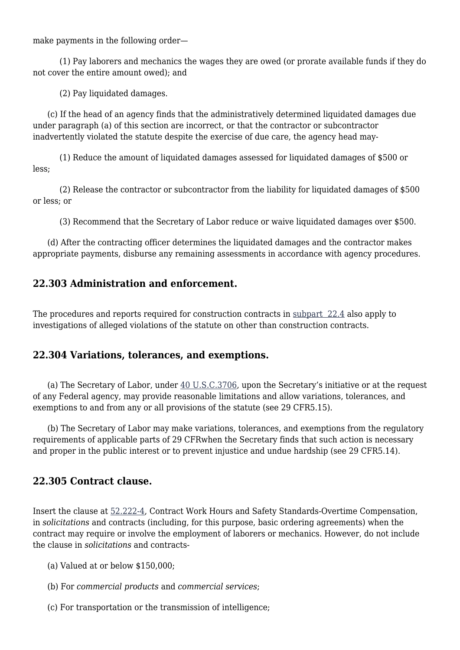make payments in the following order—

 (1) Pay laborers and mechanics the wages they are owed (or prorate available funds if they do not cover the entire amount owed); and

(2) Pay liquidated damages.

 (c) If the head of an agency finds that the administratively determined liquidated damages due under paragraph (a) of this section are incorrect, or that the contractor or subcontractor inadvertently violated the statute despite the exercise of due care, the agency head may-

 (1) Reduce the amount of liquidated damages assessed for liquidated damages of \$500 or less;

 (2) Release the contractor or subcontractor from the liability for liquidated damages of \$500 or less; or

(3) Recommend that the Secretary of Labor reduce or waive liquidated damages over \$500.

 (d) After the contracting officer determines the liquidated damages and the contractor makes appropriate payments, disburse any remaining assessments in accordance with agency procedures.

# **22.303 Administration and enforcement.**

The procedures and reports required for construction contracts in [subpart 22.4](#page--1-0) also apply to investigations of alleged violations of the statute on other than construction contracts.

## **22.304 Variations, tolerances, and exemptions.**

(a) The Secretary of Labor, under  $\underline{40\; U.S.C.3706}$ , upon the Secretary's initiative or at the request of any Federal agency, may provide reasonable limitations and allow variations, tolerances, and exemptions to and from any or all provisions of the statute (see 29 CFR5.15).

 (b) The Secretary of Labor may make variations, tolerances, and exemptions from the regulatory requirements of applicable parts of 29 CFRwhen the Secretary finds that such action is necessary and proper in the public interest or to prevent injustice and undue hardship (see 29 CFR5.14).

## **22.305 Contract clause.**

Insert the clause at [52.222-4](https://login.acquisition.gov/far/part-52#FAR_52_222_4), Contract Work Hours and Safety Standards-Overtime Compensation, in *solicitations* and contracts (including, for this purpose, basic ordering agreements) when the contract may require or involve the employment of laborers or mechanics. However, do not include the clause in *solicitations* and contracts-

- (a) Valued at or below \$150,000;
- (b) For *commercial products* and *commercial services*;
- (c) For transportation or the transmission of intelligence;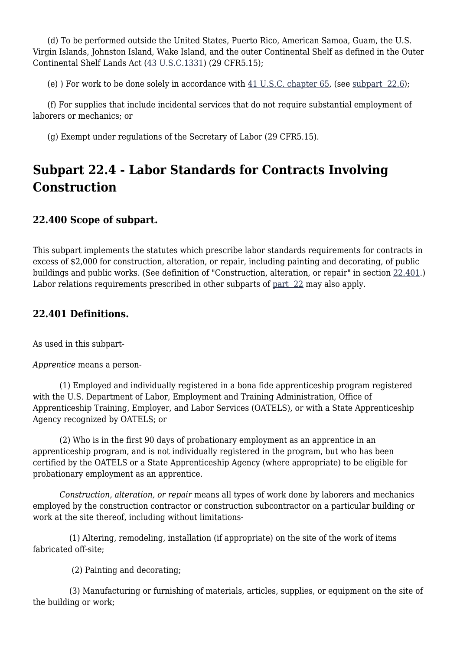(d) To be performed outside the United States, Puerto Rico, American Samoa, Guam, the U.S. Virgin Islands, Johnston Island, Wake Island, and the outer Continental Shelf as defined in the Outer Continental Shelf Lands Act [\(43 U.S.C.1331](http://uscode.house.gov/browse.xhtml;jsessionid=114A3287C7B3359E597506A31FC855B3)) (29 CFR5.15);

(e) ) For work to be done solely in accordance with [41 U.S.C. chapter 65](http://uscode.house.gov/browse.xhtml;jsessionid=114A3287C7B3359E597506A31FC855B3), (see [subpart 22.6](#page--1-0));

 (f) For supplies that include incidental services that do not require substantial employment of laborers or mechanics; or

(g) Exempt under regulations of the Secretary of Labor (29 CFR5.15).

# **Subpart 22.4 - Labor Standards for Contracts Involving Construction**

# **22.400 Scope of subpart.**

This subpart implements the statutes which prescribe labor standards requirements for contracts in excess of \$2,000 for construction, alteration, or repair, including painting and decorating, of public buildings and public works. (See definition of "Construction, alteration, or repair" in section [22.401.](#page--1-0)) Labor relations requirements prescribed in other subparts of [part 22](#page--1-0) may also apply.

# **22.401 Definitions.**

As used in this subpart-

*Apprentice* means a person-

 (1) Employed and individually registered in a bona fide apprenticeship program registered with the U.S. Department of Labor, Employment and Training Administration, Office of Apprenticeship Training, Employer, and Labor Services (OATELS), or with a State Apprenticeship Agency recognized by OATELS; or

 (2) Who is in the first 90 days of probationary employment as an apprentice in an apprenticeship program, and is not individually registered in the program, but who has been certified by the OATELS or a State Apprenticeship Agency (where appropriate) to be eligible for probationary employment as an apprentice.

 *Construction, alteration, or repair* means all types of work done by laborers and mechanics employed by the construction contractor or construction subcontractor on a particular building or work at the site thereof, including without limitations-

 (1) Altering, remodeling, installation (if appropriate) on the site of the work of items fabricated off-site;

(2) Painting and decorating;

 (3) Manufacturing or furnishing of materials, articles, supplies, or equipment on the site of the building or work;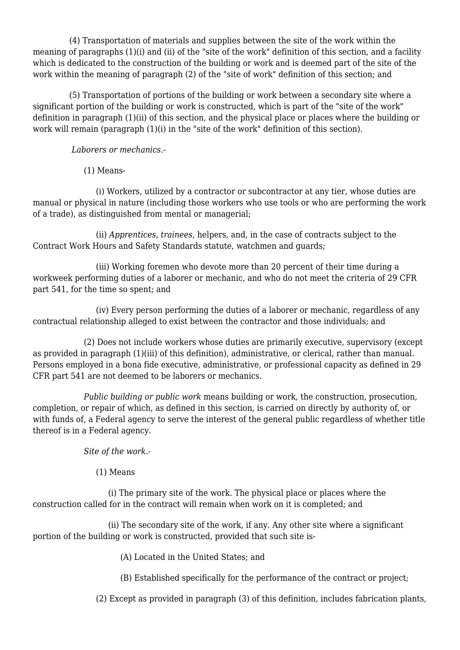(4) Transportation of materials and supplies between the site of the work within the meaning of paragraphs (1)(i) and (ii) of the "site of the work" definition of this section, and a facility which is dedicated to the construction of the building or work and is deemed part of the site of the work within the meaning of paragraph (2) of the "site of work" definition of this section; and

 (5) Transportation of portions of the building or work between a secondary site where a significant portion of the building or work is constructed, which is part of the "site of the work" definition in paragraph (1)(ii) of this section, and the physical place or places where the building or work will remain (paragraph (1)(i) in the "site of the work" definition of this section).

*Laborers or mechanics.*-

(1) Means-

 (i) Workers, utilized by a contractor or subcontractor at any tier, whose duties are manual or physical in nature (including those workers who use tools or who are performing the work of a trade), as distinguished from mental or managerial;

 (ii) *Apprentices*, *trainees*, helpers, and, in the case of contracts subject to the Contract Work Hours and Safety Standards statute, watchmen and guards;

 (iii) Working foremen who devote more than 20 percent of their time during a workweek performing duties of a laborer or mechanic, and who do not meet the criteria of 29 CFR part 541, for the time so spent; and

 (iv) Every person performing the duties of a laborer or mechanic, regardless of any contractual relationship alleged to exist between the contractor and those individuals; and

 (2) Does not include workers whose duties are primarily executive, supervisory (except as provided in paragraph (1)(iii) of this definition), administrative, or clerical, rather than manual. Persons employed in a bona fide executive, administrative, or professional capacity as defined in 29 CFR part 541 are not deemed to be laborers or mechanics.

 *Public building or public work* means building or work, the construction, prosecution, completion, or repair of which, as defined in this section, is carried on directly by authority of, or with funds of, a Federal agency to serve the interest of the general public regardless of whether title thereof is in a Federal agency.

*Site of the work.*-

(1) Means

 (i) The primary site of the work. The physical place or places where the construction called for in the contract will remain when work on it is completed; and

 (ii) The secondary site of the work, if any. Any other site where a significant portion of the building or work is constructed, provided that such site is-

(A) Located in the United States; and

(B) Established specifically for the performance of the contract or project;

(2) Except as provided in paragraph (3) of this definition, includes fabrication plants,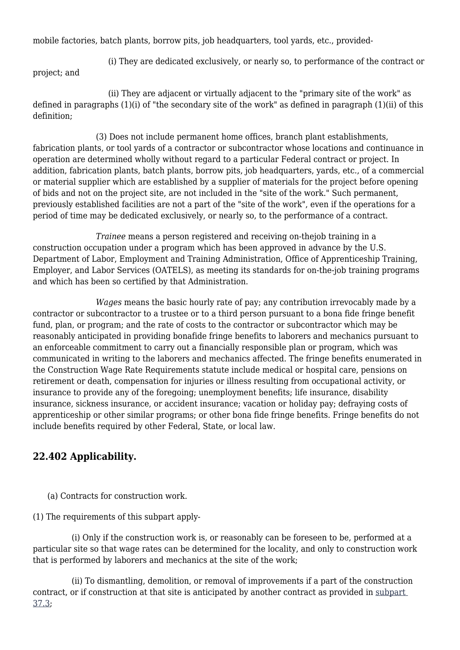mobile factories, batch plants, borrow pits, job headquarters, tool yards, etc., provided-

(i) They are dedicated exclusively, or nearly so, to performance of the contract or

 (ii) They are adjacent or virtually adjacent to the "primary site of the work" as defined in paragraphs (1)(i) of "the secondary site of the work" as defined in paragraph (1)(ii) of this definition;

 (3) Does not include permanent home offices, branch plant establishments, fabrication plants, or tool yards of a contractor or subcontractor whose locations and continuance in operation are determined wholly without regard to a particular Federal contract or project. In addition, fabrication plants, batch plants, borrow pits, job headquarters, yards, etc., of a commercial or material supplier which are established by a supplier of materials for the project before opening of bids and not on the project site, are not included in the "site of the work." Such permanent, previously established facilities are not a part of the "site of the work", even if the operations for a period of time may be dedicated exclusively, or nearly so, to the performance of a contract.

 *Trainee* means a person registered and receiving on-thejob training in a construction occupation under a program which has been approved in advance by the U.S. Department of Labor, Employment and Training Administration, Office of Apprenticeship Training, Employer, and Labor Services (OATELS), as meeting its standards for on-the-job training programs and which has been so certified by that Administration.

 *Wages* means the basic hourly rate of pay; any contribution irrevocably made by a contractor or subcontractor to a trustee or to a third person pursuant to a bona fide fringe benefit fund, plan, or program; and the rate of costs to the contractor or subcontractor which may be reasonably anticipated in providing bonafide fringe benefits to laborers and mechanics pursuant to an enforceable commitment to carry out a financially responsible plan or program, which was communicated in writing to the laborers and mechanics affected. The fringe benefits enumerated in the Construction Wage Rate Requirements statute include medical or hospital care, pensions on retirement or death, compensation for injuries or illness resulting from occupational activity, or insurance to provide any of the foregoing; unemployment benefits; life insurance, disability insurance, sickness insurance, or accident insurance; vacation or holiday pay; defraying costs of apprenticeship or other similar programs; or other bona fide fringe benefits. Fringe benefits do not include benefits required by other Federal, State, or local law.

# **22.402 Applicability.**

project; and

(a) Contracts for construction work.

(1) The requirements of this subpart apply-

 (i) Only if the construction work is, or reasonably can be foreseen to be, performed at a particular site so that wage rates can be determined for the locality, and only to construction work that is performed by laborers and mechanics at the site of the work;

 (ii) To dismantling, demolition, or removal of improvements if a part of the construction contract, or if construction at that site is anticipated by another contract as provided in [subpart](https://login.acquisition.gov/far/part-37#FAR_Subpart_37_3)  [37.3;](https://login.acquisition.gov/far/part-37#FAR_Subpart_37_3)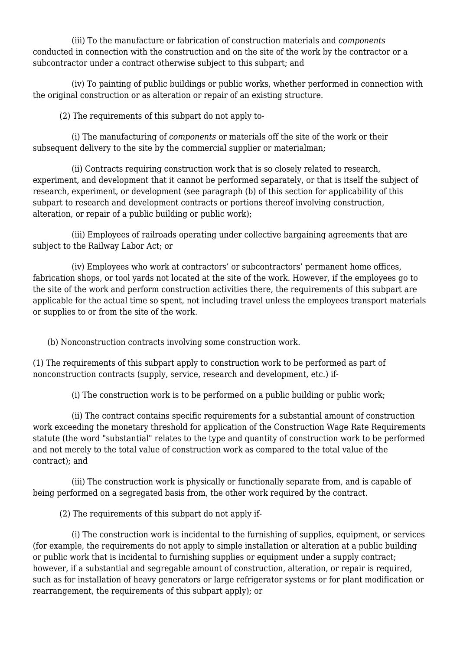(iii) To the manufacture or fabrication of construction materials and *components* conducted in connection with the construction and on the site of the work by the contractor or a subcontractor under a contract otherwise subject to this subpart; and

 (iv) To painting of public buildings or public works, whether performed in connection with the original construction or as alteration or repair of an existing structure.

(2) The requirements of this subpart do not apply to-

 (i) The manufacturing of *components* or materials off the site of the work or their subsequent delivery to the site by the commercial supplier or materialman;

 (ii) Contracts requiring construction work that is so closely related to research, experiment, and development that it cannot be performed separately, or that is itself the subject of research, experiment, or development (see paragraph (b) of this section for applicability of this subpart to research and development contracts or portions thereof involving construction, alteration, or repair of a public building or public work);

 (iii) Employees of railroads operating under collective bargaining agreements that are subject to the Railway Labor Act; or

 (iv) Employees who work at contractors' or subcontractors' permanent home offices, fabrication shops, or tool yards not located at the site of the work. However, if the employees go to the site of the work and perform construction activities there, the requirements of this subpart are applicable for the actual time so spent, not including travel unless the employees transport materials or supplies to or from the site of the work.

(b) Nonconstruction contracts involving some construction work.

(1) The requirements of this subpart apply to construction work to be performed as part of nonconstruction contracts (supply, service, research and development, etc.) if-

(i) The construction work is to be performed on a public building or public work;

 (ii) The contract contains specific requirements for a substantial amount of construction work exceeding the monetary threshold for application of the Construction Wage Rate Requirements statute (the word "substantial" relates to the type and quantity of construction work to be performed and not merely to the total value of construction work as compared to the total value of the contract); and

 (iii) The construction work is physically or functionally separate from, and is capable of being performed on a segregated basis from, the other work required by the contract.

(2) The requirements of this subpart do not apply if-

 (i) The construction work is incidental to the furnishing of supplies, equipment, or services (for example, the requirements do not apply to simple installation or alteration at a public building or public work that is incidental to furnishing supplies or equipment under a supply contract; however, if a substantial and segregable amount of construction, alteration, or repair is required, such as for installation of heavy generators or large refrigerator systems or for plant modification or rearrangement, the requirements of this subpart apply); or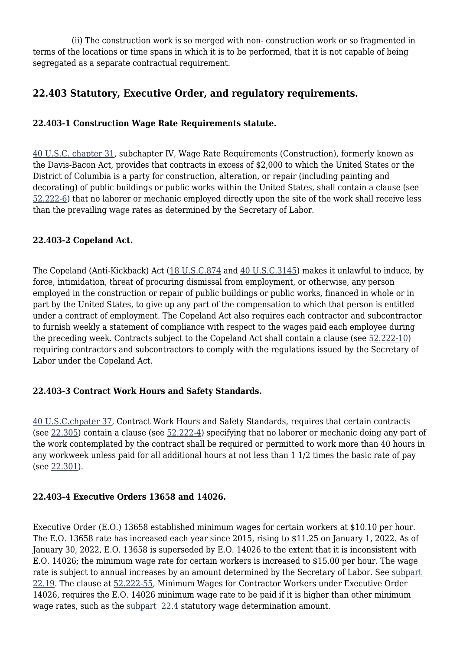(ii) The construction work is so merged with non- construction work or so fragmented in terms of the locations or time spans in which it is to be performed, that it is not capable of being segregated as a separate contractual requirement.

# **22.403 Statutory, Executive Order, and regulatory requirements.**

#### **22.403-1 Construction Wage Rate Requirements statute.**

[40 U.S.C. chapter 31,](http://uscode.house.gov/browse.xhtml;jsessionid=114A3287C7B3359E597506A31FC855B3) subchapter IV, Wage Rate Requirements (Construction), formerly known as the Davis-Bacon Act, provides that contracts in excess of \$2,000 to which the United States or the District of Columbia is a party for construction, alteration, or repair (including painting and decorating) of public buildings or public works within the United States, shall contain a clause (see [52.222-6\)](https://login.acquisition.gov/far/part-52#FAR_52_222_6) that no laborer or mechanic employed directly upon the site of the work shall receive less than the prevailing wage rates as determined by the Secretary of Labor.

#### **22.403-2 Copeland Act.**

The Copeland (Anti-Kickback) Act ([18 U.S.C.874](http://uscode.house.gov/browse.xhtml;jsessionid=114A3287C7B3359E597506A31FC855B3) and [40 U.S.C.3145](http://uscode.house.gov/browse.xhtml;jsessionid=114A3287C7B3359E597506A31FC855B3)) makes it unlawful to induce, by force, intimidation, threat of procuring dismissal from employment, or otherwise, any person employed in the construction or repair of public buildings or public works, financed in whole or in part by the United States, to give up any part of the compensation to which that person is entitled under a contract of employment. The Copeland Act also requires each contractor and subcontractor to furnish weekly a statement of compliance with respect to the wages paid each employee during the preceding week. Contracts subject to the Copeland Act shall contain a clause (see [52.222-10](https://login.acquisition.gov/far/part-52#FAR_52_222_10)) requiring contractors and subcontractors to comply with the regulations issued by the Secretary of Labor under the Copeland Act.

## **22.403-3 Contract Work Hours and Safety Standards.**

[40 U.S.C.chpater 37,](http://uscode.house.gov/browse.xhtml;jsessionid=114A3287C7B3359E597506A31FC855B3) Contract Work Hours and Safety Standards, requires that certain contracts (see  $22.305$ ) contain a clause (see  $52.222-4$ ) specifying that no laborer or mechanic doing any part of the work contemplated by the contract shall be required or permitted to work more than 40 hours in any workweek unless paid for all additional hours at not less than 1 1/2 times the basic rate of pay (see [22.301\)](#page--1-0).

## **22.403-4 Executive Orders 13658 and 14026.**

Executive Order (E.O.) 13658 established minimum wages for certain workers at \$10.10 per hour. The E.O. 13658 rate has increased each year since 2015, rising to \$11.25 on January 1, 2022. As of January 30, 2022, E.O. 13658 is superseded by E.O. 14026 to the extent that it is inconsistent with E.O. 14026; the minimum wage rate for certain workers is increased to \$15.00 per hour. The wage rate is subject to annual increases by an amount determined by the Secretary of Labor. See [subpart](#page--1-0)  [22.19.](#page--1-0) The clause at [52.222-55,](https://login.acquisition.gov/far/part-52#FAR_52_222_55) Minimum Wages for Contractor Workers under Executive Order 14026, requires the E.O. 14026 minimum wage rate to be paid if it is higher than other minimum wage rates, such as the [subpart 22.4](#page--1-0) statutory wage determination amount.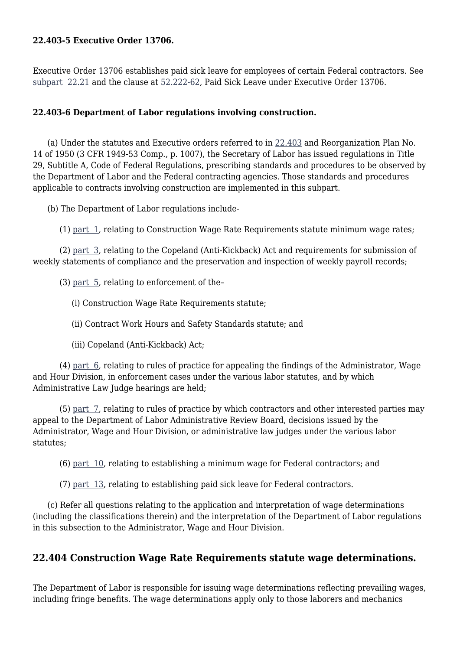#### **22.403-5 Executive Order 13706.**

Executive Order 13706 establishes paid sick leave for employees of certain Federal contractors. See [subpart 22.21](#page--1-0) and the clause at [52.222-62,](https://login.acquisition.gov/far/part-52#FAR_52_222_62) Paid Sick Leave under Executive Order 13706.

#### **22.403-6 Department of Labor regulations involving construction.**

 (a) Under the statutes and Executive orders referred to in [22.403](#page--1-0) and Reorganization Plan No. 14 of 1950 (3 CFR 1949-53 Comp., p. 1007), the Secretary of Labor has issued regulations in Title 29, Subtitle A, Code of Federal Regulations, prescribing standards and procedures to be observed by the Department of Labor and the Federal contracting agencies. Those standards and procedures applicable to contracts involving construction are implemented in this subpart.

(b) The Department of Labor regulations include-

(1) [part 1,](https://login.acquisition.gov/far/part-1#FAR_Part_1) relating to Construction Wage Rate Requirements statute minimum wage rates;

 (2) [part 3,](https://login.acquisition.gov/far/part-3#FAR_Part_3) relating to the Copeland (Anti-Kickback) Act and requirements for submission of weekly statements of compliance and the preservation and inspection of weekly payroll records;

(3) part  $\overline{5}$ , relating to enforcement of the-

(i) Construction Wage Rate Requirements statute;

(ii) Contract Work Hours and Safety Standards statute; and

(iii) Copeland (Anti-Kickback) Act;

 (4) [part 6,](https://login.acquisition.gov/far/part-6#FAR_Part_6) relating to rules of practice for appealing the findings of the Administrator, Wage and Hour Division, in enforcement cases under the various labor statutes, and by which Administrative Law Judge hearings are held;

 (5) [part 7,](https://login.acquisition.gov/far/part-7#FAR_Part_7) relating to rules of practice by which contractors and other interested parties may appeal to the Department of Labor Administrative Review Board, decisions issued by the Administrator, Wage and Hour Division, or administrative law judges under the various labor statutes;

(6) [part 10](https://login.acquisition.gov/far/part-10#FAR_Part_10), relating to establishing a minimum wage for Federal contractors; and

(7) [part 13](https://login.acquisition.gov/far/part-13#FAR_Part_13), relating to establishing paid sick leave for Federal contractors.

 (c) Refer all questions relating to the application and interpretation of wage determinations (including the classifications therein) and the interpretation of the Department of Labor regulations in this subsection to the Administrator, Wage and Hour Division.

## **22.404 Construction Wage Rate Requirements statute wage determinations.**

The Department of Labor is responsible for issuing wage determinations reflecting prevailing wages, including fringe benefits. The wage determinations apply only to those laborers and mechanics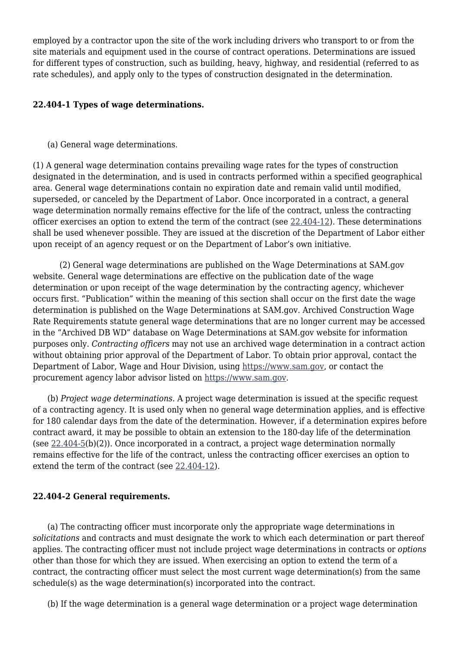employed by a contractor upon the site of the work including drivers who transport to or from the site materials and equipment used in the course of contract operations. Determinations are issued for different types of construction, such as building, heavy, highway, and residential (referred to as rate schedules), and apply only to the types of construction designated in the determination.

#### **22.404-1 Types of wage determinations.**

(a) General wage determinations.

(1) A general wage determination contains prevailing wage rates for the types of construction designated in the determination, and is used in contracts performed within a specified geographical area. General wage determinations contain no expiration date and remain valid until modified, superseded, or canceled by the Department of Labor. Once incorporated in a contract, a general wage determination normally remains effective for the life of the contract, unless the contracting officer exercises an option to extend the term of the contract (see [22.404-12\)](#page--1-0). These determinations shall be used whenever possible. They are issued at the discretion of the Department of Labor either upon receipt of an agency request or on the Department of Labor's own initiative.

 (2) General wage determinations are published on the Wage Determinations at SAM.gov website. General wage determinations are effective on the publication date of the wage determination or upon receipt of the wage determination by the contracting agency, whichever occurs first. "Publication" within the meaning of this section shall occur on the first date the wage determination is published on the Wage Determinations at SAM.gov. Archived Construction Wage Rate Requirements statute general wage determinations that are no longer current may be accessed in the "Archived DB WD" database on Wage Determinations at SAM.gov website for information purposes only. *Contracting officers* may not use an archived wage determination in a contract action without obtaining prior approval of the Department of Labor. To obtain prior approval, contact the Department of Labor, Wage and Hour Division, using <https://www.sam.gov>, or contact the procurement agency labor advisor listed on [https://www.sam.gov.](https://www.sam.gov)

 (b) *Project wage determinations*. A project wage determination is issued at the specific request of a contracting agency. It is used only when no general wage determination applies, and is effective for 180 calendar days from the date of the determination. However, if a determination expires before contract award, it may be possible to obtain an extension to the 180-day life of the determination (see [22.404-5\(](#page--1-0)b)(2)). Once incorporated in a contract, a project wage determination normally remains effective for the life of the contract, unless the contracting officer exercises an option to extend the term of the contract (see [22.404-12\)](#page--1-0).

#### **22.404-2 General requirements.**

 (a) The contracting officer must incorporate only the appropriate wage determinations in *solicitations* and contracts and must designate the work to which each determination or part thereof applies. The contracting officer must not include project wage determinations in contracts or *options* other than those for which they are issued. When exercising an option to extend the term of a contract, the contracting officer must select the most current wage determination(s) from the same schedule(s) as the wage determination(s) incorporated into the contract.

(b) If the wage determination is a general wage determination or a project wage determination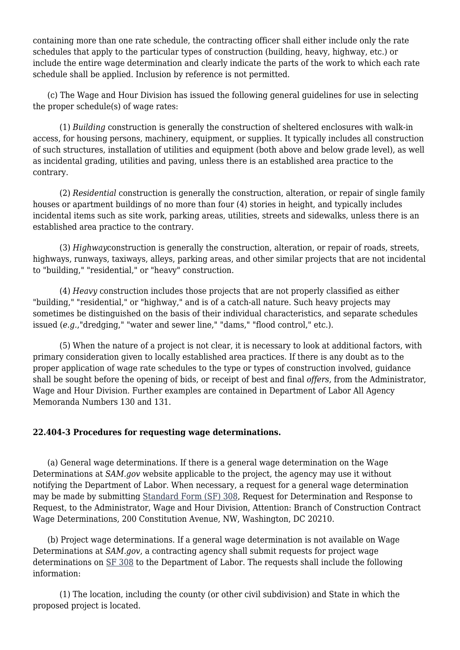containing more than one rate schedule, the contracting officer shall either include only the rate schedules that apply to the particular types of construction (building, heavy, highway, etc.) or include the entire wage determination and clearly indicate the parts of the work to which each rate schedule shall be applied. Inclusion by reference is not permitted.

 (c) The Wage and Hour Division has issued the following general guidelines for use in selecting the proper schedule(s) of wage rates:

 (1) *Building* construction is generally the construction of sheltered enclosures with walk-in access, for housing persons, machinery, equipment, or supplies. It typically includes all construction of such structures, installation of utilities and equipment (both above and below grade level), as well as incidental grading, utilities and paving, unless there is an established area practice to the contrary.

 (2) *Residential* construction is generally the construction, alteration, or repair of single family houses or apartment buildings of no more than four (4) stories in height, and typically includes incidental items such as site work, parking areas, utilities, streets and sidewalks, unless there is an established area practice to the contrary.

 (3) *Highway*construction is generally the construction, alteration, or repair of roads, streets, highways, runways, taxiways, alleys, parking areas, and other similar projects that are not incidental to "building," "residential," or "heavy" construction.

 (4) *Heavy* construction includes those projects that are not properly classified as either "building," "residential," or "highway," and is of a catch-all nature. Such heavy projects may sometimes be distinguished on the basis of their individual characteristics, and separate schedules issued (*e.g.*,"dredging," "water and sewer line," "dams," "flood control," etc.).

 (5) When the nature of a project is not clear, it is necessary to look at additional factors, with primary consideration given to locally established area practices. If there is any doubt as to the proper application of wage rate schedules to the type or types of construction involved, guidance shall be sought before the opening of bids, or receipt of best and final *offers*, from the Administrator, Wage and Hour Division. Further examples are contained in Department of Labor All Agency Memoranda Numbers 130 and 131.

#### **22.404-3 Procedures for requesting wage determinations.**

 (a) General wage determinations. If there is a general wage determination on the Wage Determinations at *SAM.gov* website applicable to the project, the agency may use it without notifying the Department of Labor. When necessary, a request for a general wage determination may be made by submitting [Standard Form \(SF\) 308,](https://www.gsa.gov/forms-library/request-wage-determination-and-response-request) Request for Determination and Response to Request, to the Administrator, Wage and Hour Division, Attention: Branch of Construction Contract Wage Determinations, 200 Constitution Avenue, NW, Washington, DC 20210.

 (b) Project wage determinations. If a general wage determination is not available on Wage Determinations at *SAM.gov*, a contracting agency shall submit requests for project wage determinations on [SF 308](https://www.gsa.gov/forms-library/request-wage-determination-and-response-request) to the Department of Labor. The requests shall include the following information:

 (1) The location, including the county (or other civil subdivision) and State in which the proposed project is located.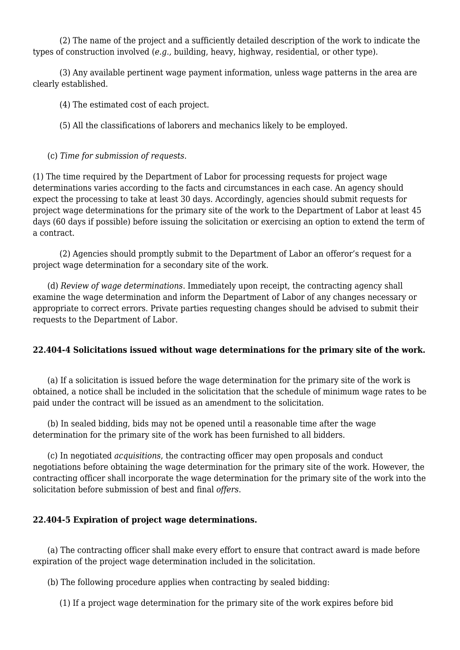(2) The name of the project and a sufficiently detailed description of the work to indicate the types of construction involved (*e.g.,* building, heavy, highway, residential, or other type).

 (3) Any available pertinent wage payment information, unless wage patterns in the area are clearly established.

(4) The estimated cost of each project.

(5) All the classifications of laborers and mechanics likely to be employed.

(c) *Time for submission of requests*.

(1) The time required by the Department of Labor for processing requests for project wage determinations varies according to the facts and circumstances in each case. An agency should expect the processing to take at least 30 days. Accordingly, agencies should submit requests for project wage determinations for the primary site of the work to the Department of Labor at least 45 days (60 days if possible) before issuing the solicitation or exercising an option to extend the term of a contract.

 (2) Agencies should promptly submit to the Department of Labor an offeror's request for a project wage determination for a secondary site of the work.

 (d) *Review of wage determinations*. Immediately upon receipt, the contracting agency shall examine the wage determination and inform the Department of Labor of any changes necessary or appropriate to correct errors. Private parties requesting changes should be advised to submit their requests to the Department of Labor.

#### **22.404-4 Solicitations issued without wage determinations for the primary site of the work.**

 (a) If a solicitation is issued before the wage determination for the primary site of the work is obtained, a notice shall be included in the solicitation that the schedule of minimum wage rates to be paid under the contract will be issued as an amendment to the solicitation.

 (b) In sealed bidding, bids may not be opened until a reasonable time after the wage determination for the primary site of the work has been furnished to all bidders.

 (c) In negotiated *acquisitions*, the contracting officer may open proposals and conduct negotiations before obtaining the wage determination for the primary site of the work. However, the contracting officer shall incorporate the wage determination for the primary site of the work into the solicitation before submission of best and final *offers*.

#### **22.404-5 Expiration of project wage determinations.**

 (a) The contracting officer shall make every effort to ensure that contract award is made before expiration of the project wage determination included in the solicitation.

(b) The following procedure applies when contracting by sealed bidding:

(1) If a project wage determination for the primary site of the work expires before bid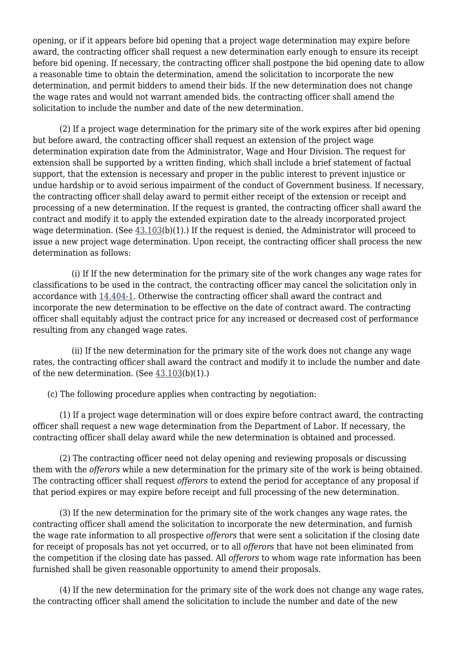opening, or if it appears before bid opening that a project wage determination may expire before award, the contracting officer shall request a new determination early enough to ensure its receipt before bid opening. If necessary, the contracting officer shall postpone the bid opening date to allow a reasonable time to obtain the determination, amend the solicitation to incorporate the new determination, and permit bidders to amend their bids. If the new determination does not change the wage rates and would not warrant amended bids, the contracting officer shall amend the solicitation to include the number and date of the new determination.

 (2) If a project wage determination for the primary site of the work expires after bid opening but before award, the contracting officer shall request an extension of the project wage determination expiration date from the Administrator, Wage and Hour Division. The request for extension shall be supported by a written finding, which shall include a brief statement of factual support, that the extension is necessary and proper in the public interest to prevent injustice or undue hardship or to avoid serious impairment of the conduct of Government business. If necessary, the contracting officer shall delay award to permit either receipt of the extension or receipt and processing of a new determination. If the request is granted, the contracting officer shall award the contract and modify it to apply the extended expiration date to the already incorporated project wage determination. (See [43.103\(](https://login.acquisition.gov/far/part-43#FAR_43_103)b)(1).) If the request is denied, the Administrator will proceed to issue a new project wage determination. Upon receipt, the contracting officer shall process the new determination as follows:

 (i) If If the new determination for the primary site of the work changes any wage rates for classifications to be used in the contract, the contracting officer may cancel the solicitation only in accordance with [14.404-1.](https://login.acquisition.gov/far/part-14#FAR_14_404_1) Otherwise the contracting officer shall award the contract and incorporate the new determination to be effective on the date of contract award. The contracting officer shall equitably adjust the contract price for any increased or decreased cost of performance resulting from any changed wage rates.

 (ii) If the new determination for the primary site of the work does not change any wage rates, the contracting officer shall award the contract and modify it to include the number and date of the new determination. (See  $43.103(b)(1)$ .)

(c) The following procedure applies when contracting by negotiation:

 (1) If a project wage determination will or does expire before contract award, the contracting officer shall request a new wage determination from the Department of Labor. If necessary, the contracting officer shall delay award while the new determination is obtained and processed.

 (2) The contracting officer need not delay opening and reviewing proposals or discussing them with the *offerors* while a new determination for the primary site of the work is being obtained. The contracting officer shall request *offerors* to extend the period for acceptance of any proposal if that period expires or may expire before receipt and full processing of the new determination.

 (3) If the new determination for the primary site of the work changes any wage rates, the contracting officer shall amend the solicitation to incorporate the new determination, and furnish the wage rate information to all prospective *offerors* that were sent a solicitation if the closing date for receipt of proposals has not yet occurred, or to all *offerors* that have not been eliminated from the competition if the closing date has passed. All *offerors* to whom wage rate information has been furnished shall be given reasonable opportunity to amend their proposals.

 (4) If the new determination for the primary site of the work does not change any wage rates, the contracting officer shall amend the solicitation to include the number and date of the new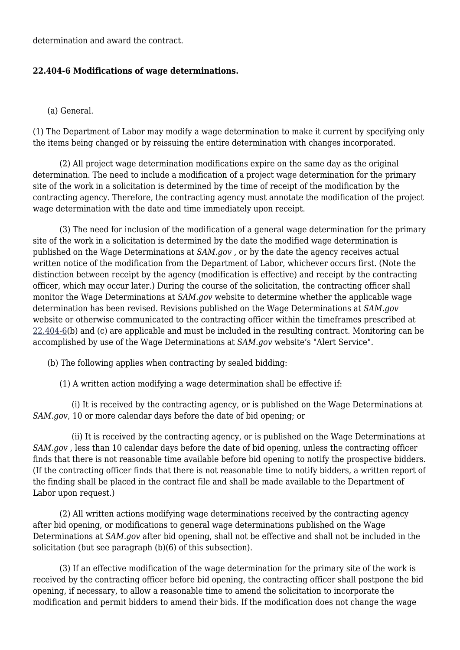determination and award the contract.

#### **22.404-6 Modifications of wage determinations.**

#### (a) General.

(1) The Department of Labor may modify a wage determination to make it current by specifying only the items being changed or by reissuing the entire determination with changes incorporated.

 (2) All project wage determination modifications expire on the same day as the original determination. The need to include a modification of a project wage determination for the primary site of the work in a solicitation is determined by the time of receipt of the modification by the contracting agency. Therefore, the contracting agency must annotate the modification of the project wage determination with the date and time immediately upon receipt.

 (3) The need for inclusion of the modification of a general wage determination for the primary site of the work in a solicitation is determined by the date the modified wage determination is published on the Wage Determinations at *SAM.gov* , or by the date the agency receives actual written notice of the modification from the Department of Labor, whichever occurs first. (Note the distinction between receipt by the agency (modification is effective) and receipt by the contracting officer, which may occur later.) During the course of the solicitation, the contracting officer shall monitor the Wage Determinations at *SAM.gov* website to determine whether the applicable wage determination has been revised. Revisions published on the Wage Determinations at *SAM.gov* website or otherwise communicated to the contracting officer within the timeframes prescribed at [22.404-6\(](#page--1-0)b) and (c) are applicable and must be included in the resulting contract. Monitoring can be accomplished by use of the Wage Determinations at *SAM.gov* website's "Alert Service".

(b) The following applies when contracting by sealed bidding:

(1) A written action modifying a wage determination shall be effective if:

 (i) It is received by the contracting agency, or is published on the Wage Determinations at *SAM.gov*, 10 or more calendar days before the date of bid opening; or

 (ii) It is received by the contracting agency, or is published on the Wage Determinations at *SAM.gov* , less than 10 calendar days before the date of bid opening, unless the contracting officer finds that there is not reasonable time available before bid opening to notify the prospective bidders. (If the contracting officer finds that there is not reasonable time to notify bidders, a written report of the finding shall be placed in the contract file and shall be made available to the Department of Labor upon request.)

 (2) All written actions modifying wage determinations received by the contracting agency after bid opening, or modifications to general wage determinations published on the Wage Determinations at *SAM.gov* after bid opening, shall not be effective and shall not be included in the solicitation (but see paragraph (b)(6) of this subsection).

 (3) If an effective modification of the wage determination for the primary site of the work is received by the contracting officer before bid opening, the contracting officer shall postpone the bid opening, if necessary, to allow a reasonable time to amend the solicitation to incorporate the modification and permit bidders to amend their bids. If the modification does not change the wage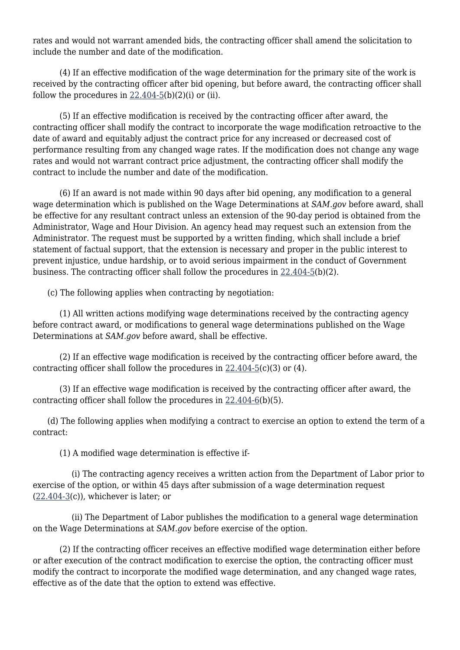rates and would not warrant amended bids, the contracting officer shall amend the solicitation to include the number and date of the modification.

 (4) If an effective modification of the wage determination for the primary site of the work is received by the contracting officer after bid opening, but before award, the contracting officer shall follow the procedures in  $22.404-5(b)(2)(i)$  or (ii).

 (5) If an effective modification is received by the contracting officer after award, the contracting officer shall modify the contract to incorporate the wage modification retroactive to the date of award and equitably adjust the contract price for any increased or decreased cost of performance resulting from any changed wage rates. If the modification does not change any wage rates and would not warrant contract price adjustment, the contracting officer shall modify the contract to include the number and date of the modification.

 (6) If an award is not made within 90 days after bid opening, any modification to a general wage determination which is published on the Wage Determinations at *SAM.gov* before award, shall be effective for any resultant contract unless an extension of the 90-day period is obtained from the Administrator, Wage and Hour Division. An agency head may request such an extension from the Administrator. The request must be supported by a written finding, which shall include a brief statement of factual support, that the extension is necessary and proper in the public interest to prevent injustice, undue hardship, or to avoid serious impairment in the conduct of Government business. The contracting officer shall follow the procedures in  $22.404-5(b)(2)$ .

(c) The following applies when contracting by negotiation:

 (1) All written actions modifying wage determinations received by the contracting agency before contract award, or modifications to general wage determinations published on the Wage Determinations at *SAM.gov* before award, shall be effective.

 (2) If an effective wage modification is received by the contracting officer before award, the contracting officer shall follow the procedures in [22.404-5\(](#page--1-0)c)(3) or (4).

 (3) If an effective wage modification is received by the contracting officer after award, the contracting officer shall follow the procedures in  $22.404-6(b)(5)$  $22.404-6(b)(5)$ .

 (d) The following applies when modifying a contract to exercise an option to extend the term of a contract:

(1) A modified wage determination is effective if-

 (i) The contracting agency receives a written action from the Department of Labor prior to exercise of the option, or within 45 days after submission of a wage determination request  $(22.404-3(c))$  $(22.404-3(c))$ , whichever is later; or

 (ii) The Department of Labor publishes the modification to a general wage determination on the Wage Determinations at *SAM.gov* before exercise of the option.

 (2) If the contracting officer receives an effective modified wage determination either before or after execution of the contract modification to exercise the option, the contracting officer must modify the contract to incorporate the modified wage determination, and any changed wage rates, effective as of the date that the option to extend was effective.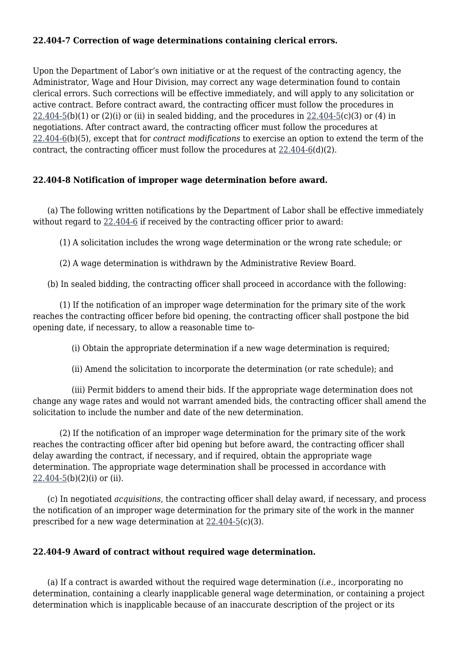#### **22.404-7 Correction of wage determinations containing clerical errors.**

Upon the Department of Labor's own initiative or at the request of the contracting agency, the Administrator, Wage and Hour Division, may correct any wage determination found to contain clerical errors. Such corrections will be effective immediately, and will apply to any solicitation or active contract. Before contract award, the contracting officer must follow the procedures in  $22.404-5(b)(1)$  $22.404-5(b)(1)$  or  $(2)(i)$  or (ii) in sealed bidding, and the procedures in  $22.404-5(c)(3)$  or  $(4)$  in negotiations. After contract award, the contracting officer must follow the procedures at [22.404-6\(](#page--1-0)b)(5), except that for *contract modifications* to exercise an option to extend the term of the contract, the contracting officer must follow the procedures at [22.404-6\(](#page--1-0)d)(2).

#### **22.404-8 Notification of improper wage determination before award.**

 (a) The following written notifications by the Department of Labor shall be effective immediately without regard to  $22.404-6$  if received by the contracting officer prior to award:

(1) A solicitation includes the wrong wage determination or the wrong rate schedule; or

(2) A wage determination is withdrawn by the Administrative Review Board.

(b) In sealed bidding, the contracting officer shall proceed in accordance with the following:

 (1) If the notification of an improper wage determination for the primary site of the work reaches the contracting officer before bid opening, the contracting officer shall postpone the bid opening date, if necessary, to allow a reasonable time to-

(i) Obtain the appropriate determination if a new wage determination is required;

(ii) Amend the solicitation to incorporate the determination (or rate schedule); and

 (iii) Permit bidders to amend their bids. If the appropriate wage determination does not change any wage rates and would not warrant amended bids, the contracting officer shall amend the solicitation to include the number and date of the new determination.

 (2) If the notification of an improper wage determination for the primary site of the work reaches the contracting officer after bid opening but before award, the contracting officer shall delay awarding the contract, if necessary, and if required, obtain the appropriate wage determination. The appropriate wage determination shall be processed in accordance with [22.404-5\(](#page--1-0)b)(2)(i) or (ii).

 (c) In negotiated *acquisitions*, the contracting officer shall delay award, if necessary, and process the notification of an improper wage determination for the primary site of the work in the manner prescribed for a new wage determination at [22.404-5](#page--1-0)(c)(3).

#### **22.404-9 Award of contract without required wage determination.**

 (a) If a contract is awarded without the required wage determination (*i.e.,* incorporating no determination, containing a clearly inapplicable general wage determination, or containing a project determination which is inapplicable because of an inaccurate description of the project or its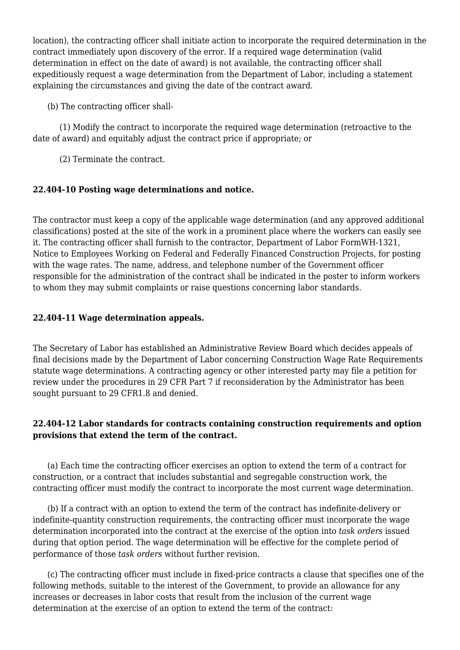location), the contracting officer shall initiate action to incorporate the required determination in the contract immediately upon discovery of the error. If a required wage determination (valid determination in effect on the date of award) is not available, the contracting officer shall expeditiously request a wage determination from the Department of Labor, including a statement explaining the circumstances and giving the date of the contract award.

(b) The contracting officer shall-

 (1) Modify the contract to incorporate the required wage determination (retroactive to the date of award) and equitably adjust the contract price if appropriate; or

(2) Terminate the contract.

#### **22.404-10 Posting wage determinations and notice.**

The contractor must keep a copy of the applicable wage determination (and any approved additional classifications) posted at the site of the work in a prominent place where the workers can easily see it. The contracting officer shall furnish to the contractor, Department of Labor FormWH-1321, Notice to Employees Working on Federal and Federally Financed Construction Projects, for posting with the wage rates. The name, address, and telephone number of the Government officer responsible for the administration of the contract shall be indicated in the poster to inform workers to whom they may submit complaints or raise questions concerning labor standards.

#### **22.404-11 Wage determination appeals.**

The Secretary of Labor has established an Administrative Review Board which decides appeals of final decisions made by the Department of Labor concerning Construction Wage Rate Requirements statute wage determinations. A contracting agency or other interested party may file a petition for review under the procedures in 29 CFR Part 7 if reconsideration by the Administrator has been sought pursuant to 29 CFR1.8 and denied.

#### **22.404-12 Labor standards for contracts containing construction requirements and option provisions that extend the term of the contract.**

 (a) Each time the contracting officer exercises an option to extend the term of a contract for construction, or a contract that includes substantial and segregable construction work, the contracting officer must modify the contract to incorporate the most current wage determination.

 (b) If a contract with an option to extend the term of the contract has indefinite-delivery or indefinite-quantity construction requirements, the contracting officer must incorporate the wage determination incorporated into the contract at the exercise of the option into *task orders* issued during that option period. The wage determination will be effective for the complete period of performance of those *task orders* without further revision.

 (c) The contracting officer must include in fixed-price contracts a clause that specifies one of the following methods, suitable to the interest of the Government, to provide an allowance for any increases or decreases in labor costs that result from the inclusion of the current wage determination at the exercise of an option to extend the term of the contract: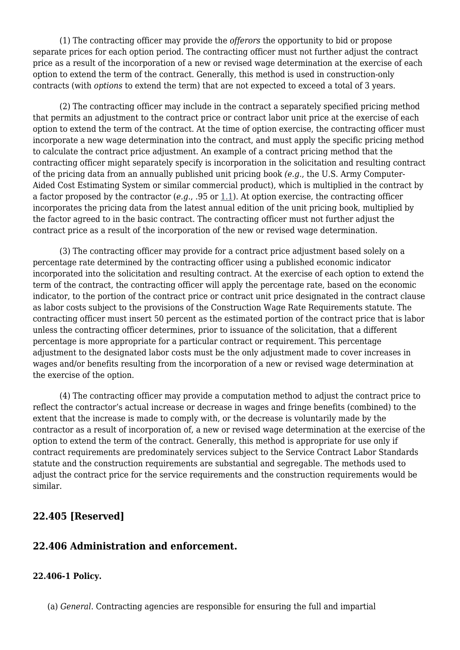(1) The contracting officer may provide the *offerors* the opportunity to bid or propose separate prices for each option period. The contracting officer must not further adjust the contract price as a result of the incorporation of a new or revised wage determination at the exercise of each option to extend the term of the contract. Generally, this method is used in construction-only contracts (with *options* to extend the term) that are not expected to exceed a total of 3 years.

 (2) The contracting officer may include in the contract a separately specified pricing method that permits an adjustment to the contract price or contract labor unit price at the exercise of each option to extend the term of the contract. At the time of option exercise, the contracting officer must incorporate a new wage determination into the contract, and must apply the specific pricing method to calculate the contract price adjustment. An example of a contract pricing method that the contracting officer might separately specify is incorporation in the solicitation and resulting contract of the pricing data from an annually published unit pricing book *(e.g.*, the U.S. Army Computer-Aided Cost Estimating System or similar commercial product), which is multiplied in the contract by a factor proposed by the contractor (*e.g.*, .95 or [1.1\)](https://login.acquisition.gov/far/part-1#FAR_Subpart_1_1). At option exercise, the contracting officer incorporates the pricing data from the latest annual edition of the unit pricing book, multiplied by the factor agreed to in the basic contract. The contracting officer must not further adjust the contract price as a result of the incorporation of the new or revised wage determination.

 (3) The contracting officer may provide for a contract price adjustment based solely on a percentage rate determined by the contracting officer using a published economic indicator incorporated into the solicitation and resulting contract. At the exercise of each option to extend the term of the contract, the contracting officer will apply the percentage rate, based on the economic indicator, to the portion of the contract price or contract unit price designated in the contract clause as labor costs subject to the provisions of the Construction Wage Rate Requirements statute. The contracting officer must insert 50 percent as the estimated portion of the contract price that is labor unless the contracting officer determines, prior to issuance of the solicitation, that a different percentage is more appropriate for a particular contract or requirement. This percentage adjustment to the designated labor costs must be the only adjustment made to cover increases in wages and/or benefits resulting from the incorporation of a new or revised wage determination at the exercise of the option.

 (4) The contracting officer may provide a computation method to adjust the contract price to reflect the contractor's actual increase or decrease in wages and fringe benefits (combined) to the extent that the increase is made to comply with, or the decrease is voluntarily made by the contractor as a result of incorporation of, a new or revised wage determination at the exercise of the option to extend the term of the contract. Generally, this method is appropriate for use only if contract requirements are predominately services subject to the Service Contract Labor Standards statute and the construction requirements are substantial and segregable. The methods used to adjust the contract price for the service requirements and the construction requirements would be similar.

# **22.405 [Reserved]**

## **22.406 Administration and enforcement.**

#### **22.406-1 Policy.**

(a) *General*. Contracting agencies are responsible for ensuring the full and impartial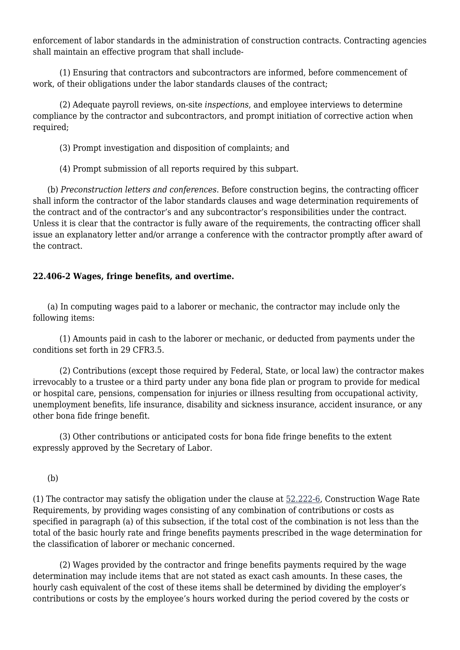enforcement of labor standards in the administration of construction contracts. Contracting agencies shall maintain an effective program that shall include-

 (1) Ensuring that contractors and subcontractors are informed, before commencement of work, of their obligations under the labor standards clauses of the contract;

 (2) Adequate payroll reviews, on-site *inspections*, and employee interviews to determine compliance by the contractor and subcontractors, and prompt initiation of corrective action when required;

(3) Prompt investigation and disposition of complaints; and

(4) Prompt submission of all reports required by this subpart.

 (b) *Preconstruction letters and conferences*. Before construction begins, the contracting officer shall inform the contractor of the labor standards clauses and wage determination requirements of the contract and of the contractor's and any subcontractor's responsibilities under the contract. Unless it is clear that the contractor is fully aware of the requirements, the contracting officer shall issue an explanatory letter and/or arrange a conference with the contractor promptly after award of the contract.

#### **22.406-2 Wages, fringe benefits, and overtime.**

 (a) In computing wages paid to a laborer or mechanic, the contractor may include only the following items:

 (1) Amounts paid in cash to the laborer or mechanic, or deducted from payments under the conditions set forth in 29 CFR3.5.

 (2) Contributions (except those required by Federal, State, or local law) the contractor makes irrevocably to a trustee or a third party under any bona fide plan or program to provide for medical or hospital care, pensions, compensation for injuries or illness resulting from occupational activity, unemployment benefits, life insurance, disability and sickness insurance, accident insurance, or any other bona fide fringe benefit.

 (3) Other contributions or anticipated costs for bona fide fringe benefits to the extent expressly approved by the Secretary of Labor.

(b)

(1) The contractor may satisfy the obligation under the clause at [52.222-6](https://login.acquisition.gov/far/part-52#FAR_52_222_6), Construction Wage Rate Requirements, by providing wages consisting of any combination of contributions or costs as specified in paragraph (a) of this subsection, if the total cost of the combination is not less than the total of the basic hourly rate and fringe benefits payments prescribed in the wage determination for the classification of laborer or mechanic concerned.

 (2) Wages provided by the contractor and fringe benefits payments required by the wage determination may include items that are not stated as exact cash amounts. In these cases, the hourly cash equivalent of the cost of these items shall be determined by dividing the employer's contributions or costs by the employee's hours worked during the period covered by the costs or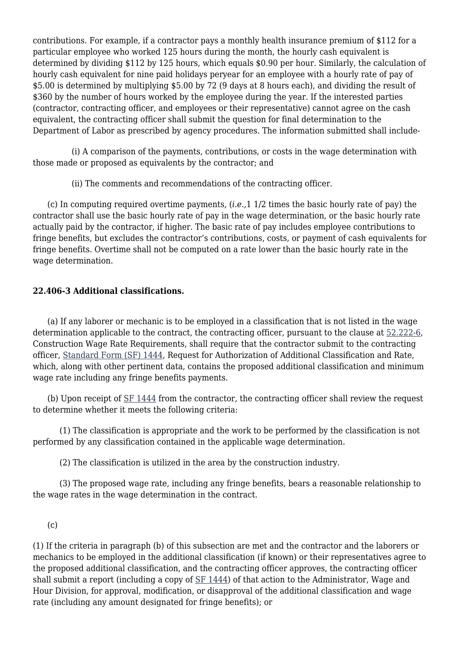contributions. For example, if a contractor pays a monthly health insurance premium of \$112 for a particular employee who worked 125 hours during the month, the hourly cash equivalent is determined by dividing \$112 by 125 hours, which equals \$0.90 per hour. Similarly, the calculation of hourly cash equivalent for nine paid holidays peryear for an employee with a hourly rate of pay of \$5.00 is determined by multiplying \$5.00 by 72 (9 days at 8 hours each), and dividing the result of \$360 by the number of hours worked by the employee during the year. If the interested parties (contractor, contracting officer, and employees or their representative) cannot agree on the cash equivalent, the contracting officer shall submit the question for final determination to the Department of Labor as prescribed by agency procedures. The information submitted shall include-

 (i) A comparison of the payments, contributions, or costs in the wage determination with those made or proposed as equivalents by the contractor; and

(ii) The comments and recommendations of the contracting officer.

 (c) In computing required overtime payments, (*i.e.,*1 1/2 times the basic hourly rate of pay) the contractor shall use the basic hourly rate of pay in the wage determination, or the basic hourly rate actually paid by the contractor, if higher. The basic rate of pay includes employee contributions to fringe benefits, but excludes the contractor's contributions, costs, or payment of cash equivalents for fringe benefits. Overtime shall not be computed on a rate lower than the basic hourly rate in the wage determination.

#### **22.406-3 Additional classifications.**

 (a) If any laborer or mechanic is to be employed in a classification that is not listed in the wage determination applicable to the contract, the contracting officer, pursuant to the clause at  $52.222-6$ , Construction Wage Rate Requirements, shall require that the contractor submit to the contracting officer, [Standard Form \(SF\) 1444,](https://www.gsa.gov/forms-library/request-authorization-additional-classification-and-rate) Request for Authorization of Additional Classification and Rate, which, along with other pertinent data, contains the proposed additional classification and minimum wage rate including any fringe benefits payments.

 (b) Upon receipt of [SF 1444](https://www.gsa.gov/forms-library/request-authorization-additional-classification-and-rate) from the contractor, the contracting officer shall review the request to determine whether it meets the following criteria:

 (1) The classification is appropriate and the work to be performed by the classification is not performed by any classification contained in the applicable wage determination.

(2) The classification is utilized in the area by the construction industry.

 (3) The proposed wage rate, including any fringe benefits, bears a reasonable relationship to the wage rates in the wage determination in the contract.

#### (c)

(1) If the criteria in paragraph (b) of this subsection are met and the contractor and the laborers or mechanics to be employed in the additional classification (if known) or their representatives agree to the proposed additional classification, and the contracting officer approves, the contracting officer shall submit a report (including a copy of [SF 1444\)](https://www.gsa.gov/forms-library/request-authorization-additional-classification-and-rate) of that action to the Administrator, Wage and Hour Division, for approval, modification, or disapproval of the additional classification and wage rate (including any amount designated for fringe benefits); or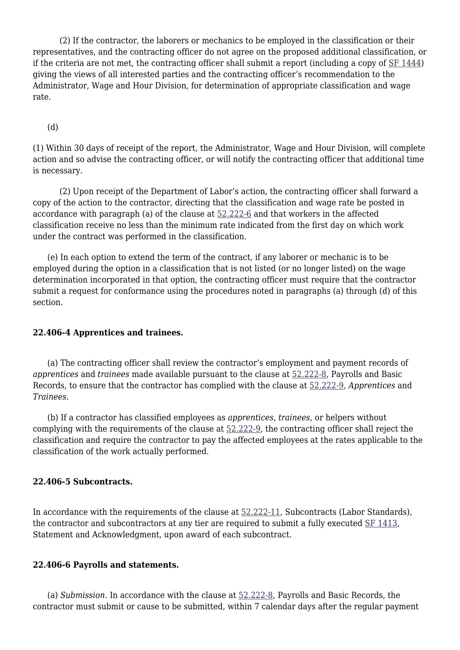(2) If the contractor, the laborers or mechanics to be employed in the classification or their representatives, and the contracting officer do not agree on the proposed additional classification, or if the criteria are not met, the contracting officer shall submit a report (including a copy of [SF 1444](https://www.gsa.gov/forms-library/request-authorization-additional-classification-and-rate)) giving the views of all interested parties and the contracting officer's recommendation to the Administrator, Wage and Hour Division, for determination of appropriate classification and wage rate.

(d)

(1) Within 30 days of receipt of the report, the Administrator, Wage and Hour Division, will complete action and so advise the contracting officer, or will notify the contracting officer that additional time is necessary.

 (2) Upon receipt of the Department of Labor's action, the contracting officer shall forward a copy of the action to the contractor, directing that the classification and wage rate be posted in accordance with paragraph (a) of the clause at [52.222-6](https://login.acquisition.gov/far/part-52#FAR_52_222_6) and that workers in the affected classification receive no less than the minimum rate indicated from the first day on which work under the contract was performed in the classification.

 (e) In each option to extend the term of the contract, if any laborer or mechanic is to be employed during the option in a classification that is not listed (or no longer listed) on the wage determination incorporated in that option, the contracting officer must require that the contractor submit a request for conformance using the procedures noted in paragraphs (a) through (d) of this section.

#### **22.406-4 Apprentices and trainees.**

 (a) The contracting officer shall review the contractor's employment and payment records of *apprentices* and *trainees* made available pursuant to the clause at [52.222-8](https://login.acquisition.gov/far/part-52#FAR_52_222_8), Payrolls and Basic Records, to ensure that the contractor has complied with the clause at [52.222-9,](https://login.acquisition.gov/far/part-52#FAR_52_222_9) *Apprentices* and *Trainees*.

 (b) If a contractor has classified employees as *apprentices*, *trainees*, or helpers without complying with the requirements of the clause at [52.222-9](https://login.acquisition.gov/far/part-52#FAR_52_222_9), the contracting officer shall reject the classification and require the contractor to pay the affected employees at the rates applicable to the classification of the work actually performed.

#### **22.406-5 Subcontracts.**

In accordance with the requirements of the clause at [52.222-11,](https://login.acquisition.gov/far/part-52#FAR_52_222_11) Subcontracts (Labor Standards), the contractor and subcontractors at any tier are required to submit a fully executed [SF 1413](https://www.gsa.gov/forms-library/statement-and-acknowledgment), Statement and Acknowledgment, upon award of each subcontract.

#### **22.406-6 Payrolls and statements.**

 (a) *Submission*. In accordance with the clause at [52.222-8](https://login.acquisition.gov/far/part-52#FAR_52_222_8), Payrolls and Basic Records, the contractor must submit or cause to be submitted, within 7 calendar days after the regular payment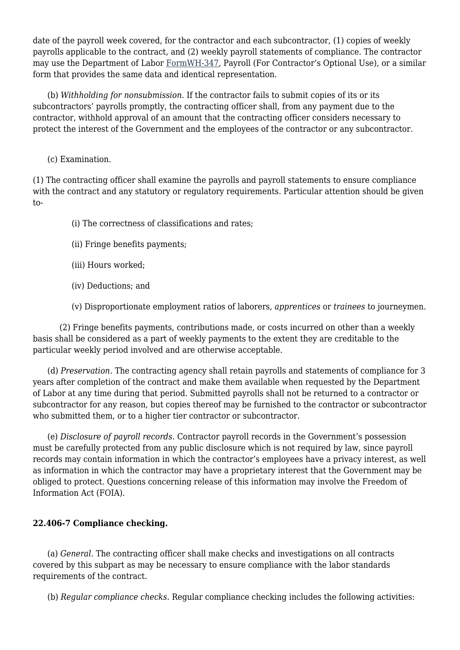date of the payroll week covered, for the contractor and each subcontractor, (1) copies of weekly payrolls applicable to the contract, and (2) weekly payroll statements of compliance. The contractor may use the Department of Labor [FormWH-347](http://uscode.house.gov/browse.xhtml;jsessionid=114A3287C7B3359E597506A31FC855B3), Payroll (For Contractor's Optional Use), or a similar form that provides the same data and identical representation.

 (b) *Withholding for nonsubmission*. If the contractor fails to submit copies of its or its subcontractors' payrolls promptly, the contracting officer shall, from any payment due to the contractor, withhold approval of an amount that the contracting officer considers necessary to protect the interest of the Government and the employees of the contractor or any subcontractor.

(c) Examination.

(1) The contracting officer shall examine the payrolls and payroll statements to ensure compliance with the contract and any statutory or regulatory requirements. Particular attention should be given to-

(i) The correctness of classifications and rates;

- (ii) Fringe benefits payments;
- (iii) Hours worked;
- (iv) Deductions; and
- (v) Disproportionate employment ratios of laborers, *apprentices* or *trainees* to journeymen.

 (2) Fringe benefits payments, contributions made, or costs incurred on other than a weekly basis shall be considered as a part of weekly payments to the extent they are creditable to the particular weekly period involved and are otherwise acceptable.

 (d) *Preservation*. The contracting agency shall retain payrolls and statements of compliance for 3 years after completion of the contract and make them available when requested by the Department of Labor at any time during that period. Submitted payrolls shall not be returned to a contractor or subcontractor for any reason, but copies thereof may be furnished to the contractor or subcontractor who submitted them, or to a higher tier contractor or subcontractor.

 (e) *Disclosure of payroll records*. Contractor payroll records in the Government's possession must be carefully protected from any public disclosure which is not required by law, since payroll records may contain information in which the contractor's employees have a privacy interest, as well as information in which the contractor may have a proprietary interest that the Government may be obliged to protect. Questions concerning release of this information may involve the Freedom of Information Act (FOIA).

### **22.406-7 Compliance checking.**

 (a) *General*. The contracting officer shall make checks and investigations on all contracts covered by this subpart as may be necessary to ensure compliance with the labor standards requirements of the contract.

(b) *Regular compliance checks*. Regular compliance checking includes the following activities: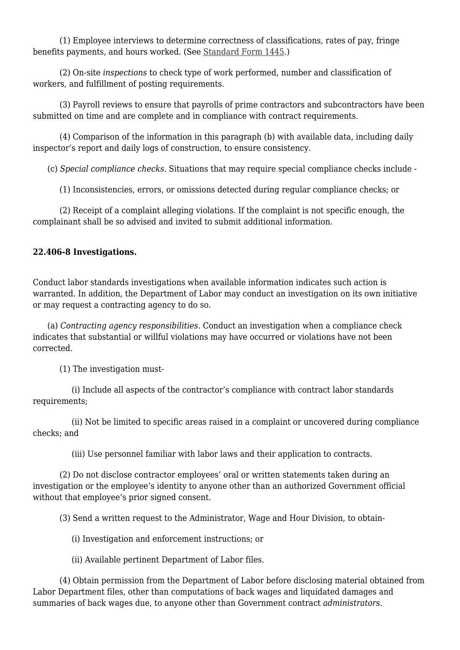(1) Employee interviews to determine correctness of classifications, rates of pay, fringe benefits payments, and hours worked. (See [Standard Form 1445.](https://www.gsa.gov/forms-library/labor-standards-interview-0))

 (2) On-site *inspections* to check type of work performed, number and classification of workers, and fulfillment of posting requirements.

 (3) Payroll reviews to ensure that payrolls of prime contractors and subcontractors have been submitted on time and are complete and in compliance with contract requirements.

 (4) Comparison of the information in this paragraph (b) with available data, including daily inspector's report and daily logs of construction, to ensure consistency.

(c) *Special compliance checks*. Situations that may require special compliance checks include -

(1) Inconsistencies, errors, or omissions detected during regular compliance checks; or

 (2) Receipt of a complaint alleging violations. If the complaint is not specific enough, the complainant shall be so advised and invited to submit additional information.

## **22.406-8 Investigations.**

Conduct labor standards investigations when available information indicates such action is warranted. In addition, the Department of Labor may conduct an investigation on its own initiative or may request a contracting agency to do so.

 (a) *Contracting agency responsibilities*. Conduct an investigation when a compliance check indicates that substantial or willful violations may have occurred or violations have not been corrected.

(1) The investigation must-

 (i) Include all aspects of the contractor's compliance with contract labor standards requirements;

 (ii) Not be limited to specific areas raised in a complaint or uncovered during compliance checks; and

(iii) Use personnel familiar with labor laws and their application to contracts.

 (2) Do not disclose contractor employees' oral or written statements taken during an investigation or the employee's identity to anyone other than an authorized Government official without that employee's prior signed consent.

(3) Send a written request to the Administrator, Wage and Hour Division, to obtain-

(i) Investigation and enforcement instructions; or

(ii) Available pertinent Department of Labor files.

 (4) Obtain permission from the Department of Labor before disclosing material obtained from Labor Department files, other than computations of back wages and liquidated damages and summaries of back wages due, to anyone other than Government contract *administrators*.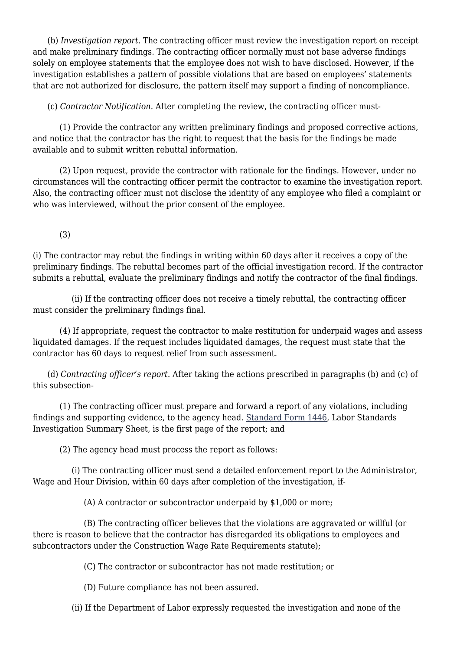(b) *Investigation report.* The contracting officer must review the investigation report on receipt and make preliminary findings. The contracting officer normally must not base adverse findings solely on employee statements that the employee does not wish to have disclosed. However, if the investigation establishes a pattern of possible violations that are based on employees' statements that are not authorized for disclosure, the pattern itself may support a finding of noncompliance.

(c) *Contractor Notification.* After completing the review, the contracting officer must-

 (1) Provide the contractor any written preliminary findings and proposed corrective actions, and notice that the contractor has the right to request that the basis for the findings be made available and to submit written rebuttal information.

 (2) Upon request, provide the contractor with rationale for the findings. However, under no circumstances will the contracting officer permit the contractor to examine the investigation report. Also, the contracting officer must not disclose the identity of any employee who filed a complaint or who was interviewed, without the prior consent of the employee.

(3)

(i) The contractor may rebut the findings in writing within 60 days after it receives a copy of the preliminary findings. The rebuttal becomes part of the official investigation record. If the contractor submits a rebuttal, evaluate the preliminary findings and notify the contractor of the final findings.

 (ii) If the contracting officer does not receive a timely rebuttal, the contracting officer must consider the preliminary findings final.

 (4) If appropriate, request the contractor to make restitution for underpaid wages and assess liquidated damages. If the request includes liquidated damages, the request must state that the contractor has 60 days to request relief from such assessment.

 (d) *Contracting officer's report.* After taking the actions prescribed in paragraphs (b) and (c) of this subsection-

 (1) The contracting officer must prepare and forward a report of any violations, including findings and supporting evidence, to the agency head. [Standard Form 1446](https://www.gsa.gov/forms-library/labor-standards-investigation-summary-sheet), Labor Standards Investigation Summary Sheet, is the first page of the report; and

(2) The agency head must process the report as follows:

 (i) The contracting officer must send a detailed enforcement report to the Administrator, Wage and Hour Division, within 60 days after completion of the investigation, if-

(A) A contractor or subcontractor underpaid by \$1,000 or more;

 (B) The contracting officer believes that the violations are aggravated or willful (or there is reason to believe that the contractor has disregarded its obligations to employees and subcontractors under the Construction Wage Rate Requirements statute);

(C) The contractor or subcontractor has not made restitution; or

(D) Future compliance has not been assured.

(ii) If the Department of Labor expressly requested the investigation and none of the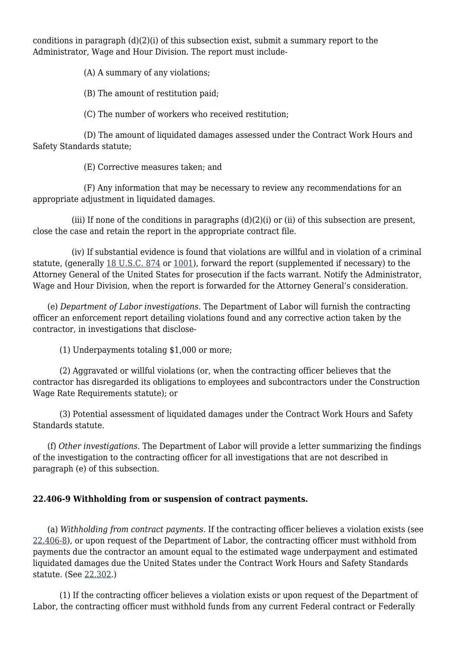conditions in paragraph (d)(2)(i) of this subsection exist, submit a summary report to the Administrator, Wage and Hour Division. The report must include-

(A) A summary of any violations;

(B) The amount of restitution paid;

(C) The number of workers who received restitution;

 (D) The amount of liquidated damages assessed under the Contract Work Hours and Safety Standards statute;

(E) Corrective measures taken; and

 (F) Any information that may be necessary to review any recommendations for an appropriate adjustment in liquidated damages.

(iii) If none of the conditions in paragraphs  $(d)(2)(i)$  or (ii) of this subsection are present, close the case and retain the report in the appropriate contract file.

 (iv) If substantial evidence is found that violations are willful and in violation of a criminal statute, (generally [18 U.S.C. 874](http://uscode.house.gov/browse.xhtml;jsessionid=114A3287C7B3359E597506A31FC855B3) or [1001\)](http://uscode.house.gov/browse.xhtml;jsessionid=114A3287C7B3359E597506A31FC855B3), forward the report (supplemented if necessary) to the Attorney General of the United States for prosecution if the facts warrant. Notify the Administrator, Wage and Hour Division, when the report is forwarded for the Attorney General's consideration.

 (e) *Department of Labor investigations*. The Department of Labor will furnish the contracting officer an enforcement report detailing violations found and any corrective action taken by the contractor, in investigations that disclose-

(1) Underpayments totaling \$1,000 or more;

 (2) Aggravated or willful violations (or, when the contracting officer believes that the contractor has disregarded its obligations to employees and subcontractors under the Construction Wage Rate Requirements statute); or

 (3) Potential assessment of liquidated damages under the Contract Work Hours and Safety Standards statute.

 (f) *Other investigations*. The Department of Labor will provide a letter summarizing the findings of the investigation to the contracting officer for all investigations that are not described in paragraph (e) of this subsection.

### **22.406-9 Withholding from or suspension of contract payments.**

 (a) *Withholding from contract payments*. If the contracting officer believes a violation exists (see [22.406-8\)](#page--1-0), or upon request of the Department of Labor, the contracting officer must withhold from payments due the contractor an amount equal to the estimated wage underpayment and estimated liquidated damages due the United States under the Contract Work Hours and Safety Standards statute. (See [22.302](#page--1-0).)

 (1) If the contracting officer believes a violation exists or upon request of the Department of Labor, the contracting officer must withhold funds from any current Federal contract or Federally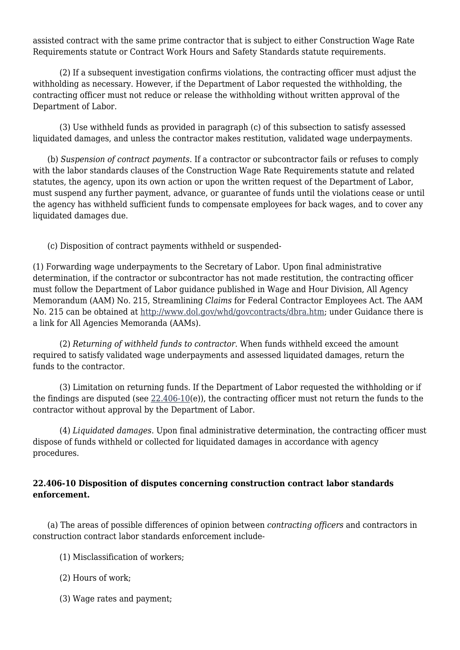assisted contract with the same prime contractor that is subject to either Construction Wage Rate Requirements statute or Contract Work Hours and Safety Standards statute requirements.

 (2) If a subsequent investigation confirms violations, the contracting officer must adjust the withholding as necessary. However, if the Department of Labor requested the withholding, the contracting officer must not reduce or release the withholding without written approval of the Department of Labor.

 (3) Use withheld funds as provided in paragraph (c) of this subsection to satisfy assessed liquidated damages, and unless the contractor makes restitution, validated wage underpayments.

 (b) *Suspension of contract payments*. If a contractor or subcontractor fails or refuses to comply with the labor standards clauses of the Construction Wage Rate Requirements statute and related statutes, the agency, upon its own action or upon the written request of the Department of Labor, must suspend any further payment, advance, or guarantee of funds until the violations cease or until the agency has withheld sufficient funds to compensate employees for back wages, and to cover any liquidated damages due.

(c) Disposition of contract payments withheld or suspended-

(1) Forwarding wage underpayments to the Secretary of Labor. Upon final administrative determination, if the contractor or subcontractor has not made restitution, the contracting officer must follow the Department of Labor guidance published in Wage and Hour Division, All Agency Memorandum (AAM) No. 215, Streamlining *Claims* for Federal Contractor Employees Act. The AAM No. 215 can be obtained at [http://www.dol.gov/whd/govcontracts/dbra.htm;](http://www.dol.gov/whd/govcontracts/dbra.htm) under Guidance there is a link for All Agencies Memoranda (AAMs).

 (2) *Returning of withheld funds to contractor*. When funds withheld exceed the amount required to satisfy validated wage underpayments and assessed liquidated damages, return the funds to the contractor.

 (3) Limitation on returning funds. If the Department of Labor requested the withholding or if the findings are disputed (see [22.406-10](#page--1-0)(e)), the contracting officer must not return the funds to the contractor without approval by the Department of Labor.

 (4) *Liquidated damages*. Upon final administrative determination, the contracting officer must dispose of funds withheld or collected for liquidated damages in accordance with agency procedures.

### **22.406-10 Disposition of disputes concerning construction contract labor standards enforcement.**

 (a) The areas of possible differences of opinion between *contracting officers* and contractors in construction contract labor standards enforcement include-

(1) Misclassification of workers;

- (2) Hours of work;
- (3) Wage rates and payment;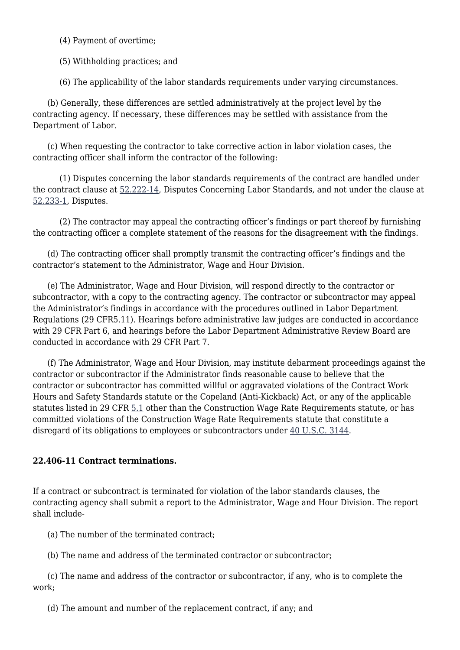(4) Payment of overtime;

(5) Withholding practices; and

(6) The applicability of the labor standards requirements under varying circumstances.

 (b) Generally, these differences are settled administratively at the project level by the contracting agency. If necessary, these differences may be settled with assistance from the Department of Labor.

 (c) When requesting the contractor to take corrective action in labor violation cases, the contracting officer shall inform the contractor of the following:

 (1) Disputes concerning the labor standards requirements of the contract are handled under the contract clause at [52.222-14,](https://login.acquisition.gov/far/part-52#FAR_52_222_14) Disputes Concerning Labor Standards, and not under the clause at [52.233-1,](https://login.acquisition.gov/far/part-52#FAR_52_233_1) Disputes.

 (2) The contractor may appeal the contracting officer's findings or part thereof by furnishing the contracting officer a complete statement of the reasons for the disagreement with the findings.

 (d) The contracting officer shall promptly transmit the contracting officer's findings and the contractor's statement to the Administrator, Wage and Hour Division.

 (e) The Administrator, Wage and Hour Division, will respond directly to the contractor or subcontractor, with a copy to the contracting agency. The contractor or subcontractor may appeal the Administrator's findings in accordance with the procedures outlined in Labor Department Regulations (29 CFR5.11). Hearings before administrative law judges are conducted in accordance with 29 CFR Part 6, and hearings before the Labor Department Administrative Review Board are conducted in accordance with 29 CFR Part 7.

 (f) The Administrator, Wage and Hour Division, may institute debarment proceedings against the contractor or subcontractor if the Administrator finds reasonable cause to believe that the contractor or subcontractor has committed willful or aggravated violations of the Contract Work Hours and Safety Standards statute or the Copeland (Anti-Kickback) Act, or any of the applicable statutes listed in 29 CFR [5.1](https://login.acquisition.gov/far/part-5#FAR_Subpart_5_1) other than the Construction Wage Rate Requirements statute, or has committed violations of the Construction Wage Rate Requirements statute that constitute a disregard of its obligations to employees or subcontractors under [40 U.S.C. 3144.](http://uscode.house.gov/browse.xhtml;jsessionid=114A3287C7B3359E597506A31FC855B3)

### **22.406-11 Contract terminations.**

If a contract or subcontract is terminated for violation of the labor standards clauses, the contracting agency shall submit a report to the Administrator, Wage and Hour Division. The report shall include-

(a) The number of the terminated contract;

(b) The name and address of the terminated contractor or subcontractor;

 (c) The name and address of the contractor or subcontractor, if any, who is to complete the work;

(d) The amount and number of the replacement contract, if any; and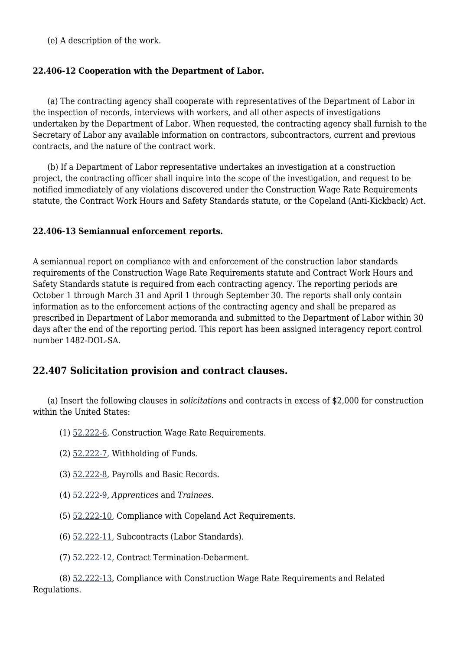(e) A description of the work.

#### **22.406-12 Cooperation with the Department of Labor.**

 (a) The contracting agency shall cooperate with representatives of the Department of Labor in the inspection of records, interviews with workers, and all other aspects of investigations undertaken by the Department of Labor. When requested, the contracting agency shall furnish to the Secretary of Labor any available information on contractors, subcontractors, current and previous contracts, and the nature of the contract work.

 (b) If a Department of Labor representative undertakes an investigation at a construction project, the contracting officer shall inquire into the scope of the investigation, and request to be notified immediately of any violations discovered under the Construction Wage Rate Requirements statute, the Contract Work Hours and Safety Standards statute, or the Copeland (Anti-Kickback) Act.

#### **22.406-13 Semiannual enforcement reports.**

A semiannual report on compliance with and enforcement of the construction labor standards requirements of the Construction Wage Rate Requirements statute and Contract Work Hours and Safety Standards statute is required from each contracting agency. The reporting periods are October 1 through March 31 and April 1 through September 30. The reports shall only contain information as to the enforcement actions of the contracting agency and shall be prepared as prescribed in Department of Labor memoranda and submitted to the Department of Labor within 30 days after the end of the reporting period. This report has been assigned interagency report control number 1482-DOL-SA.

## **22.407 Solicitation provision and contract clauses.**

 (a) Insert the following clauses in *solicitations* and contracts in excess of \$2,000 for construction within the United States:

- (1) [52.222-6,](https://login.acquisition.gov/far/part-52#FAR_52_222_6) Construction Wage Rate Requirements.
- $(2)$  [52.222-7,](https://login.acquisition.gov/far/part-52#FAR_52_222_7) Withholding of Funds.
- (3) [52.222-8,](https://login.acquisition.gov/far/part-52#FAR_52_222_8) Payrolls and Basic Records.
- (4) [52.222-9,](https://login.acquisition.gov/far/part-52#FAR_52_222_9) *Apprentices* and *Trainees*.
- (5) [52.222-10,](https://login.acquisition.gov/far/part-52#FAR_52_222_10) Compliance with Copeland Act Requirements.
- (6) [52.222-11,](https://login.acquisition.gov/far/part-52#FAR_52_222_11) Subcontracts (Labor Standards).
- (7) [52.222-12,](https://login.acquisition.gov/far/part-52#FAR_52_222_12) Contract Termination-Debarment.

 (8) [52.222-13,](https://login.acquisition.gov/far/part-52#FAR_52_222_13) Compliance with Construction Wage Rate Requirements and Related Regulations.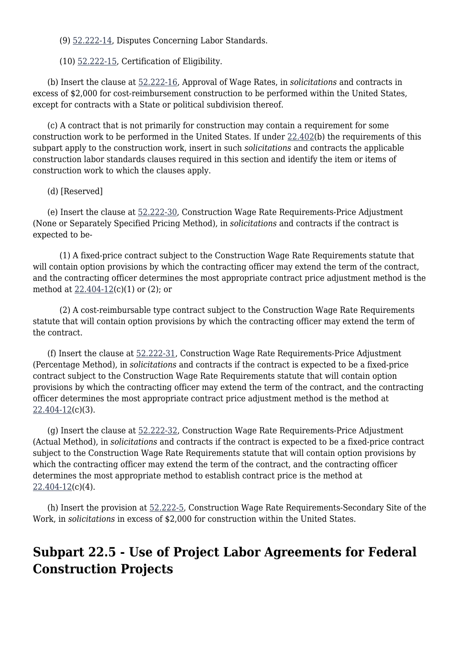(9) [52.222-14,](https://login.acquisition.gov/far/part-52#FAR_52_222_14) Disputes Concerning Labor Standards.

(10) [52.222-15](https://login.acquisition.gov/far/part-52#FAR_52_222_15), Certification of Eligibility.

 (b) Insert the clause at [52.222-16,](https://login.acquisition.gov/far/part-52#FAR_52_222_16) Approval of Wage Rates, in *solicitations* and contracts in excess of \$2,000 for cost-reimbursement construction to be performed within the United States, except for contracts with a State or political subdivision thereof.

 (c) A contract that is not primarily for construction may contain a requirement for some construction work to be performed in the United States. If under  $22.402(b)$  the requirements of this subpart apply to the construction work, insert in such *solicitations* and contracts the applicable construction labor standards clauses required in this section and identify the item or items of construction work to which the clauses apply.

#### (d) [Reserved]

 (e) Insert the clause at [52.222-30](https://login.acquisition.gov/far/part-52#FAR_52_222_30), Construction Wage Rate Requirements-Price Adjustment (None or Separately Specified Pricing Method), in *solicitations* and contracts if the contract is expected to be-

 (1) A fixed-price contract subject to the Construction Wage Rate Requirements statute that will contain option provisions by which the contracting officer may extend the term of the contract, and the contracting officer determines the most appropriate contract price adjustment method is the method at [22.404-12](#page--1-0)(c)(1) or (2); or

 (2) A cost-reimbursable type contract subject to the Construction Wage Rate Requirements statute that will contain option provisions by which the contracting officer may extend the term of the contract.

 (f) Insert the clause at [52.222-31,](https://login.acquisition.gov/far/part-52#FAR_52_222_31) Construction Wage Rate Requirements-Price Adjustment (Percentage Method), in *solicitations* and contracts if the contract is expected to be a fixed-price contract subject to the Construction Wage Rate Requirements statute that will contain option provisions by which the contracting officer may extend the term of the contract, and the contracting officer determines the most appropriate contract price adjustment method is the method at [22.404-12](#page--1-0)(c)(3).

 (g) Insert the clause at [52.222-32,](https://login.acquisition.gov/far/part-52#FAR_52_222_32) Construction Wage Rate Requirements-Price Adjustment (Actual Method), in *solicitations* and contracts if the contract is expected to be a fixed-price contract subject to the Construction Wage Rate Requirements statute that will contain option provisions by which the contracting officer may extend the term of the contract, and the contracting officer determines the most appropriate method to establish contract price is the method at [22.404-12](#page--1-0)(c)(4).

 (h) Insert the provision at [52.222-5,](https://login.acquisition.gov/far/part-52#FAR_52_222_5) Construction Wage Rate Requirements-Secondary Site of the Work, in *solicitations* in excess of \$2,000 for construction within the United States.

# **Subpart 22.5 - Use of Project Labor Agreements for Federal Construction Projects**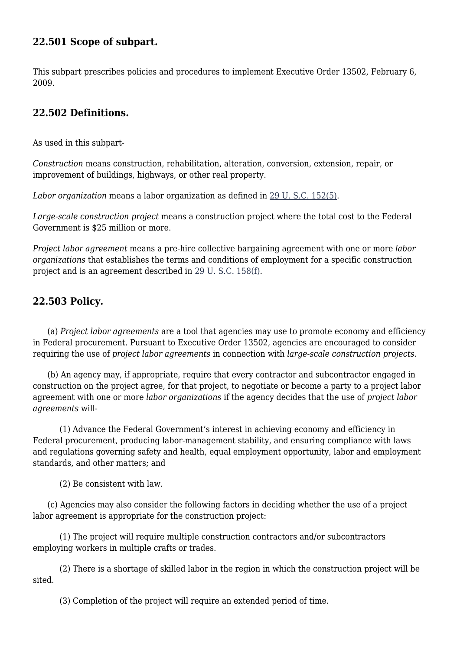# **22.501 Scope of subpart.**

This subpart prescribes policies and procedures to implement Executive Order 13502, February 6, 2009.

## **22.502 Definitions.**

As used in this subpart-

*Construction* means construction, rehabilitation, alteration, conversion, extension, repair, or improvement of buildings, highways, or other real property.

*Labor organization* means a labor organization as defined in [29 U. S.C. 152\(5\)](http://uscode.house.gov/browse.xhtml;jsessionid=114A3287C7B3359E597506A31FC855B3).

*Large-scale construction project* means a construction project where the total cost to the Federal Government is \$25 million or more.

*Project labor agreement* means a pre-hire collective bargaining agreement with one or more *labor organizations* that establishes the terms and conditions of employment for a specific construction project and is an agreement described in [29 U. S.C. 158\(f\).](http://uscode.house.gov/browse.xhtml;jsessionid=114A3287C7B3359E597506A31FC855B3)

# **22.503 Policy.**

 (a) *Project labor agreements* are a tool that agencies may use to promote economy and efficiency in Federal procurement. Pursuant to Executive Order 13502, agencies are encouraged to consider requiring the use of *project labor agreements* in connection with *large-scale construction projects*.

 (b) An agency may, if appropriate, require that every contractor and subcontractor engaged in construction on the project agree, for that project, to negotiate or become a party to a project labor agreement with one or more *labor organizations* if the agency decides that the use of *project labor agreements* will-

 (1) Advance the Federal Government's interest in achieving economy and efficiency in Federal procurement, producing labor-management stability, and ensuring compliance with laws and regulations governing safety and health, equal employment opportunity, labor and employment standards, and other matters; and

(2) Be consistent with law.

 (c) Agencies may also consider the following factors in deciding whether the use of a project labor agreement is appropriate for the construction project:

 (1) The project will require multiple construction contractors and/or subcontractors employing workers in multiple crafts or trades.

 (2) There is a shortage of skilled labor in the region in which the construction project will be sited.

(3) Completion of the project will require an extended period of time.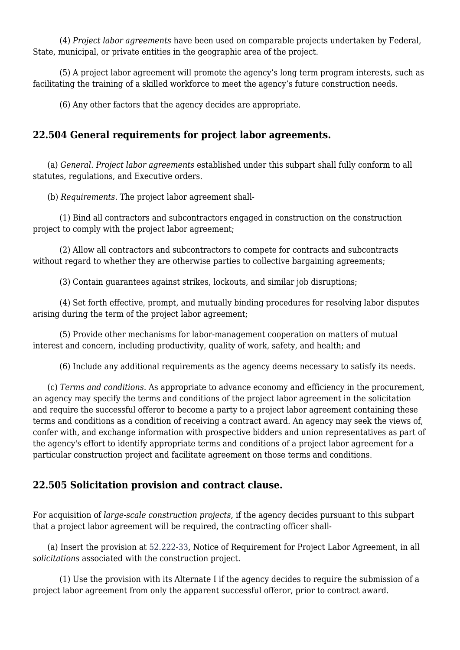(4) *Project labor agreements* have been used on comparable projects undertaken by Federal, State, municipal, or private entities in the geographic area of the project.

 (5) A project labor agreement will promote the agency's long term program interests, such as facilitating the training of a skilled workforce to meet the agency's future construction needs.

(6) Any other factors that the agency decides are appropriate.

# **22.504 General requirements for project labor agreements.**

 (a) *General*. *Project labor agreements* established under this subpart shall fully conform to all statutes, regulations, and Executive orders.

(b) *Requirements*. The project labor agreement shall-

 (1) Bind all contractors and subcontractors engaged in construction on the construction project to comply with the project labor agreement;

 (2) Allow all contractors and subcontractors to compete for contracts and subcontracts without regard to whether they are otherwise parties to collective bargaining agreements;

(3) Contain guarantees against strikes, lockouts, and similar job disruptions;

 (4) Set forth effective, prompt, and mutually binding procedures for resolving labor disputes arising during the term of the project labor agreement;

 (5) Provide other mechanisms for labor-management cooperation on matters of mutual interest and concern, including productivity, quality of work, safety, and health; and

(6) Include any additional requirements as the agency deems necessary to satisfy its needs.

 (c) *Terms and conditions*. As appropriate to advance economy and efficiency in the procurement, an agency may specify the terms and conditions of the project labor agreement in the solicitation and require the successful offeror to become a party to a project labor agreement containing these terms and conditions as a condition of receiving a contract award. An agency may seek the views of, confer with, and exchange information with prospective bidders and union representatives as part of the agency's effort to identify appropriate terms and conditions of a project labor agreement for a particular construction project and facilitate agreement on those terms and conditions.

# **22.505 Solicitation provision and contract clause.**

For acquisition of *large-scale construction projects*, if the agency decides pursuant to this subpart that a project labor agreement will be required, the contracting officer shall-

 (a) Insert the provision at [52.222-33,](https://login.acquisition.gov/far/part-52#FAR_52_222_33) Notice of Requirement for Project Labor Agreement, in all *solicitations* associated with the construction project.

 (1) Use the provision with its Alternate I if the agency decides to require the submission of a project labor agreement from only the apparent successful offeror, prior to contract award.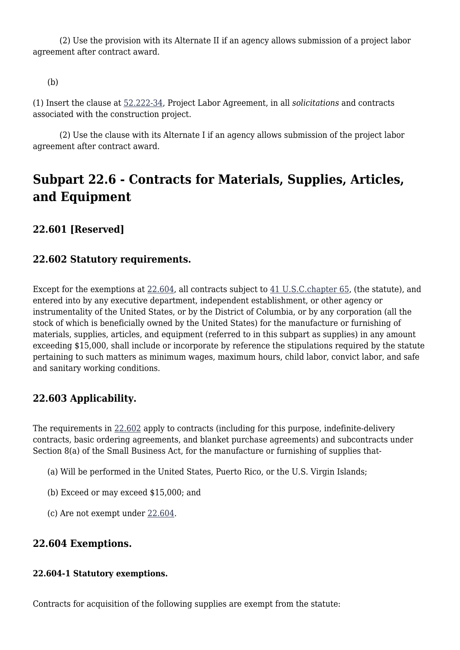(2) Use the provision with its Alternate II if an agency allows submission of a project labor agreement after contract award.

(b)

(1) Insert the clause at [52.222-34,](https://login.acquisition.gov/far/part-52#FAR_52_222_34) Project Labor Agreement, in all *solicitations* and contracts associated with the construction project.

 (2) Use the clause with its Alternate I if an agency allows submission of the project labor agreement after contract award.

# **Subpart 22.6 - Contracts for Materials, Supplies, Articles, and Equipment**

# **22.601 [Reserved]**

## **22.602 Statutory requirements.**

Except for the exemptions at [22.604](#page--1-0), all contracts subject to [41 U.S.C.chapter 65,](http://uscode.house.gov/browse.xhtml;jsessionid=114A3287C7B3359E597506A31FC855B3) (the statute), and entered into by any executive department, independent establishment, or other agency or instrumentality of the United States, or by the District of Columbia, or by any corporation (all the stock of which is beneficially owned by the United States) for the manufacture or furnishing of materials, supplies, articles, and equipment (referred to in this subpart as supplies) in any amount exceeding \$15,000, shall include or incorporate by reference the stipulations required by the statute pertaining to such matters as minimum wages, maximum hours, child labor, convict labor, and safe and sanitary working conditions.

# **22.603 Applicability.**

The requirements in [22.602](#page--1-0) apply to contracts (including for this purpose, indefinite-delivery contracts, basic ordering agreements, and blanket purchase agreements) and subcontracts under Section 8(a) of the Small Business Act, for the manufacture or furnishing of supplies that-

- (a) Will be performed in the United States, Puerto Rico, or the U.S. Virgin Islands;
- (b) Exceed or may exceed \$15,000; and
- (c) Are not exempt under [22.604.](#page--1-0)

# **22.604 Exemptions.**

## **22.604-1 Statutory exemptions.**

Contracts for acquisition of the following supplies are exempt from the statute: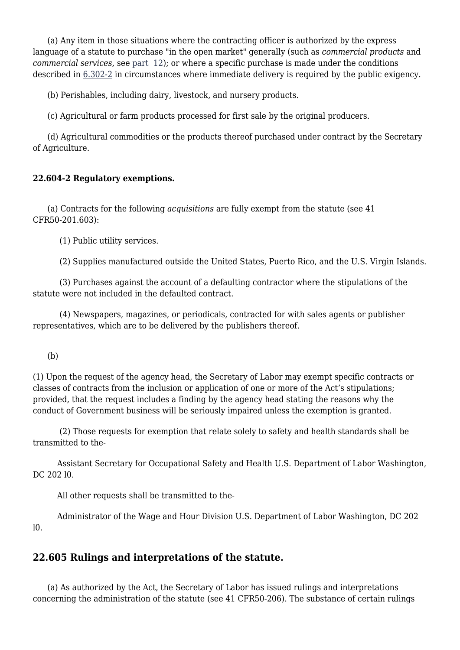(a) Any item in those situations where the contracting officer is authorized by the express language of a statute to purchase "in the open market" generally (such as *commercial products* and *commercial services*, see [part 12](https://login.acquisition.gov/far/part-12#FAR_Part_12)); or where a specific purchase is made under the conditions described in [6.302-2](https://login.acquisition.gov/far/part-6#FAR_6_302_2) in circumstances where immediate delivery is required by the public exigency.

(b) Perishables, including dairy, livestock, and nursery products.

(c) Agricultural or farm products processed for first sale by the original producers.

 (d) Agricultural commodities or the products thereof purchased under contract by the Secretary of Agriculture.

#### **22.604-2 Regulatory exemptions.**

 (a) Contracts for the following *acquisitions* are fully exempt from the statute (see 41 CFR50-201.603):

(1) Public utility services.

(2) Supplies manufactured outside the United States, Puerto Rico, and the U.S. Virgin Islands.

 (3) Purchases against the account of a defaulting contractor where the stipulations of the statute were not included in the defaulted contract.

 (4) Newspapers, magazines, or periodicals, contracted for with sales agents or publisher representatives, which are to be delivered by the publishers thereof.

#### (b)

(1) Upon the request of the agency head, the Secretary of Labor may exempt specific contracts or classes of contracts from the inclusion or application of one or more of the Act's stipulations; provided, that the request includes a finding by the agency head stating the reasons why the conduct of Government business will be seriously impaired unless the exemption is granted.

 (2) Those requests for exemption that relate solely to safety and health standards shall be transmitted to the-

 Assistant Secretary for Occupational Safety and Health U.S. Department of Labor Washington, DC 202 10.

All other requests shall be transmitted to the-

 Administrator of the Wage and Hour Division U.S. Department of Labor Washington, DC 202  $10<sup>-10</sup>$ 

# **22.605 Rulings and interpretations of the statute.**

 (a) As authorized by the Act, the Secretary of Labor has issued rulings and interpretations concerning the administration of the statute (see 41 CFR50-206). The substance of certain rulings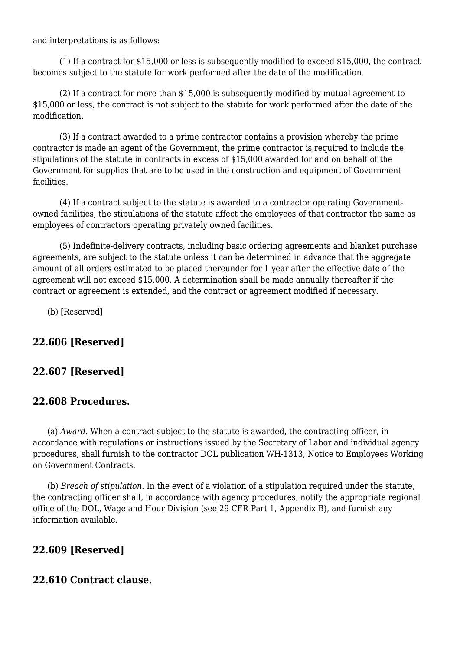and interpretations is as follows:

 (1) If a contract for \$15,000 or less is subsequently modified to exceed \$15,000, the contract becomes subject to the statute for work performed after the date of the modification.

 (2) If a contract for more than \$15,000 is subsequently modified by mutual agreement to \$15,000 or less, the contract is not subject to the statute for work performed after the date of the modification.

 (3) If a contract awarded to a prime contractor contains a provision whereby the prime contractor is made an agent of the Government, the prime contractor is required to include the stipulations of the statute in contracts in excess of \$15,000 awarded for and on behalf of the Government for supplies that are to be used in the construction and equipment of Government facilities.

 (4) If a contract subject to the statute is awarded to a contractor operating Governmentowned facilities, the stipulations of the statute affect the employees of that contractor the same as employees of contractors operating privately owned facilities.

 (5) Indefinite-delivery contracts, including basic ordering agreements and blanket purchase agreements, are subject to the statute unless it can be determined in advance that the aggregate amount of all orders estimated to be placed thereunder for 1 year after the effective date of the agreement will not exceed \$15,000. A determination shall be made annually thereafter if the contract or agreement is extended, and the contract or agreement modified if necessary.

(b) [Reserved]

## **22.606 [Reserved]**

### **22.607 [Reserved]**

### **22.608 Procedures.**

 (a) *Award*. When a contract subject to the statute is awarded, the contracting officer, in accordance with regulations or instructions issued by the Secretary of Labor and individual agency procedures, shall furnish to the contractor DOL publication WH-1313, Notice to Employees Working on Government Contracts.

 (b) *Breach of stipulation*. In the event of a violation of a stipulation required under the statute, the contracting officer shall, in accordance with agency procedures, notify the appropriate regional office of the DOL, Wage and Hour Division (see 29 CFR Part 1, Appendix B), and furnish any information available.

### **22.609 [Reserved]**

### **22.610 Contract clause.**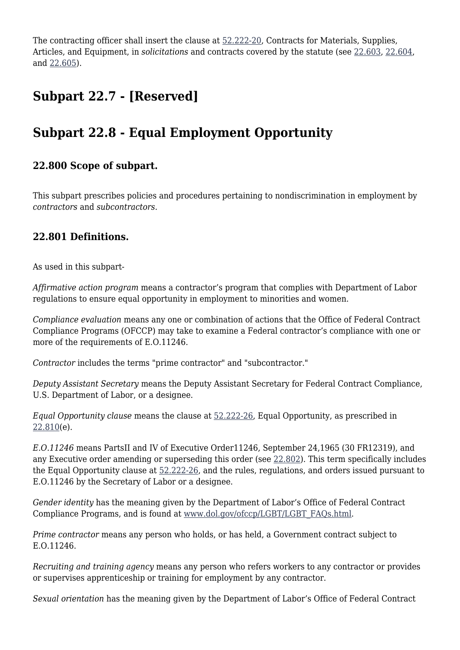The contracting officer shall insert the clause at [52.222-20](https://login.acquisition.gov/far/part-52#FAR_52_222_20), Contracts for Materials, Supplies, Articles, and Equipment, in *solicitations* and contracts covered by the statute (see [22.603, 22.604,](#page--1-0) and [22.605\)](#page--1-0).

# **Subpart 22.7 - [Reserved]**

# **Subpart 22.8 - Equal Employment Opportunity**

# **22.800 Scope of subpart.**

This subpart prescribes policies and procedures pertaining to nondiscrimination in employment by *contractors* and *subcontractors*.

# **22.801 Definitions.**

As used in this subpart-

*Affirmative action program* means a contractor's program that complies with Department of Labor regulations to ensure equal opportunity in employment to minorities and women.

*Compliance evaluation* means any one or combination of actions that the Office of Federal Contract Compliance Programs (OFCCP) may take to examine a Federal contractor's compliance with one or more of the requirements of E.O.11246.

*Contractor* includes the terms "prime contractor" and "subcontractor."

*Deputy Assistant Secretary* means the Deputy Assistant Secretary for Federal Contract Compliance, U.S. Department of Labor, or a designee.

*Equal Opportunity clause* means the clause at [52.222-26](https://login.acquisition.gov/far/part-52#FAR_52_222_26), Equal Opportunity, as prescribed in [22.810](#page--1-0)(e).

*E.O.11246* means PartsII and IV of Executive Order11246, September 24,1965 (30 FR12319), and any Executive order amending or superseding this order (see  $22.802$ ). This term specifically includes the Equal Opportunity clause at [52.222-26,](https://login.acquisition.gov/far/part-52#FAR_52_222_26) and the rules, regulations, and orders issued pursuant to E.O.11246 by the Secretary of Labor or a designee.

*Gender identity* has the meaning given by the Department of Labor's Office of Federal Contract Compliance Programs, and is found at [www.dol.gov/ofccp/LGBT/LGBT\\_FAQs.html](http://www.dol.gov/ofccp/LGBT/LGBT_FAQs.html).

*Prime contractor* means any person who holds, or has held, a Government contract subject to E.O.11246.

*Recruiting and training agency* means any person who refers workers to any contractor or provides or supervises apprenticeship or training for employment by any contractor.

*Sexual orientation* has the meaning given by the Department of Labor's Office of Federal Contract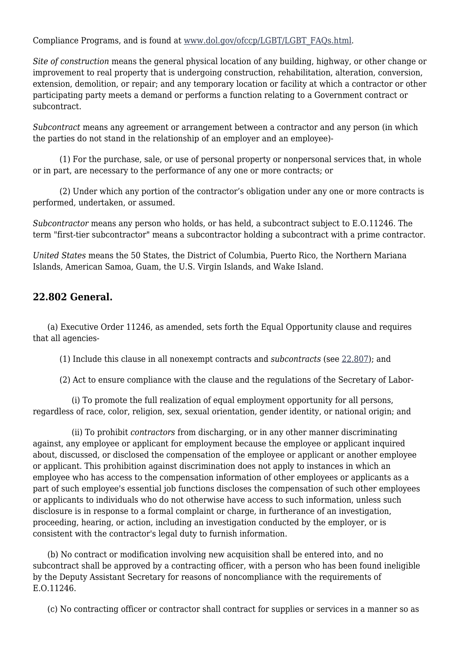Compliance Programs, and is found at www.dol.gov/ofccp/LGBT/LGBT\_FAOs.html.

*Site of construction* means the general physical location of any building, highway, or other change or improvement to real property that is undergoing construction, rehabilitation, alteration, conversion, extension, demolition, or repair; and any temporary location or facility at which a contractor or other participating party meets a demand or performs a function relating to a Government contract or subcontract.

*Subcontract* means any agreement or arrangement between a contractor and any person (in which the parties do not stand in the relationship of an employer and an employee)-

 (1) For the purchase, sale, or use of personal property or nonpersonal services that, in whole or in part, are necessary to the performance of any one or more contracts; or

 (2) Under which any portion of the contractor's obligation under any one or more contracts is performed, undertaken, or assumed.

*Subcontractor* means any person who holds, or has held, a subcontract subject to E.O.11246. The term "first-tier subcontractor" means a subcontractor holding a subcontract with a prime contractor.

*United States* means the 50 States, the District of Columbia, Puerto Rico, the Northern Mariana Islands, American Samoa, Guam, the U.S. Virgin Islands, and Wake Island.

## **22.802 General.**

 (a) Executive Order 11246, as amended, sets forth the Equal Opportunity clause and requires that all agencies-

(1) Include this clause in all nonexempt contracts and *subcontracts* (see [22.807](#page--1-0)); and

(2) Act to ensure compliance with the clause and the regulations of the Secretary of Labor-

 (i) To promote the full realization of equal employment opportunity for all persons, regardless of race, color, religion, sex, sexual orientation, gender identity, or national origin; and

 (ii) To prohibit *contractors* from discharging, or in any other manner discriminating against, any employee or applicant for employment because the employee or applicant inquired about, discussed, or disclosed the compensation of the employee or applicant or another employee or applicant. This prohibition against discrimination does not apply to instances in which an employee who has access to the compensation information of other employees or applicants as a part of such employee's essential job functions discloses the compensation of such other employees or applicants to individuals who do not otherwise have access to such information, unless such disclosure is in response to a formal complaint or charge, in furtherance of an investigation, proceeding, hearing, or action, including an investigation conducted by the employer, or is consistent with the contractor's legal duty to furnish information.

 (b) No contract or modification involving new acquisition shall be entered into, and no subcontract shall be approved by a contracting officer, with a person who has been found ineligible by the Deputy Assistant Secretary for reasons of noncompliance with the requirements of E.O.11246.

(c) No contracting officer or contractor shall contract for supplies or services in a manner so as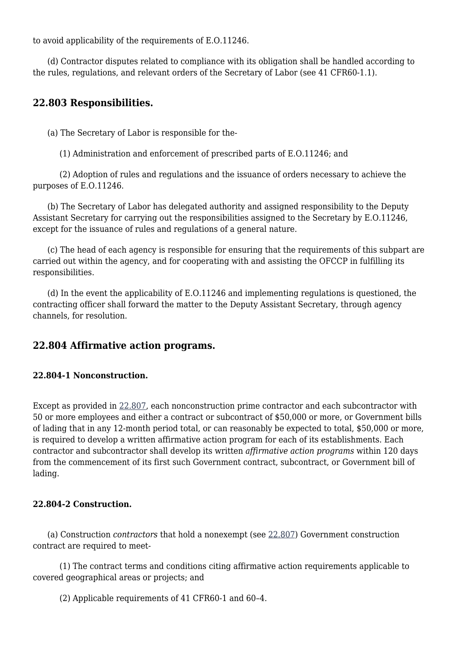to avoid applicability of the requirements of E.O.11246.

 (d) Contractor disputes related to compliance with its obligation shall be handled according to the rules, regulations, and relevant orders of the Secretary of Labor (see 41 CFR60-1.1).

## **22.803 Responsibilities.**

(a) The Secretary of Labor is responsible for the-

(1) Administration and enforcement of prescribed parts of E.O.11246; and

 (2) Adoption of rules and regulations and the issuance of orders necessary to achieve the purposes of E.O.11246.

 (b) The Secretary of Labor has delegated authority and assigned responsibility to the Deputy Assistant Secretary for carrying out the responsibilities assigned to the Secretary by E.O.11246, except for the issuance of rules and regulations of a general nature.

 (c) The head of each agency is responsible for ensuring that the requirements of this subpart are carried out within the agency, and for cooperating with and assisting the OFCCP in fulfilling its responsibilities.

 (d) In the event the applicability of E.O.11246 and implementing regulations is questioned, the contracting officer shall forward the matter to the Deputy Assistant Secretary, through agency channels, for resolution.

## **22.804 Affirmative action programs.**

### **22.804-1 Nonconstruction.**

Except as provided in [22.807](#page--1-0), each nonconstruction prime contractor and each subcontractor with 50 or more employees and either a contract or subcontract of \$50,000 or more, or Government bills of lading that in any 12-month period total, or can reasonably be expected to total, \$50,000 or more, is required to develop a written affirmative action program for each of its establishments. Each contractor and subcontractor shall develop its written *affirmative action programs* within 120 days from the commencement of its first such Government contract, subcontract, or Government bill of lading.

### **22.804-2 Construction.**

 (a) Construction *contractors* that hold a nonexempt (see [22.807\)](#page--1-0) Government construction contract are required to meet-

 (1) The contract terms and conditions citing affirmative action requirements applicable to covered geographical areas or projects; and

(2) Applicable requirements of 41 CFR60-1 and 60–4.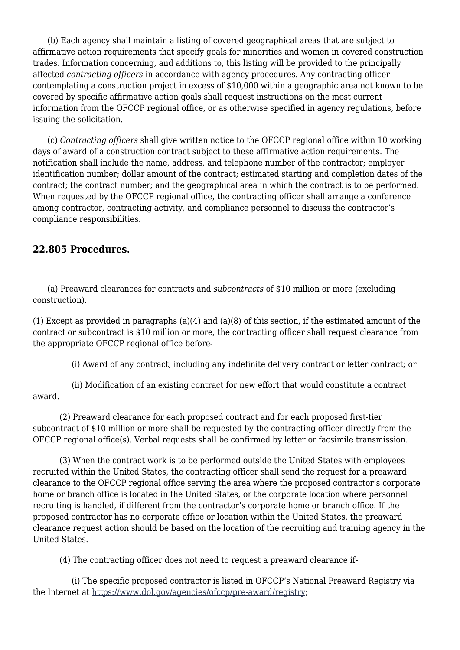(b) Each agency shall maintain a listing of covered geographical areas that are subject to affirmative action requirements that specify goals for minorities and women in covered construction trades. Information concerning, and additions to, this listing will be provided to the principally affected *contracting officers* in accordance with agency procedures. Any contracting officer contemplating a construction project in excess of \$10,000 within a geographic area not known to be covered by specific affirmative action goals shall request instructions on the most current information from the OFCCP regional office, or as otherwise specified in agency regulations, before issuing the solicitation.

 (c) *Contracting officers* shall give written notice to the OFCCP regional office within 10 working days of award of a construction contract subject to these affirmative action requirements. The notification shall include the name, address, and telephone number of the contractor; employer identification number; dollar amount of the contract; estimated starting and completion dates of the contract; the contract number; and the geographical area in which the contract is to be performed. When requested by the OFCCP regional office, the contracting officer shall arrange a conference among contractor, contracting activity, and compliance personnel to discuss the contractor's compliance responsibilities.

## **22.805 Procedures.**

 (a) Preaward clearances for contracts and *subcontracts* of \$10 million or more (excluding construction).

(1) Except as provided in paragraphs (a)(4) and (a)(8) of this section, if the estimated amount of the contract or subcontract is \$10 million or more, the contracting officer shall request clearance from the appropriate OFCCP regional office before-

(i) Award of any contract, including any indefinite delivery contract or letter contract; or

 (ii) Modification of an existing contract for new effort that would constitute a contract award.

 (2) Preaward clearance for each proposed contract and for each proposed first-tier subcontract of \$10 million or more shall be requested by the contracting officer directly from the OFCCP regional office(s). Verbal requests shall be confirmed by letter or facsimile transmission.

 (3) When the contract work is to be performed outside the United States with employees recruited within the United States, the contracting officer shall send the request for a preaward clearance to the OFCCP regional office serving the area where the proposed contractor's corporate home or branch office is located in the United States, or the corporate location where personnel recruiting is handled, if different from the contractor's corporate home or branch office. If the proposed contractor has no corporate office or location within the United States, the preaward clearance request action should be based on the location of the recruiting and training agency in the United States.

(4) The contracting officer does not need to request a preaward clearance if-

 (i) The specific proposed contractor is listed in OFCCP's National Preaward Registry via the Internet at<https://www.dol.gov/agencies/ofccp/pre-award/registry>;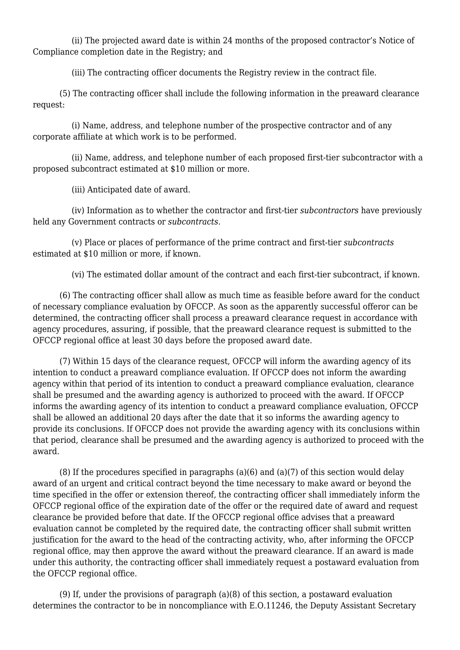(ii) The projected award date is within 24 months of the proposed contractor's Notice of Compliance completion date in the Registry; and

(iii) The contracting officer documents the Registry review in the contract file.

 (5) The contracting officer shall include the following information in the preaward clearance request:

 (i) Name, address, and telephone number of the prospective contractor and of any corporate affiliate at which work is to be performed.

 (ii) Name, address, and telephone number of each proposed first-tier subcontractor with a proposed subcontract estimated at \$10 million or more.

(iii) Anticipated date of award.

 (iv) Information as to whether the contractor and first-tier *subcontractors* have previously held any Government contracts or *subcontracts*.

 (v) Place or places of performance of the prime contract and first-tier *subcontracts* estimated at \$10 million or more, if known.

(vi) The estimated dollar amount of the contract and each first-tier subcontract, if known.

 (6) The contracting officer shall allow as much time as feasible before award for the conduct of necessary compliance evaluation by OFCCP. As soon as the apparently successful offeror can be determined, the contracting officer shall process a preaward clearance request in accordance with agency procedures, assuring, if possible, that the preaward clearance request is submitted to the OFCCP regional office at least 30 days before the proposed award date.

 (7) Within 15 days of the clearance request, OFCCP will inform the awarding agency of its intention to conduct a preaward compliance evaluation. If OFCCP does not inform the awarding agency within that period of its intention to conduct a preaward compliance evaluation, clearance shall be presumed and the awarding agency is authorized to proceed with the award. If OFCCP informs the awarding agency of its intention to conduct a preaward compliance evaluation, OFCCP shall be allowed an additional 20 days after the date that it so informs the awarding agency to provide its conclusions. If OFCCP does not provide the awarding agency with its conclusions within that period, clearance shall be presumed and the awarding agency is authorized to proceed with the award.

 (8) If the procedures specified in paragraphs (a)(6) and (a)(7) of this section would delay award of an urgent and critical contract beyond the time necessary to make award or beyond the time specified in the offer or extension thereof, the contracting officer shall immediately inform the OFCCP regional office of the expiration date of the offer or the required date of award and request clearance be provided before that date. If the OFCCP regional office advises that a preaward evaluation cannot be completed by the required date, the contracting officer shall submit written justification for the award to the head of the contracting activity, who, after informing the OFCCP regional office, may then approve the award without the preaward clearance. If an award is made under this authority, the contracting officer shall immediately request a postaward evaluation from the OFCCP regional office.

 (9) If, under the provisions of paragraph (a)(8) of this section, a postaward evaluation determines the contractor to be in noncompliance with E.O.11246, the Deputy Assistant Secretary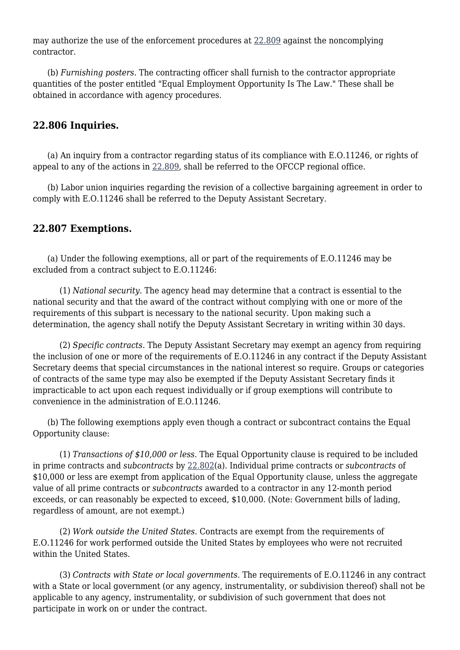may authorize the use of the enforcement procedures at [22.809](#page--1-0) against the noncomplying contractor.

 (b) *Furnishing posters*. The contracting officer shall furnish to the contractor appropriate quantities of the poster entitled "Equal Employment Opportunity Is The Law." These shall be obtained in accordance with agency procedures.

## **22.806 Inquiries.**

 (a) An inquiry from a contractor regarding status of its compliance with E.O.11246, or rights of appeal to any of the actions in [22.809,](#page--1-0) shall be referred to the OFCCP regional office.

 (b) Labor union inquiries regarding the revision of a collective bargaining agreement in order to comply with E.O.11246 shall be referred to the Deputy Assistant Secretary.

## **22.807 Exemptions.**

 (a) Under the following exemptions, all or part of the requirements of E.O.11246 may be excluded from a contract subject to E.O.11246:

 (1) *National security*. The agency head may determine that a contract is essential to the national security and that the award of the contract without complying with one or more of the requirements of this subpart is necessary to the national security. Upon making such a determination, the agency shall notify the Deputy Assistant Secretary in writing within 30 days.

 (2) *Specific contracts*. The Deputy Assistant Secretary may exempt an agency from requiring the inclusion of one or more of the requirements of E.O.11246 in any contract if the Deputy Assistant Secretary deems that special circumstances in the national interest so require. Groups or categories of contracts of the same type may also be exempted if the Deputy Assistant Secretary finds it impracticable to act upon each request individually or if group exemptions will contribute to convenience in the administration of E.O.11246.

 (b) The following exemptions apply even though a contract or subcontract contains the Equal Opportunity clause:

 (1) *Transactions of \$10,000 or less*. The Equal Opportunity clause is required to be included in prime contracts and *subcontracts* by [22.802](#page--1-0)(a). Individual prime contracts or *subcontracts* of \$10,000 or less are exempt from application of the Equal Opportunity clause, unless the aggregate value of all prime contracts or *subcontracts* awarded to a contractor in any 12-month period exceeds, or can reasonably be expected to exceed, \$10,000. (Note: Government bills of lading, regardless of amount, are not exempt.)

 (2) *Work outside the United States.* Contracts are exempt from the requirements of E.O.11246 for work performed outside the United States by employees who were not recruited within the United States.

 (3) *Contracts with State or local governments*. The requirements of E.O.11246 in any contract with a State or local government (or any agency, instrumentality, or subdivision thereof) shall not be applicable to any agency, instrumentality, or subdivision of such government that does not participate in work on or under the contract.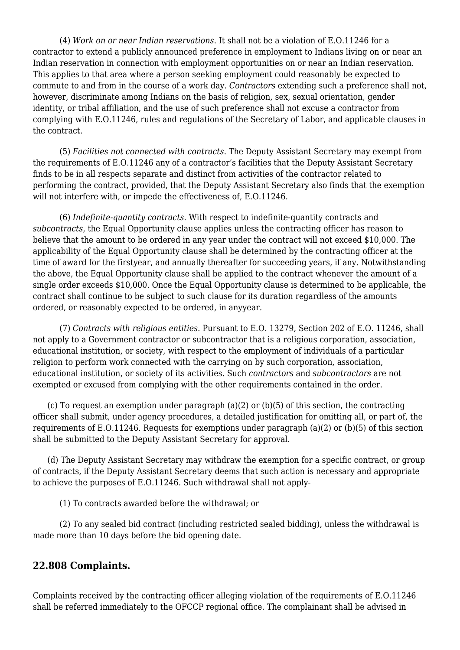(4) *Work on or near Indian reservations*. It shall not be a violation of E.O.11246 for a contractor to extend a publicly announced preference in employment to Indians living on or near an Indian reservation in connection with employment opportunities on or near an Indian reservation. This applies to that area where a person seeking employment could reasonably be expected to commute to and from in the course of a work day. *Contractors* extending such a preference shall not, however, discriminate among Indians on the basis of religion, sex, sexual orientation, gender identity, or tribal affiliation, and the use of such preference shall not excuse a contractor from complying with E.O.11246, rules and regulations of the Secretary of Labor, and applicable clauses in the contract.

 (5) *Facilities not connected with contracts*. The Deputy Assistant Secretary may exempt from the requirements of E.O.11246 any of a contractor's facilities that the Deputy Assistant Secretary finds to be in all respects separate and distinct from activities of the contractor related to performing the contract, provided, that the Deputy Assistant Secretary also finds that the exemption will not interfere with, or impede the effectiveness of, E.O.11246.

 (6) *Indefinite-quantity contracts*. With respect to indefinite-quantity contracts and *subcontracts*, the Equal Opportunity clause applies unless the contracting officer has reason to believe that the amount to be ordered in any year under the contract will not exceed \$10,000. The applicability of the Equal Opportunity clause shall be determined by the contracting officer at the time of award for the firstyear, and annually thereafter for succeeding years, if any. Notwithstanding the above, the Equal Opportunity clause shall be applied to the contract whenever the amount of a single order exceeds \$10,000. Once the Equal Opportunity clause is determined to be applicable, the contract shall continue to be subject to such clause for its duration regardless of the amounts ordered, or reasonably expected to be ordered, in anyyear.

 (7) *Contracts with religious entities*. Pursuant to E.O. 13279, Section 202 of E.O. 11246, shall not apply to a Government contractor or subcontractor that is a religious corporation, association, educational institution, or society, with respect to the employment of individuals of a particular religion to perform work connected with the carrying on by such corporation, association, educational institution, or society of its activities. Such *contractors* and *subcontractors* are not exempted or excused from complying with the other requirements contained in the order.

 (c) To request an exemption under paragraph (a)(2) or (b)(5) of this section, the contracting officer shall submit, under agency procedures, a detailed justification for omitting all, or part of, the requirements of E.O.11246. Requests for exemptions under paragraph (a)(2) or (b)(5) of this section shall be submitted to the Deputy Assistant Secretary for approval.

 (d) The Deputy Assistant Secretary may withdraw the exemption for a specific contract, or group of contracts, if the Deputy Assistant Secretary deems that such action is necessary and appropriate to achieve the purposes of E.O.11246. Such withdrawal shall not apply-

(1) To contracts awarded before the withdrawal; or

 (2) To any sealed bid contract (including restricted sealed bidding), unless the withdrawal is made more than 10 days before the bid opening date.

## **22.808 Complaints.**

Complaints received by the contracting officer alleging violation of the requirements of E.O.11246 shall be referred immediately to the OFCCP regional office. The complainant shall be advised in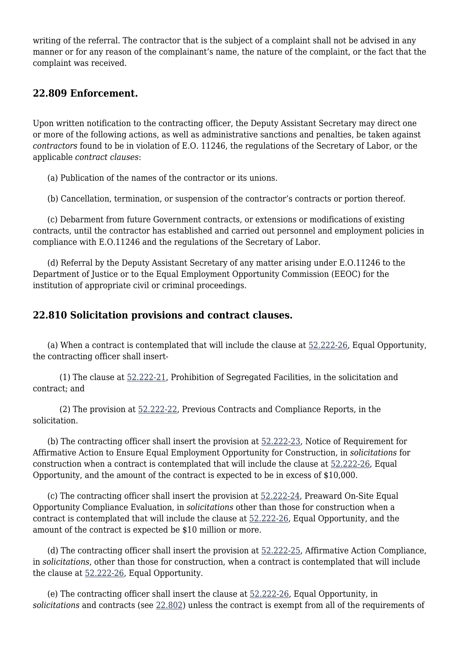writing of the referral. The contractor that is the subject of a complaint shall not be advised in any manner or for any reason of the complainant's name, the nature of the complaint, or the fact that the complaint was received.

## **22.809 Enforcement.**

Upon written notification to the contracting officer, the Deputy Assistant Secretary may direct one or more of the following actions, as well as administrative sanctions and penalties, be taken against *contractors* found to be in violation of E.O. 11246, the regulations of the Secretary of Labor, or the applicable *contract clauses*:

(a) Publication of the names of the contractor or its unions.

(b) Cancellation, termination, or suspension of the contractor's contracts or portion thereof.

 (c) Debarment from future Government contracts, or extensions or modifications of existing contracts, until the contractor has established and carried out personnel and employment policies in compliance with E.O.11246 and the regulations of the Secretary of Labor.

 (d) Referral by the Deputy Assistant Secretary of any matter arising under E.O.11246 to the Department of Justice or to the Equal Employment Opportunity Commission (EEOC) for the institution of appropriate civil or criminal proceedings.

## **22.810 Solicitation provisions and contract clauses.**

(a) When a contract is contemplated that will include the clause at  $52.222-26$ , Equal Opportunity, the contracting officer shall insert-

 (1) The clause at [52.222-21,](https://login.acquisition.gov/far/part-52#FAR_52_222_21) Prohibition of Segregated Facilities, in the solicitation and contract; and

 (2) The provision at [52.222-22](https://login.acquisition.gov/far/part-52#FAR_52_222_22), Previous Contracts and Compliance Reports, in the solicitation.

(b) The contracting officer shall insert the provision at  $52.222223$ , Notice of Requirement for Affirmative Action to Ensure Equal Employment Opportunity for Construction, in *solicitations* for construction when a contract is contemplated that will include the clause at [52.222-26,](https://login.acquisition.gov/far/part-52#FAR_52_222_26) Equal Opportunity, and the amount of the contract is expected to be in excess of \$10,000.

 (c) The contracting officer shall insert the provision at [52.222-24](https://login.acquisition.gov/far/part-52#FAR_52_222_24), Preaward On-Site Equal Opportunity Compliance Evaluation, in *solicitations* other than those for construction when a contract is contemplated that will include the clause at [52.222-26](https://login.acquisition.gov/far/part-52#FAR_52_222_26), Equal Opportunity, and the amount of the contract is expected be \$10 million or more.

(d) The contracting officer shall insert the provision at  $52.222-25$ , Affirmative Action Compliance, in *solicitations*, other than those for construction, when a contract is contemplated that will include the clause at [52.222-26](https://login.acquisition.gov/far/part-52#FAR_52_222_26), Equal Opportunity.

 (e) The contracting officer shall insert the clause at [52.222-26,](https://login.acquisition.gov/far/part-52#FAR_52_222_26) Equal Opportunity, in *solicitations* and contracts (see [22.802\)](#page--1-0) unless the contract is exempt from all of the requirements of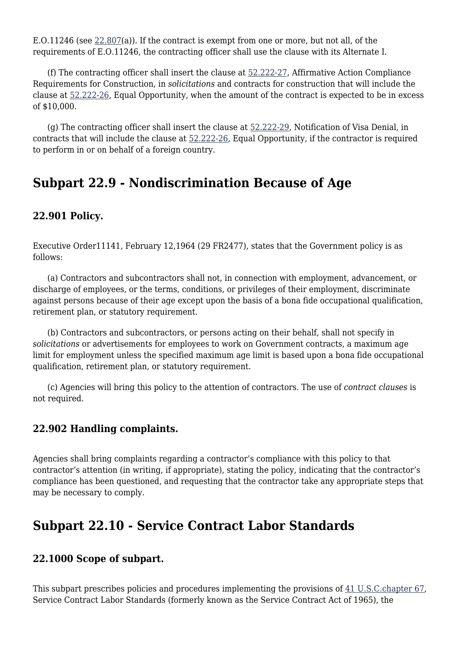E.O.11246 (see [22.807](#page--1-0)(a)). If the contract is exempt from one or more, but not all, of the requirements of E.O.11246, the contracting officer shall use the clause with its Alternate I.

(f) The contracting officer shall insert the clause at  $52.222-27$ , Affirmative Action Compliance Requirements for Construction, in *solicitations* and contracts for construction that will include the clause at [52.222-26](https://login.acquisition.gov/far/part-52#FAR_52_222_26), Equal Opportunity, when the amount of the contract is expected to be in excess of \$10,000.

 (g) The contracting officer shall insert the clause at [52.222-29](https://login.acquisition.gov/far/part-52#FAR_52_222_29), Notification of Visa Denial, in contracts that will include the clause at [52.222-26](https://login.acquisition.gov/far/part-52#FAR_52_222_26), Equal Opportunity, if the contractor is required to perform in or on behalf of a foreign country.

# **Subpart 22.9 - Nondiscrimination Because of Age**

# **22.901 Policy.**

Executive Order11141, February 12,1964 (29 FR2477), states that the Government policy is as follows:

 (a) Contractors and subcontractors shall not, in connection with employment, advancement, or discharge of employees, or the terms, conditions, or privileges of their employment, discriminate against persons because of their age except upon the basis of a bona fide occupational qualification, retirement plan, or statutory requirement.

 (b) Contractors and subcontractors, or persons acting on their behalf, shall not specify in *solicitations* or advertisements for employees to work on Government contracts, a maximum age limit for employment unless the specified maximum age limit is based upon a bona fide occupational qualification, retirement plan, or statutory requirement.

 (c) Agencies will bring this policy to the attention of contractors. The use of *contract clauses* is not required.

## **22.902 Handling complaints.**

Agencies shall bring complaints regarding a contractor's compliance with this policy to that contractor's attention (in writing, if appropriate), stating the policy, indicating that the contractor's compliance has been questioned, and requesting that the contractor take any appropriate steps that may be necessary to comply.

# **Subpart 22.10 - Service Contract Labor Standards**

## **22.1000 Scope of subpart.**

This subpart prescribes policies and procedures implementing the provisions of [41 U.S.C.chapter 67](http://uscode.house.gov/browse.xhtml;jsessionid=114A3287C7B3359E597506A31FC855B3), Service Contract Labor Standards (formerly known as the Service Contract Act of 1965), the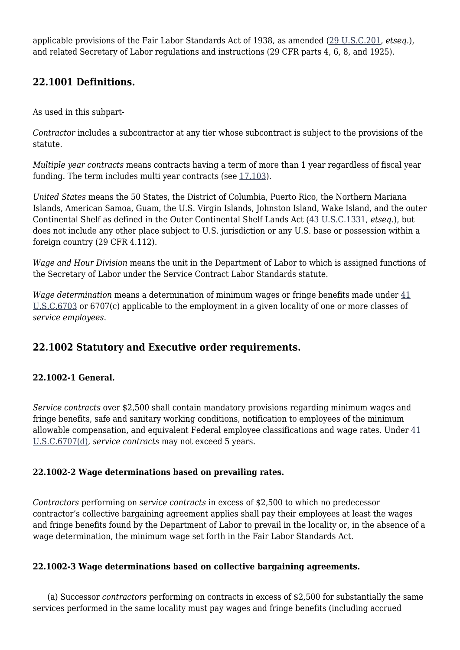applicable provisions of the Fair Labor Standards Act of 1938, as amended [\(29 U.S.C.201,](http://uscode.house.gov/browse.xhtml;jsessionid=114A3287C7B3359E597506A31FC855B3) *etseq.*), and related Secretary of Labor regulations and instructions (29 CFR parts 4, 6, 8, and 1925).

# **22.1001 Definitions.**

As used in this subpart-

*Contractor* includes a subcontractor at any tier whose subcontract is subject to the provisions of the statute.

*Multiple year contracts* means contracts having a term of more than 1 year regardless of fiscal year funding. The term includes multi year contracts (see [17.103\)](https://login.acquisition.gov/far/part-17#FAR_17_103).

*United States* means the 50 States, the District of Columbia, Puerto Rico, the Northern Mariana Islands, American Samoa, Guam, the U.S. Virgin Islands, Johnston Island, Wake Island, and the outer Continental Shelf as defined in the Outer Continental Shelf Lands Act [\(43 U.S.C.1331](http://uscode.house.gov/browse.xhtml;jsessionid=114A3287C7B3359E597506A31FC855B3), *etseq*.), but does not include any other place subject to U.S. jurisdiction or any U.S. base or possession within a foreign country (29 CFR 4.112).

*Wage and Hour Division* means the unit in the Department of Labor to which is assigned functions of the Secretary of Labor under the Service Contract Labor Standards statute.

*Wage determination* means a determination of minimum wages or fringe benefits made under [41](http://uscode.house.gov/browse.xhtml;jsessionid=114A3287C7B3359E597506A31FC855B3) [U.S.C.6703](http://uscode.house.gov/browse.xhtml;jsessionid=114A3287C7B3359E597506A31FC855B3) or 6707(c) applicable to the employment in a given locality of one or more classes of *service employees*.

# **22.1002 Statutory and Executive order requirements.**

### **22.1002-1 General.**

*Service contracts* over \$2,500 shall contain mandatory provisions regarding minimum wages and fringe benefits, safe and sanitary working conditions, notification to employees of the minimum allowable compensation, and equivalent Federal employee classifications and wage rates. Under [41](http://uscode.house.gov/browse.xhtml;jsessionid=114A3287C7B3359E597506A31FC855B3) [U.S.C.6707\(d\),](http://uscode.house.gov/browse.xhtml;jsessionid=114A3287C7B3359E597506A31FC855B3) *service contracts* may not exceed 5 years.

### **22.1002-2 Wage determinations based on prevailing rates.**

*Contractors* performing on *service contracts* in excess of \$2,500 to which no predecessor contractor's collective bargaining agreement applies shall pay their employees at least the wages and fringe benefits found by the Department of Labor to prevail in the locality or, in the absence of a wage determination, the minimum wage set forth in the Fair Labor Standards Act.

### **22.1002-3 Wage determinations based on collective bargaining agreements.**

 (a) Successor *contractors* performing on contracts in excess of \$2,500 for substantially the same services performed in the same locality must pay wages and fringe benefits (including accrued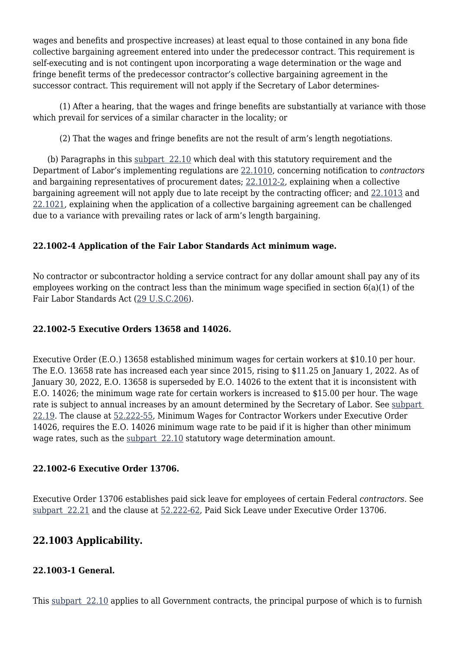wages and benefits and prospective increases) at least equal to those contained in any bona fide collective bargaining agreement entered into under the predecessor contract. This requirement is self-executing and is not contingent upon incorporating a wage determination or the wage and fringe benefit terms of the predecessor contractor's collective bargaining agreement in the successor contract. This requirement will not apply if the Secretary of Labor determines-

 (1) After a hearing, that the wages and fringe benefits are substantially at variance with those which prevail for services of a similar character in the locality; or

(2) That the wages and fringe benefits are not the result of arm's length negotiations.

 (b) Paragraphs in this [subpart 22.10](#page--1-0) which deal with this statutory requirement and the Department of Labor's implementing regulations are [22.1010,](#page--1-0) concerning notification to *contractors* and bargaining representatives of procurement dates; [22.1012-2,](#page--1-0) explaining when a collective bargaining agreement will not apply due to late receipt by the contracting officer; and [22.1013](#page--1-0) and [22.1021](#page--1-0), explaining when the application of a collective bargaining agreement can be challenged due to a variance with prevailing rates or lack of arm's length bargaining.

## **22.1002-4 Application of the Fair Labor Standards Act minimum wage.**

No contractor or subcontractor holding a service contract for any dollar amount shall pay any of its employees working on the contract less than the minimum wage specified in section 6(a)(1) of the Fair Labor Standards Act [\(29 U.S.C.206\)](http://uscode.house.gov/browse.xhtml;jsessionid=114A3287C7B3359E597506A31FC855B3).

## **22.1002-5 Executive Orders 13658 and 14026.**

Executive Order (E.O.) 13658 established minimum wages for certain workers at \$10.10 per hour. The E.O. 13658 rate has increased each year since 2015, rising to \$11.25 on January 1, 2022. As of January 30, 2022, E.O. 13658 is superseded by E.O. 14026 to the extent that it is inconsistent with E.O. 14026; the minimum wage rate for certain workers is increased to \$15.00 per hour. The wage rate is subject to annual increases by an amount determined by the Secretary of Labor. See [subpart](#page--1-0)  [22.19.](#page--1-0) The clause at [52.222-55,](https://login.acquisition.gov/far/part-52#FAR_52_222_55) Minimum Wages for Contractor Workers under Executive Order 14026, requires the E.O. 14026 minimum wage rate to be paid if it is higher than other minimum wage rates, such as the [subpart 22.10](#page--1-0) statutory wage determination amount.

### **22.1002-6 Executive Order 13706.**

Executive Order 13706 establishes paid sick leave for employees of certain Federal *contractors*. See [subpart 22.21](#page--1-0) and the clause at [52.222-62,](https://login.acquisition.gov/far/part-52#FAR_52_222_62) Paid Sick Leave under Executive Order 13706.

# **22.1003 Applicability.**

## **22.1003-1 General.**

This [subpart 22.10](#page--1-0) applies to all Government contracts, the principal purpose of which is to furnish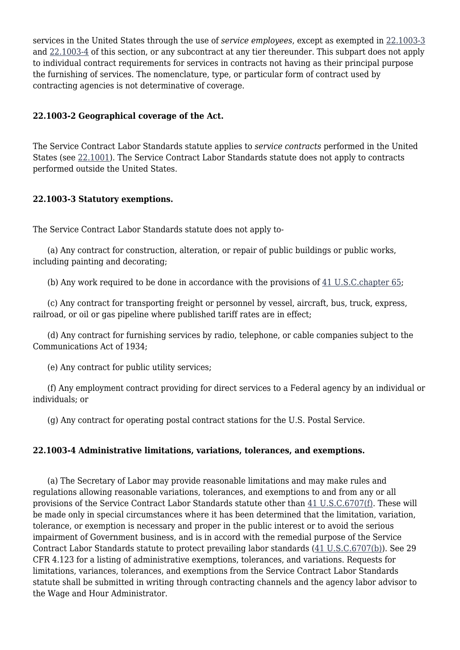services in the United States through the use of *service employees*, except as exempted in [22.1003-3](#page--1-0) and [22.1003-4](#page--1-0) of this section, or any subcontract at any tier thereunder. This subpart does not apply to individual contract requirements for services in contracts not having as their principal purpose the furnishing of services. The nomenclature, type, or particular form of contract used by contracting agencies is not determinative of coverage.

### **22.1003-2 Geographical coverage of the Act.**

The Service Contract Labor Standards statute applies to *service contracts* performed in the United States (see [22.1001\)](#page--1-0). The Service Contract Labor Standards statute does not apply to contracts performed outside the United States.

### **22.1003-3 Statutory exemptions.**

The Service Contract Labor Standards statute does not apply to-

 (a) Any contract for construction, alteration, or repair of public buildings or public works, including painting and decorating;

(b) Any work required to be done in accordance with the provisions of  $41$  U.S.C.chapter 65;

 (c) Any contract for transporting freight or personnel by vessel, aircraft, bus, truck, express, railroad, or oil or gas pipeline where published tariff rates are in effect;

 (d) Any contract for furnishing services by radio, telephone, or cable companies subject to the Communications Act of 1934;

(e) Any contract for public utility services;

 (f) Any employment contract providing for direct services to a Federal agency by an individual or individuals; or

(g) Any contract for operating postal contract stations for the U.S. Postal Service.

### **22.1003-4 Administrative limitations, variations, tolerances, and exemptions.**

 (a) The Secretary of Labor may provide reasonable limitations and may make rules and regulations allowing reasonable variations, tolerances, and exemptions to and from any or all provisions of the Service Contract Labor Standards statute other than [41 U.S.C.6707\(f\).](http://uscode.house.gov/browse.xhtml;jsessionid=114A3287C7B3359E597506A31FC855B3) These will be made only in special circumstances where it has been determined that the limitation, variation, tolerance, or exemption is necessary and proper in the public interest or to avoid the serious impairment of Government business, and is in accord with the remedial purpose of the Service Contract Labor Standards statute to protect prevailing labor standards [\(41 U.S.C.6707\(b\)](http://uscode.house.gov/browse.xhtml;jsessionid=114A3287C7B3359E597506A31FC855B3)). See 29 CFR 4.123 for a listing of administrative exemptions, tolerances, and variations. Requests for limitations, variances, tolerances, and exemptions from the Service Contract Labor Standards statute shall be submitted in writing through contracting channels and the agency labor advisor to the Wage and Hour Administrator.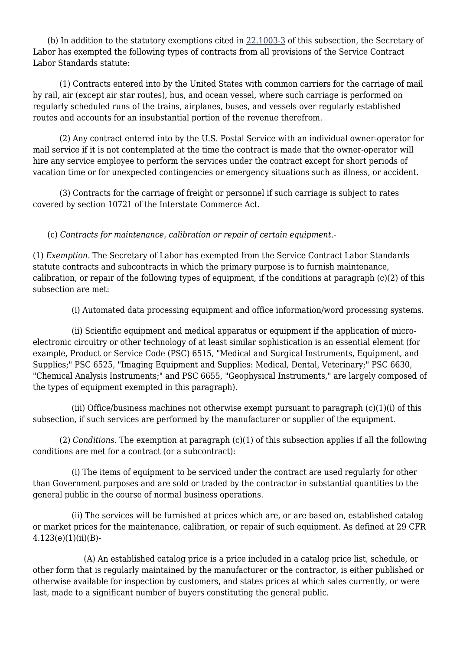(b) In addition to the statutory exemptions cited in [22.1003-3](#page--1-0) of this subsection, the Secretary of Labor has exempted the following types of contracts from all provisions of the Service Contract Labor Standards statute:

 (1) Contracts entered into by the United States with common carriers for the carriage of mail by rail, air (except air star routes), bus, and ocean vessel, where such carriage is performed on regularly scheduled runs of the trains, airplanes, buses, and vessels over regularly established routes and accounts for an insubstantial portion of the revenue therefrom.

 (2) Any contract entered into by the U.S. Postal Service with an individual owner-operator for mail service if it is not contemplated at the time the contract is made that the owner-operator will hire any service employee to perform the services under the contract except for short periods of vacation time or for unexpected contingencies or emergency situations such as illness, or accident.

 (3) Contracts for the carriage of freight or personnel if such carriage is subject to rates covered by section 10721 of the Interstate Commerce Act.

(c) *Contracts for maintenance, calibration or repair of certain equipment*.-

(1) *Exemption*. The Secretary of Labor has exempted from the Service Contract Labor Standards statute contracts and subcontracts in which the primary purpose is to furnish maintenance, calibration, or repair of the following types of equipment, if the conditions at paragraph (c)(2) of this subsection are met:

(i) Automated data processing equipment and office information/word processing systems.

 (ii) Scientific equipment and medical apparatus or equipment if the application of microelectronic circuitry or other technology of at least similar sophistication is an essential element (for example, Product or Service Code (PSC) 6515, "Medical and Surgical Instruments, Equipment, and Supplies;" PSC 6525, "Imaging Equipment and Supplies: Medical, Dental, Veterinary;" PSC 6630, "Chemical Analysis Instruments;" and PSC 6655, "Geophysical Instruments," are largely composed of the types of equipment exempted in this paragraph).

(iii) Office/business machines not otherwise exempt pursuant to paragraph  $(c)(1)(i)$  of this subsection, if such services are performed by the manufacturer or supplier of the equipment.

 (2) *Conditions*. The exemption at paragraph (c)(1) of this subsection applies if all the following conditions are met for a contract (or a subcontract):

 (i) The items of equipment to be serviced under the contract are used regularly for other than Government purposes and are sold or traded by the contractor in substantial quantities to the general public in the course of normal business operations.

 (ii) The services will be furnished at prices which are, or are based on, established catalog or market prices for the maintenance, calibration, or repair of such equipment. As defined at 29 CFR  $4.123(e)(1)(ii)(B)$ -

 (A) An established catalog price is a price included in a catalog price list, schedule, or other form that is regularly maintained by the manufacturer or the contractor, is either published or otherwise available for inspection by customers, and states prices at which sales currently, or were last, made to a significant number of buyers constituting the general public.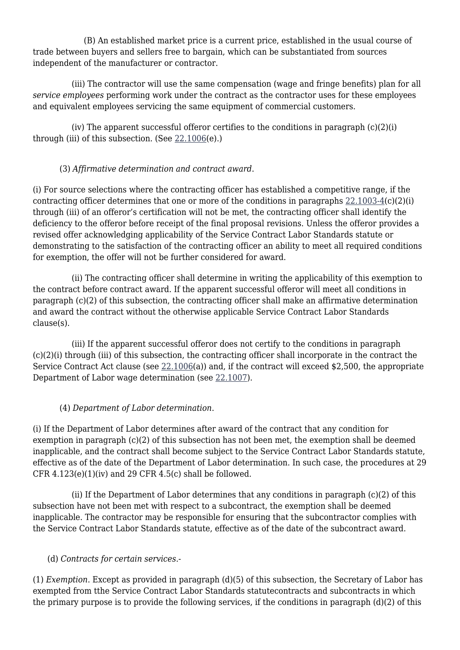(B) An established market price is a current price, established in the usual course of trade between buyers and sellers free to bargain, which can be substantiated from sources independent of the manufacturer or contractor.

 (iii) The contractor will use the same compensation (wage and fringe benefits) plan for all *service employees* performing work under the contract as the contractor uses for these employees and equivalent employees servicing the same equipment of commercial customers.

(iv) The apparent successful offeror certifies to the conditions in paragraph  $(c)(2)(i)$ through (iii) of this subsection. (See  $22.1006(e)$ .)

## (3) *Affirmative determination and contract award*.

(i) For source selections where the contracting officer has established a competitive range, if the contracting officer determines that one or more of the conditions in paragraphs [22.1003-4\(](#page--1-0)c)(2)(i) through (iii) of an offeror's certification will not be met, the contracting officer shall identify the deficiency to the offeror before receipt of the final proposal revisions. Unless the offeror provides a revised offer acknowledging applicability of the Service Contract Labor Standards statute or demonstrating to the satisfaction of the contracting officer an ability to meet all required conditions for exemption, the offer will not be further considered for award.

 (ii) The contracting officer shall determine in writing the applicability of this exemption to the contract before contract award. If the apparent successful offeror will meet all conditions in paragraph (c)(2) of this subsection, the contracting officer shall make an affirmative determination and award the contract without the otherwise applicable Service Contract Labor Standards clause(s).

 (iii) If the apparent successful offeror does not certify to the conditions in paragraph (c)(2)(i) through (iii) of this subsection, the contracting officer shall incorporate in the contract the Service Contract Act clause (see [22.1006\(](#page--1-0)a)) and, if the contract will exceed \$2,500, the appropriate Department of Labor wage determination (see [22.1007\)](#page--1-0).

## (4) *Department of Labor determination*.

(i) If the Department of Labor determines after award of the contract that any condition for exemption in paragraph (c)(2) of this subsection has not been met, the exemption shall be deemed inapplicable, and the contract shall become subject to the Service Contract Labor Standards statute, effective as of the date of the Department of Labor determination. In such case, the procedures at 29 CFR  $4.123(e)(1)(iv)$  and 29 CFR  $4.5(c)$  shall be followed.

(ii) If the Department of Labor determines that any conditions in paragraph  $(c)(2)$  of this subsection have not been met with respect to a subcontract, the exemption shall be deemed inapplicable. The contractor may be responsible for ensuring that the subcontractor complies with the Service Contract Labor Standards statute, effective as of the date of the subcontract award.

### (d) *Contracts for certain services*.-

(1) *Exemption*. Except as provided in paragraph (d)(5) of this subsection, the Secretary of Labor has exempted from tthe Service Contract Labor Standards statutecontracts and subcontracts in which the primary purpose is to provide the following services, if the conditions in paragraph (d)(2) of this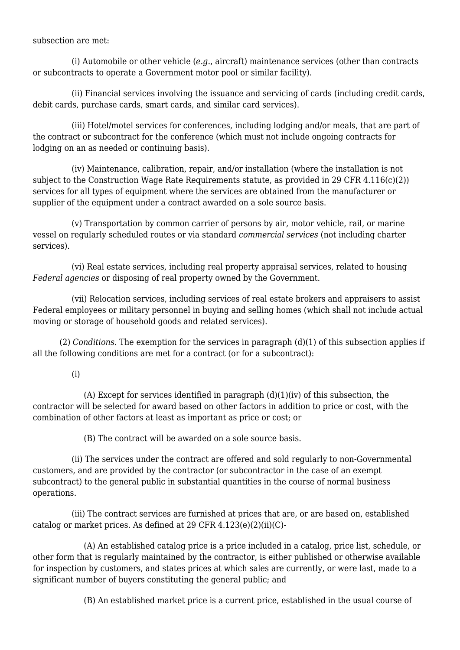subsection are met:

 (i) Automobile or other vehicle (*e.g*., aircraft) maintenance services (other than contracts or subcontracts to operate a Government motor pool or similar facility).

 (ii) Financial services involving the issuance and servicing of cards (including credit cards, debit cards, purchase cards, smart cards, and similar card services).

 (iii) Hotel/motel services for conferences, including lodging and/or meals, that are part of the contract or subcontract for the conference (which must not include ongoing contracts for lodging on an as needed or continuing basis).

 (iv) Maintenance, calibration, repair, and/or installation (where the installation is not subject to the Construction Wage Rate Requirements statute, as provided in 29 CFR 4.116(c)(2)) services for all types of equipment where the services are obtained from the manufacturer or supplier of the equipment under a contract awarded on a sole source basis.

 (v) Transportation by common carrier of persons by air, motor vehicle, rail, or marine vessel on regularly scheduled routes or via standard *commercial services* (not including charter services).

 (vi) Real estate services, including real property appraisal services, related to housing *Federal agencies* or disposing of real property owned by the Government.

 (vii) Relocation services, including services of real estate brokers and appraisers to assist Federal employees or military personnel in buying and selling homes (which shall not include actual moving or storage of household goods and related services).

 (2) *Conditions*. The exemption for the services in paragraph (d)(1) of this subsection applies if all the following conditions are met for a contract (or for a subcontract):

(i)

 $(A)$  Except for services identified in paragraph  $(d)(1)(iv)$  of this subsection, the contractor will be selected for award based on other factors in addition to price or cost, with the combination of other factors at least as important as price or cost; or

(B) The contract will be awarded on a sole source basis.

 (ii) The services under the contract are offered and sold regularly to non-Governmental customers, and are provided by the contractor (or subcontractor in the case of an exempt subcontract) to the general public in substantial quantities in the course of normal business operations.

 (iii) The contract services are furnished at prices that are, or are based on, established catalog or market prices. As defined at  $29 \text{ CFR } 4.123(e)(2)(ii)(C)$ -

 (A) An established catalog price is a price included in a catalog, price list, schedule, or other form that is regularly maintained by the contractor, is either published or otherwise available for inspection by customers, and states prices at which sales are currently, or were last, made to a significant number of buyers constituting the general public; and

(B) An established market price is a current price, established in the usual course of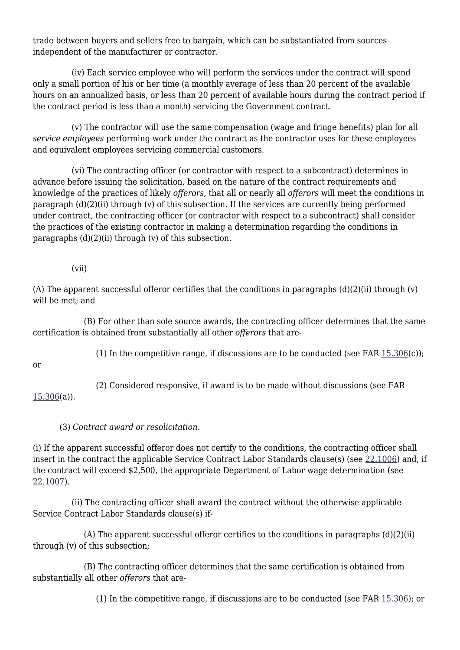trade between buyers and sellers free to bargain, which can be substantiated from sources independent of the manufacturer or contractor.

 (iv) Each service employee who will perform the services under the contract will spend only a small portion of his or her time (a monthly average of less than 20 percent of the available hours on an annualized basis, or less than 20 percent of available hours during the contract period if the contract period is less than a month) servicing the Government contract.

 (v) The contractor will use the same compensation (wage and fringe benefits) plan for all *service employees* performing work under the contract as the contractor uses for these employees and equivalent employees servicing commercial customers.

 (vi) The contracting officer (or contractor with respect to a subcontract) determines in advance before issuing the solicitation, based on the nature of the contract requirements and knowledge of the practices of likely *offerors*, that all or nearly all *offerors* will meet the conditions in paragraph (d)(2)(ii) through (v) of this subsection. If the services are currently being performed under contract, the contracting officer (or contractor with respect to a subcontract) shall consider the practices of the existing contractor in making a determination regarding the conditions in paragraphs  $(d)(2)(ii)$  through  $(v)$  of this subsection.

(vii)

(A) The apparent successful offeror certifies that the conditions in paragraphs  $(d)(2)(ii)$  through  $(v)$ will be met; and

 (B) For other than sole source awards, the contracting officer determines that the same certification is obtained from substantially all other *offerors* that are-

(1) In the competitive range, if discussions are to be conducted (see FAR  $15.306(c)$  $15.306(c)$ );

or

 (2) Considered responsive, if award is to be made without discussions (see FAR  $15.306(a)$  $15.306(a)$ ).

(3) *Contract award or resolicitation*.

(i) If the apparent successful offeror does not certify to the conditions, the contracting officer shall insert in the contract the applicable Service Contract Labor Standards clause(s) (see [22.1006\)](#page--1-0) and, if the contract will exceed \$2,500, the appropriate Department of Labor wage determination (see [22.1007](#page--1-0)).

 (ii) The contracting officer shall award the contract without the otherwise applicable Service Contract Labor Standards clause(s) if-

(A) The apparent successful offeror certifies to the conditions in paragraphs  $(d)(2)(ii)$ through (v) of this subsection;

 (B) The contracting officer determines that the same certification is obtained from substantially all other *offerors* that are-

(1) In the competitive range, if discussions are to be conducted (see FAR [15.306\)](https://login.acquisition.gov/far/part-15#FAR_15_306); or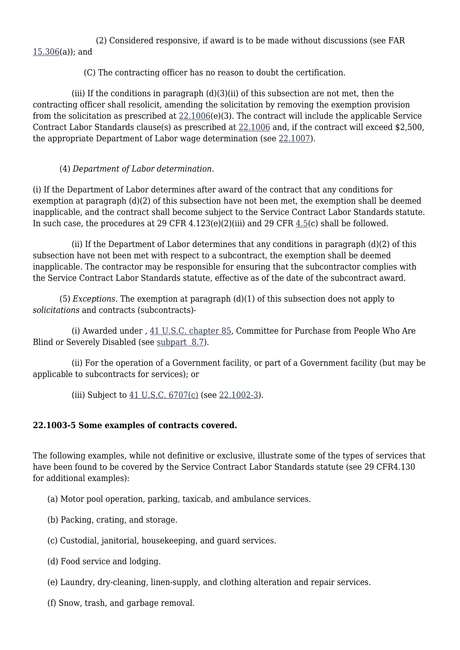(2) Considered responsive, if award is to be made without discussions (see FAR [15.306](https://login.acquisition.gov/far/part-15#FAR_15_306)(a)); and

(C) The contracting officer has no reason to doubt the certification.

(iii) If the conditions in paragraph  $(d)(3)(ii)$  of this subsection are not met, then the contracting officer shall resolicit, amending the solicitation by removing the exemption provision from the solicitation as prescribed at [22.1006](#page--1-0)(e)(3). The contract will include the applicable Service Contract Labor Standards clause(s) as prescribed at [22.1006](#page--1-0) and, if the contract will exceed \$2,500, the appropriate Department of Labor wage determination (see [22.1007\)](#page--1-0).

### (4) *Department of Labor determination*.

(i) If the Department of Labor determines after award of the contract that any conditions for exemption at paragraph (d)(2) of this subsection have not been met, the exemption shall be deemed inapplicable, and the contract shall become subject to the Service Contract Labor Standards statute. In such case, the procedures at 29 CFR 4.123(e)(2)(iii) and 29 CFR  $4.5(c)$  $4.5(c)$  shall be followed.

(ii) If the Department of Labor determines that any conditions in paragraph  $(d)(2)$  of this subsection have not been met with respect to a subcontract, the exemption shall be deemed inapplicable. The contractor may be responsible for ensuring that the subcontractor complies with the Service Contract Labor Standards statute, effective as of the date of the subcontract award.

 (5) *Exceptions*. The exemption at paragraph (d)(1) of this subsection does not apply to *solicitations* and contracts (subcontracts)-

 (i) Awarded under , [41 U.S.C. chapter 85](http://uscode.house.gov/browse.xhtml;jsessionid=114A3287C7B3359E597506A31FC855B3), Committee for Purchase from People Who Are Blind or Severely Disabled (see [subpart 8.7\)](https://login.acquisition.gov/far/part-8#FAR_Subpart_8_7).

 (ii) For the operation of a Government facility, or part of a Government facility (but may be applicable to subcontracts for services); or

(iii) Subject to [41 U.S.C. 6707\(c\)](http://uscode.house.gov/browse.xhtml;jsessionid=114A3287C7B3359E597506A31FC855B3) (see [22.1002-3](#page--1-0)).

### **22.1003-5 Some examples of contracts covered.**

The following examples, while not definitive or exclusive, illustrate some of the types of services that have been found to be covered by the Service Contract Labor Standards statute (see 29 CFR4.130 for additional examples):

- (a) Motor pool operation, parking, taxicab, and ambulance services.
- (b) Packing, crating, and storage.
- (c) Custodial, janitorial, housekeeping, and guard services.
- (d) Food service and lodging.
- (e) Laundry, dry-cleaning, linen-supply, and clothing alteration and repair services.
- (f) Snow, trash, and garbage removal.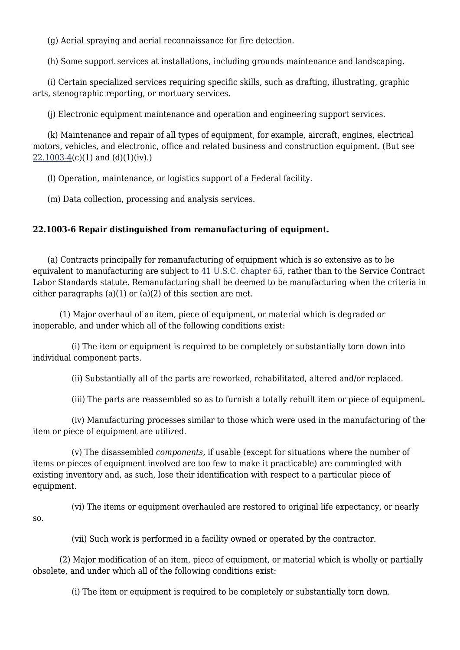(g) Aerial spraying and aerial reconnaissance for fire detection.

(h) Some support services at installations, including grounds maintenance and landscaping.

 (i) Certain specialized services requiring specific skills, such as drafting, illustrating, graphic arts, stenographic reporting, or mortuary services.

(j) Electronic equipment maintenance and operation and engineering support services.

 (k) Maintenance and repair of all types of equipment, for example, aircraft, engines, electrical motors, vehicles, and electronic, office and related business and construction equipment. (But see  $22.1003-4(c)(1)$  $22.1003-4(c)(1)$  and  $(d)(1)(iv)$ .

(l) Operation, maintenance, or logistics support of a Federal facility.

(m) Data collection, processing and analysis services.

#### **22.1003-6 Repair distinguished from remanufacturing of equipment.**

 (a) Contracts principally for remanufacturing of equipment which is so extensive as to be equivalent to manufacturing are subject to [41 U.S.C. chapter 65](http://uscode.house.gov/browse.xhtml;jsessionid=114A3287C7B3359E597506A31FC855B3), rather than to the Service Contract Labor Standards statute. Remanufacturing shall be deemed to be manufacturing when the criteria in either paragraphs (a)(1) or (a)(2) of this section are met.

 (1) Major overhaul of an item, piece of equipment, or material which is degraded or inoperable, and under which all of the following conditions exist:

 (i) The item or equipment is required to be completely or substantially torn down into individual component parts.

(ii) Substantially all of the parts are reworked, rehabilitated, altered and/or replaced.

(iii) The parts are reassembled so as to furnish a totally rebuilt item or piece of equipment.

 (iv) Manufacturing processes similar to those which were used in the manufacturing of the item or piece of equipment are utilized.

 (v) The disassembled *components*, if usable (except for situations where the number of items or pieces of equipment involved are too few to make it practicable) are commingled with existing inventory and, as such, lose their identification with respect to a particular piece of equipment.

 (vi) The items or equipment overhauled are restored to original life expectancy, or nearly so.

(vii) Such work is performed in a facility owned or operated by the contractor.

 (2) Major modification of an item, piece of equipment, or material which is wholly or partially obsolete, and under which all of the following conditions exist:

(i) The item or equipment is required to be completely or substantially torn down.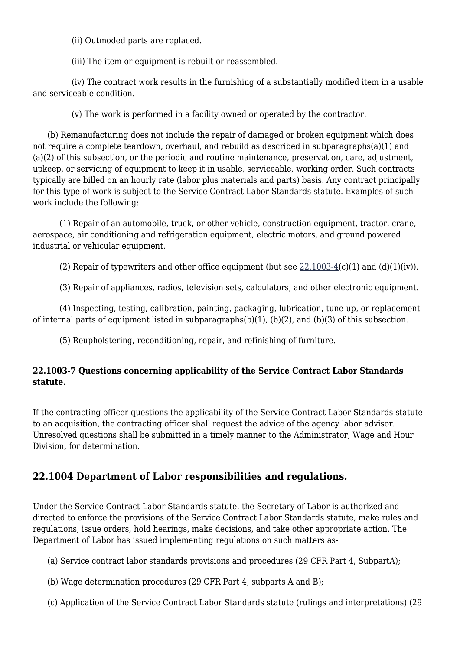(ii) Outmoded parts are replaced.

(iii) The item or equipment is rebuilt or reassembled.

 (iv) The contract work results in the furnishing of a substantially modified item in a usable and serviceable condition.

(v) The work is performed in a facility owned or operated by the contractor.

 (b) Remanufacturing does not include the repair of damaged or broken equipment which does not require a complete teardown, overhaul, and rebuild as described in subparagraphs(a)(1) and (a)(2) of this subsection, or the periodic and routine maintenance, preservation, care, adjustment, upkeep, or servicing of equipment to keep it in usable, serviceable, working order. Such contracts typically are billed on an hourly rate (labor plus materials and parts) basis. Any contract principally for this type of work is subject to the Service Contract Labor Standards statute. Examples of such work include the following:

 (1) Repair of an automobile, truck, or other vehicle, construction equipment, tractor, crane, aerospace, air conditioning and refrigeration equipment, electric motors, and ground powered industrial or vehicular equipment.

(2) Repair of typewriters and other office equipment (but see  $22.1003-4(c)(1)$  $22.1003-4(c)(1)$  and (d)(1)(iv)).

(3) Repair of appliances, radios, television sets, calculators, and other electronic equipment.

 (4) Inspecting, testing, calibration, painting, packaging, lubrication, tune-up, or replacement of internal parts of equipment listed in subparagraphs(b)(1), (b)(2), and (b)(3) of this subsection.

(5) Reupholstering, reconditioning, repair, and refinishing of furniture.

### **22.1003-7 Questions concerning applicability of the Service Contract Labor Standards statute.**

If the contracting officer questions the applicability of the Service Contract Labor Standards statute to an acquisition, the contracting officer shall request the advice of the agency labor advisor. Unresolved questions shall be submitted in a timely manner to the Administrator, Wage and Hour Division, for determination.

# **22.1004 Department of Labor responsibilities and regulations.**

Under the Service Contract Labor Standards statute, the Secretary of Labor is authorized and directed to enforce the provisions of the Service Contract Labor Standards statute, make rules and regulations, issue orders, hold hearings, make decisions, and take other appropriate action. The Department of Labor has issued implementing regulations on such matters as-

- (a) Service contract labor standards provisions and procedures (29 CFR Part 4, SubpartA);
- (b) Wage determination procedures (29 CFR Part 4, subparts A and B);
- (c) Application of the Service Contract Labor Standards statute (rulings and interpretations) (29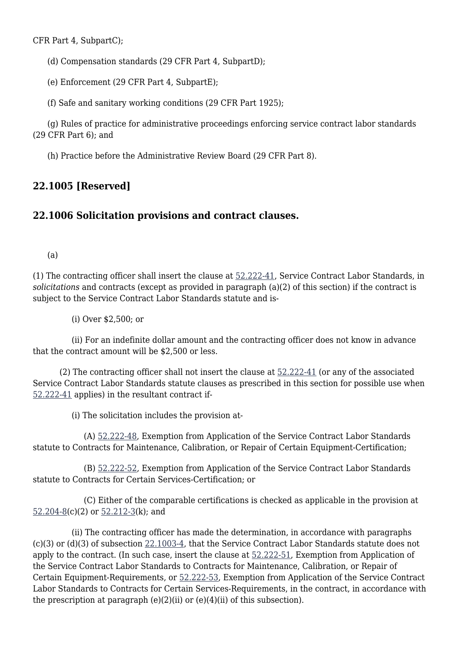CFR Part 4, SubpartC);

(d) Compensation standards (29 CFR Part 4, SubpartD);

(e) Enforcement (29 CFR Part 4, SubpartE);

(f) Safe and sanitary working conditions (29 CFR Part 1925);

 (g) Rules of practice for administrative proceedings enforcing service contract labor standards (29 CFR Part 6); and

(h) Practice before the Administrative Review Board (29 CFR Part 8).

# **22.1005 [Reserved]**

# **22.1006 Solicitation provisions and contract clauses.**

(a)

(1) The contracting officer shall insert the clause at [52.222-41,](https://login.acquisition.gov/far/part-52#FAR_52_222_41) Service Contract Labor Standards, in *solicitations* and contracts (except as provided in paragraph (a)(2) of this section) if the contract is subject to the Service Contract Labor Standards statute and is-

(i) Over \$2,500; or

 (ii) For an indefinite dollar amount and the contracting officer does not know in advance that the contract amount will be \$2,500 or less.

(2) The contracting officer shall not insert the clause at  $52.222-41$  (or any of the associated Service Contract Labor Standards statute clauses as prescribed in this section for possible use when [52.222-41](https://login.acquisition.gov/far/part-52#FAR_52_222_41) applies) in the resultant contract if-

(i) The solicitation includes the provision at-

 (A) [52.222-48](https://login.acquisition.gov/far/part-52#FAR_52_222_48), Exemption from Application of the Service Contract Labor Standards statute to Contracts for Maintenance, Calibration, or Repair of Certain Equipment-Certification;

 (B) [52.222-52](https://login.acquisition.gov/far/part-52#FAR_52_222_52), Exemption from Application of the Service Contract Labor Standards statute to Contracts for Certain Services-Certification; or

 (C) Either of the comparable certifications is checked as applicable in the provision at [52.204-8\(](https://login.acquisition.gov/far/part-52#FAR_52_204_8)c)(2) or [52.212-3](https://login.acquisition.gov/far/part-52#FAR_52_212_3)(k); and

 (ii) The contracting officer has made the determination, in accordance with paragraphs (c)(3) or (d)(3) of subsection [22.1003-4](#page--1-0), that the Service Contract Labor Standards statute does not apply to the contract. (In such case, insert the clause at [52.222-51](https://login.acquisition.gov/far/part-52#FAR_52_222_51), Exemption from Application of the Service Contract Labor Standards to Contracts for Maintenance, Calibration, or Repair of Certain Equipment-Requirements, or [52.222-53,](https://login.acquisition.gov/far/part-52#FAR_52_222_53) Exemption from Application of the Service Contract Labor Standards to Contracts for Certain Services-Requirements, in the contract, in accordance with the prescription at paragraph  $(e)(2)(ii)$  or  $(e)(4)(ii)$  of this subsection).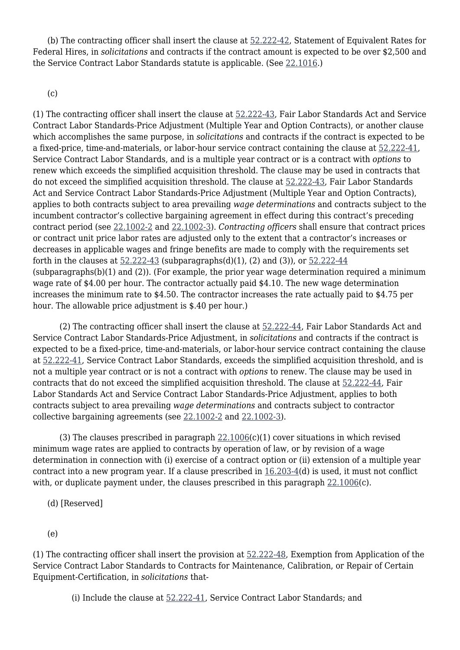(b) The contracting officer shall insert the clause at [52.222-42](https://login.acquisition.gov/far/part-52#FAR_52_222_42), Statement of Equivalent Rates for Federal Hires, in *solicitations* and contracts if the contract amount is expected to be over \$2,500 and the Service Contract Labor Standards statute is applicable. (See [22.1016.](#page--1-0))

(c)

(1) The contracting officer shall insert the clause at [52.222-43,](https://login.acquisition.gov/far/part-52#FAR_52_222_43) Fair Labor Standards Act and Service Contract Labor Standards-Price Adjustment (Multiple Year and Option Contracts), or another clause which accomplishes the same purpose, in *solicitations* and contracts if the contract is expected to be a fixed-price, time-and-materials, or labor-hour service contract containing the clause at [52.222-41,](https://login.acquisition.gov/far/part-52#FAR_52_222_41) Service Contract Labor Standards, and is a multiple year contract or is a contract with *options* to renew which exceeds the simplified acquisition threshold. The clause may be used in contracts that do not exceed the simplified acquisition threshold. The clause at [52.222-43](https://login.acquisition.gov/far/part-52#FAR_52_222_43), Fair Labor Standards Act and Service Contract Labor Standards-Price Adjustment (Multiple Year and Option Contracts), applies to both contracts subject to area prevailing *wage determinations* and contracts subject to the incumbent contractor's collective bargaining agreement in effect during this contract's preceding contract period (see [22.1002-2](#page--1-0) and [22.1002-3\)](#page--1-0). *Contracting officers* shall ensure that contract prices or contract unit price labor rates are adjusted only to the extent that a contractor's increases or decreases in applicable wages and fringe benefits are made to comply with the requirements set forth in the clauses at  $52.222-43$  (subparagraphs(d)(1), (2) and (3)), or  $52.222-44$ (subparagraphs(b)(1) and (2)). (For example, the prior year wage determination required a minimum wage rate of \$4.00 per hour. The contractor actually paid \$4.10. The new wage determination increases the minimum rate to \$4.50. The contractor increases the rate actually paid to \$4.75 per hour. The allowable price adjustment is \$.40 per hour.)

 (2) The contracting officer shall insert the clause at [52.222-44](https://login.acquisition.gov/far/part-52#FAR_52_222_44), Fair Labor Standards Act and Service Contract Labor Standards-Price Adjustment, in *solicitations* and contracts if the contract is expected to be a fixed-price, time-and-materials, or labor-hour service contract containing the clause at [52.222-41](https://login.acquisition.gov/far/part-52#FAR_52_222_41), Service Contract Labor Standards, exceeds the simplified acquisition threshold, and is not a multiple year contract or is not a contract with *options* to renew. The clause may be used in contracts that do not exceed the simplified acquisition threshold. The clause at [52.222-44,](https://login.acquisition.gov/far/part-52#FAR_52_222_44) Fair Labor Standards Act and Service Contract Labor Standards-Price Adjustment, applies to both contracts subject to area prevailing *wage determinations* and contracts subject to contractor collective bargaining agreements (see [22.1002-2](#page--1-0) and [22.1002-3](#page--1-0)).

(3) The clauses prescribed in paragraph  $22.1006(c)(1)$  $22.1006(c)(1)$  cover situations in which revised minimum wage rates are applied to contracts by operation of law, or by revision of a wage determination in connection with (i) exercise of a contract option or (ii) extension of a multiple year contract into a new program year. If a clause prescribed in [16.203-4\(](https://login.acquisition.gov/far/part-16#FAR_16_203_4)d) is used, it must not conflict with, or duplicate payment under, the clauses prescribed in this paragraph [22.1006\(](#page--1-0)c).

(d) [Reserved]

(e)

(1) The contracting officer shall insert the provision at [52.222-48,](https://login.acquisition.gov/far/part-52#FAR_52_222_48) Exemption from Application of the Service Contract Labor Standards to Contracts for Maintenance, Calibration, or Repair of Certain Equipment-Certification, in *solicitations* that-

(i) Include the clause at  $52.222-41$ , Service Contract Labor Standards; and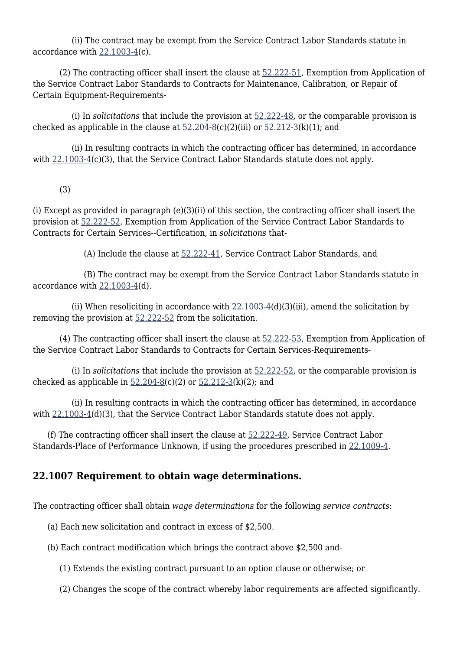(ii) The contract may be exempt from the Service Contract Labor Standards statute in accordance with [22.1003-4](#page--1-0)(c).

 (2) The contracting officer shall insert the clause at [52.222-51](https://login.acquisition.gov/far/part-52#FAR_52_222_51), Exemption from Application of the Service Contract Labor Standards to Contracts for Maintenance, Calibration, or Repair of Certain Equipment-Requirements-

 (i) In *solicitations* that include the provision at [52.222-48,](https://login.acquisition.gov/far/part-52#FAR_52_222_48) or the comparable provision is checked as applicable in the clause at  $52.204 - 8(c)(2)(iii)$  or  $52.212 - 3(k)(1)$ ; and

 (ii) In resulting contracts in which the contracting officer has determined, in accordance with [22.1003-4](#page--1-0)(c)(3), that the Service Contract Labor Standards statute does not apply.

(3)

(i) Except as provided in paragraph (e)(3)(ii) of this section, the contracting officer shall insert the provision at [52.222-52,](https://login.acquisition.gov/far/part-52#FAR_52_222_52) Exemption from Application of the Service Contract Labor Standards to Contracts for Certain Services--Certification, in *solicitations* that-

(A) Include the clause at [52.222-41](https://login.acquisition.gov/far/part-52#FAR_52_222_41), Service Contract Labor Standards, and

 (B) The contract may be exempt from the Service Contract Labor Standards statute in accordance with [22.1003-4](#page--1-0)(d).

(ii) When resoliciting in accordance with  $22.1003-4(d)(3)$  (iii), amend the solicitation by removing the provision at [52.222-52](https://login.acquisition.gov/far/part-52#FAR_52_222_52) from the solicitation.

 (4) The contracting officer shall insert the clause at [52.222-53](https://login.acquisition.gov/far/part-52#FAR_52_222_53), Exemption from Application of the Service Contract Labor Standards to Contracts for Certain Services-Requirements-

 (i) In *solicitations* that include the provision at [52.222-52,](https://login.acquisition.gov/far/part-52#FAR_52_222_52) or the comparable provision is checked as applicable in  $52.204 - 8(c)(2)$  or  $52.212 - 3(k)(2)$ ; and

 (ii) In resulting contracts in which the contracting officer has determined, in accordance with [22.1003-4](#page--1-0)(d)(3), that the Service Contract Labor Standards statute does not apply.

 (f) The contracting officer shall insert the clause at [52.222-49,](https://login.acquisition.gov/far/part-52#FAR_52_222_49) Service Contract Labor Standards-Place of Performance Unknown, if using the procedures prescribed in [22.1009-4](#page--1-0).

## **22.1007 Requirement to obtain wage determinations.**

The contracting officer shall obtain *wage determinations* for the following *service contracts*:

(a) Each new solicitation and contract in excess of \$2,500.

(b) Each contract modification which brings the contract above \$2,500 and-

(1) Extends the existing contract pursuant to an option clause or otherwise; or

(2) Changes the scope of the contract whereby labor requirements are affected significantly.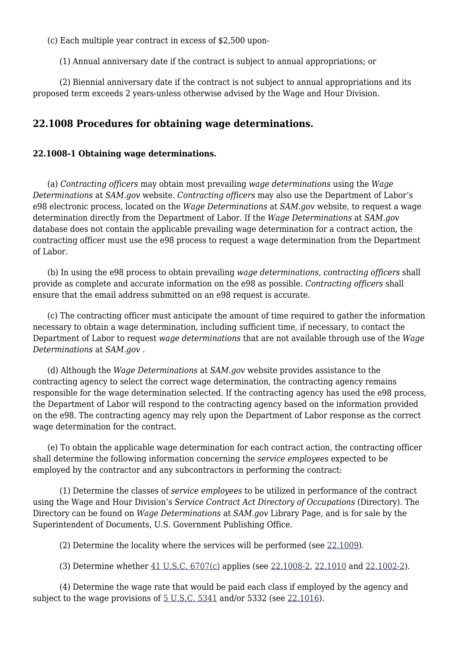(c) Each multiple year contract in excess of \$2,500 upon-

(1) Annual anniversary date if the contract is subject to annual appropriations; or

 (2) Biennial anniversary date if the contract is not subject to annual appropriations and its proposed term exceeds 2 years-unless otherwise advised by the Wage and Hour Division.

## **22.1008 Procedures for obtaining wage determinations.**

#### **22.1008-1 Obtaining wage determinations.**

 (a) *Contracting officers* may obtain most prevailing *wage determinations* using the *Wage Determinations* at *SAM.gov* website. *Contracting officers* may also use the Department of Labor's e98 electronic process, located on the *Wage Determinations* at *SAM.gov* website, to request a wage determination directly from the Department of Labor. If the *Wage Determinations* at *SAM.gov* database does not contain the applicable prevailing wage determination for a contract action, the contracting officer must use the e98 process to request a wage determination from the Department of Labor.

 (b) In using the e98 process to obtain prevailing *wage determinations*, *contracting officers* shall provide as complete and accurate information on the e98 as possible. *Contracting officers* shall ensure that the email address submitted on an e98 request is accurate.

 (c) The contracting officer must anticipate the amount of time required to gather the information necessary to obtain a wage determination, including sufficient time, if necessary, to contact the Department of Labor to request *wage determinations* that are not available through use of the *Wage Determinations* at *SAM.gov* .

 (d) Although the *Wage Determinations* at *SAM.gov* website provides assistance to the contracting agency to select the correct wage determination, the contracting agency remains responsible for the wage determination selected. If the contracting agency has used the e98 process, the Department of Labor will respond to the contracting agency based on the information provided on the e98. The contracting agency may rely upon the Department of Labor response as the correct wage determination for the contract.

 (e) To obtain the applicable wage determination for each contract action, the contracting officer shall determine the following information concerning the *service employees* expected to be employed by the contractor and any subcontractors in performing the contract:

 (1) Determine the classes of *service employees* to be utilized in performance of the contract using the Wage and Hour Division's *Service Contract Act Directory of Occupations* (Directory). The Directory can be found on *Wage Determinations* at *SAM.gov* Library Page, and is for sale by the Superintendent of Documents, U.S. Government Publishing Office.

(2) Determine the locality where the services will be performed (see [22.1009](#page--1-0)).

(3) Determine whether [41 U.S.C. 6707\(c\)](http://uscode.house.gov/browse.xhtml;jsessionid=114A3287C7B3359E597506A31FC855B3) applies (see [22.1008-2](#page--1-0), [22.1010](#page--1-0) and [22.1002-2\)](#page--1-0).

 (4) Determine the wage rate that would be paid each class if employed by the agency and subject to the wage provisions of  $5$  U.S.C. 5341 and/or 5332 (see [22.1016](#page--1-0)).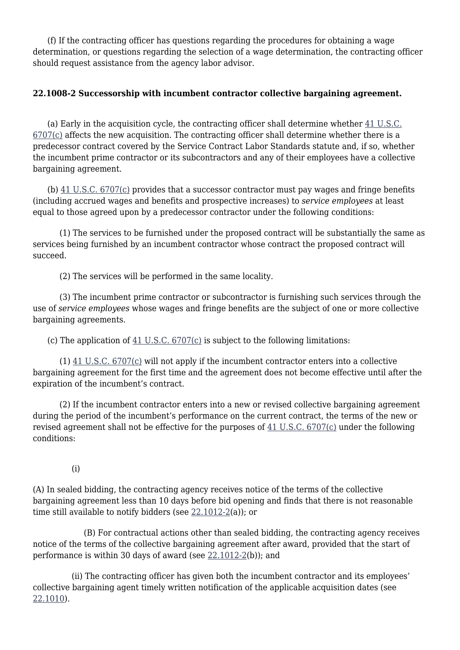(f) If the contracting officer has questions regarding the procedures for obtaining a wage determination, or questions regarding the selection of a wage determination, the contracting officer should request assistance from the agency labor advisor.

#### **22.1008-2 Successorship with incumbent contractor collective bargaining agreement.**

 (a) Early in the acquisition cycle, the contracting officer shall determine whether [41 U.S.C.](http://uscode.house.gov/browse.xhtml;jsessionid=114A3287C7B3359E597506A31FC855B3) [6707\(c\)](http://uscode.house.gov/browse.xhtml;jsessionid=114A3287C7B3359E597506A31FC855B3) affects the new acquisition. The contracting officer shall determine whether there is a predecessor contract covered by the Service Contract Labor Standards statute and, if so, whether the incumbent prime contractor or its subcontractors and any of their employees have a collective bargaining agreement.

(b)  $41$  U.S.C. 6707(c) provides that a successor contractor must pay wages and fringe benefits (including accrued wages and benefits and prospective increases) to *service employees* at least equal to those agreed upon by a predecessor contractor under the following conditions:

 (1) The services to be furnished under the proposed contract will be substantially the same as services being furnished by an incumbent contractor whose contract the proposed contract will succeed.

(2) The services will be performed in the same locality.

 (3) The incumbent prime contractor or subcontractor is furnishing such services through the use of *service employees* whose wages and fringe benefits are the subject of one or more collective bargaining agreements.

(c) The application of  $41$  U.S.C.  $6707(c)$  is subject to the following limitations:

 (1) [41 U.S.C. 6707\(c\)](http://uscode.house.gov/browse.xhtml;jsessionid=114A3287C7B3359E597506A31FC855B3) will not apply if the incumbent contractor enters into a collective bargaining agreement for the first time and the agreement does not become effective until after the expiration of the incumbent's contract.

 (2) If the incumbent contractor enters into a new or revised collective bargaining agreement during the period of the incumbent's performance on the current contract, the terms of the new or revised agreement shall not be effective for the purposes of [41 U.S.C. 6707\(c\)](http://uscode.house.gov/browse.xhtml;jsessionid=114A3287C7B3359E597506A31FC855B3) under the following conditions:

(i)

(A) In sealed bidding, the contracting agency receives notice of the terms of the collective bargaining agreement less than 10 days before bid opening and finds that there is not reasonable time still available to notify bidders (see [22.1012-2](#page--1-0)(a)); or

 (B) For contractual actions other than sealed bidding, the contracting agency receives notice of the terms of the collective bargaining agreement after award, provided that the start of performance is within 30 days of award (see [22.1012-2](#page--1-0)(b)); and

 (ii) The contracting officer has given both the incumbent contractor and its employees' collective bargaining agent timely written notification of the applicable acquisition dates (see [22.1010](#page--1-0)).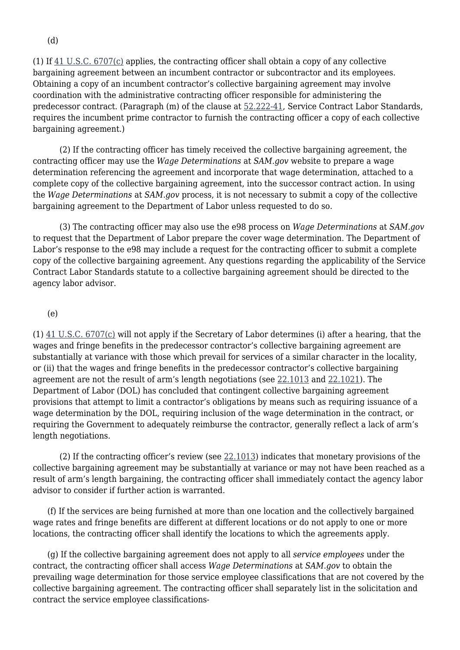(1) If [41 U.S.C. 6707\(c\)](http://uscode.house.gov/browse.xhtml;jsessionid=114A3287C7B3359E597506A31FC855B3) applies, the contracting officer shall obtain a copy of any collective bargaining agreement between an incumbent contractor or subcontractor and its employees. Obtaining a copy of an incumbent contractor's collective bargaining agreement may involve coordination with the administrative contracting officer responsible for administering the predecessor contract. (Paragraph (m) of the clause at [52.222-41](https://login.acquisition.gov/far/part-52#FAR_52_222_41), Service Contract Labor Standards, requires the incumbent prime contractor to furnish the contracting officer a copy of each collective bargaining agreement.)

 (2) If the contracting officer has timely received the collective bargaining agreement, the contracting officer may use the *Wage Determinations* at *SAM.gov* website to prepare a wage determination referencing the agreement and incorporate that wage determination, attached to a complete copy of the collective bargaining agreement, into the successor contract action. In using the *Wage Determinations* at *SAM.gov* process, it is not necessary to submit a copy of the collective bargaining agreement to the Department of Labor unless requested to do so.

 (3) The contracting officer may also use the e98 process on *Wage Determinations* at *SAM.gov* to request that the Department of Labor prepare the cover wage determination. The Department of Labor's response to the e98 may include a request for the contracting officer to submit a complete copy of the collective bargaining agreement. Any questions regarding the applicability of the Service Contract Labor Standards statute to a collective bargaining agreement should be directed to the agency labor advisor.

#### (e)

(1) [41 U.S.C. 6707\(c\)](http://uscode.house.gov/browse.xhtml;jsessionid=114A3287C7B3359E597506A31FC855B3) will not apply if the Secretary of Labor determines (i) after a hearing, that the wages and fringe benefits in the predecessor contractor's collective bargaining agreement are substantially at variance with those which prevail for services of a similar character in the locality, or (ii) that the wages and fringe benefits in the predecessor contractor's collective bargaining agreement are not the result of arm's length negotiations (see [22.1013](#page--1-0) and [22.1021\)](#page--1-0). The Department of Labor (DOL) has concluded that contingent collective bargaining agreement provisions that attempt to limit a contractor's obligations by means such as requiring issuance of a wage determination by the DOL, requiring inclusion of the wage determination in the contract, or requiring the Government to adequately reimburse the contractor, generally reflect a lack of arm's length negotiations.

 (2) If the contracting officer's review (see [22.1013\)](#page--1-0) indicates that monetary provisions of the collective bargaining agreement may be substantially at variance or may not have been reached as a result of arm's length bargaining, the contracting officer shall immediately contact the agency labor advisor to consider if further action is warranted.

 (f) If the services are being furnished at more than one location and the collectively bargained wage rates and fringe benefits are different at different locations or do not apply to one or more locations, the contracting officer shall identify the locations to which the agreements apply.

 (g) If the collective bargaining agreement does not apply to all *service employees* under the contract, the contracting officer shall access *Wage Determinations* at *SAM.gov* to obtain the prevailing wage determination for those service employee classifications that are not covered by the collective bargaining agreement. The contracting officer shall separately list in the solicitation and contract the service employee classifications-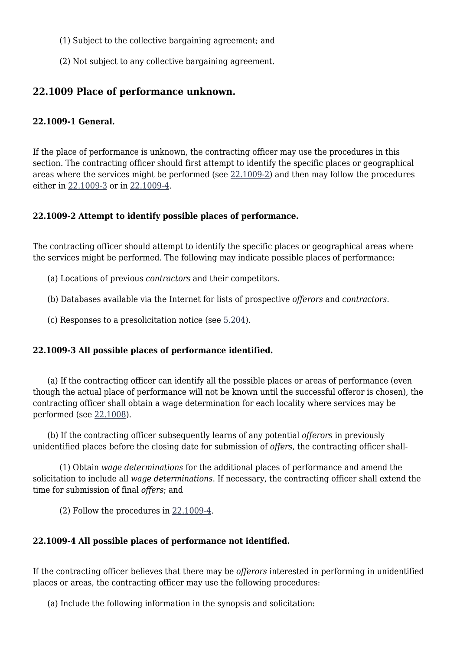- (1) Subject to the collective bargaining agreement; and
- (2) Not subject to any collective bargaining agreement.

# **22.1009 Place of performance unknown.**

#### **22.1009-1 General.**

If the place of performance is unknown, the contracting officer may use the procedures in this section. The contracting officer should first attempt to identify the specific places or geographical areas where the services might be performed (see [22.1009-2\)](#page--1-0) and then may follow the procedures either in [22.1009-3](#page--1-0) or in [22.1009-4](#page--1-0).

#### **22.1009-2 Attempt to identify possible places of performance.**

The contracting officer should attempt to identify the specific places or geographical areas where the services might be performed. The following may indicate possible places of performance:

- (a) Locations of previous *contractors* and their competitors.
- (b) Databases available via the Internet for lists of prospective *offerors* and *contractors*.
- (c) Responses to a presolicitation notice (see [5.204\)](https://login.acquisition.gov/far/part-5#FAR_5_204).

#### **22.1009-3 All possible places of performance identified.**

 (a) If the contracting officer can identify all the possible places or areas of performance (even though the actual place of performance will not be known until the successful offeror is chosen), the contracting officer shall obtain a wage determination for each locality where services may be performed (see [22.1008](#page--1-0)).

 (b) If the contracting officer subsequently learns of any potential *offerors* in previously unidentified places before the closing date for submission of *offers*, the contracting officer shall-

 (1) Obtain *wage determinations* for the additional places of performance and amend the solicitation to include all *wage determinations*. If necessary, the contracting officer shall extend the time for submission of final *offers*; and

(2) Follow the procedures in [22.1009-4.](#page--1-0)

#### **22.1009-4 All possible places of performance not identified.**

If the contracting officer believes that there may be *offerors* interested in performing in unidentified places or areas, the contracting officer may use the following procedures:

(a) Include the following information in the synopsis and solicitation: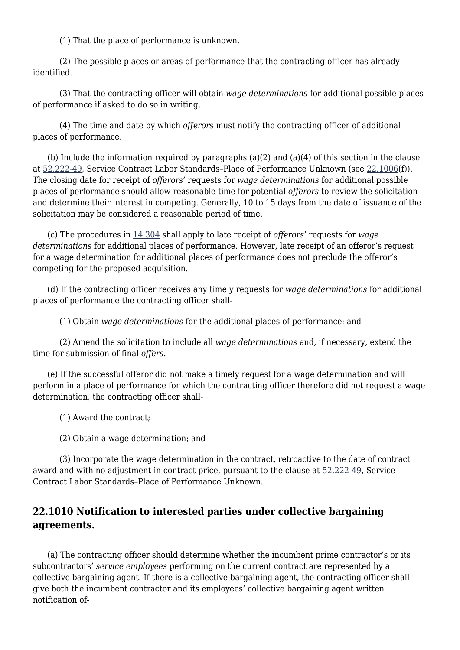(1) That the place of performance is unknown.

 (2) The possible places or areas of performance that the contracting officer has already identified.

 (3) That the contracting officer will obtain *wage determinations* for additional possible places of performance if asked to do so in writing.

 (4) The time and date by which *offerors* must notify the contracting officer of additional places of performance.

 (b) Include the information required by paragraphs (a)(2) and (a)(4) of this section in the clause at [52.222-49](https://login.acquisition.gov/far/part-52#FAR_52_222_49), Service Contract Labor Standards–Place of Performance Unknown (see [22.1006\(](#page--1-0)f)). The closing date for receipt of *offerors*' requests for *wage determinations* for additional possible places of performance should allow reasonable time for potential *offerors* to review the solicitation and determine their interest in competing. Generally, 10 to 15 days from the date of issuance of the solicitation may be considered a reasonable period of time.

 (c) The procedures in [14.304](https://login.acquisition.gov/far/part-14#FAR_14_304) shall apply to late receipt of *offerors*' requests for *wage determinations* for additional places of performance. However, late receipt of an offeror's request for a wage determination for additional places of performance does not preclude the offeror's competing for the proposed acquisition.

 (d) If the contracting officer receives any timely requests for *wage determinations* for additional places of performance the contracting officer shall-

(1) Obtain *wage determinations* for the additional places of performance; and

 (2) Amend the solicitation to include all *wage determinations* and, if necessary, extend the time for submission of final *offers*.

 (e) If the successful offeror did not make a timely request for a wage determination and will perform in a place of performance for which the contracting officer therefore did not request a wage determination, the contracting officer shall-

(1) Award the contract;

(2) Obtain a wage determination; and

 (3) Incorporate the wage determination in the contract, retroactive to the date of contract award and with no adjustment in contract price, pursuant to the clause at [52.222-49,](https://login.acquisition.gov/far/part-52#FAR_52_222_49) Service Contract Labor Standards–Place of Performance Unknown.

## **22.1010 Notification to interested parties under collective bargaining agreements.**

 (a) The contracting officer should determine whether the incumbent prime contractor's or its subcontractors' *service employees* performing on the current contract are represented by a collective bargaining agent. If there is a collective bargaining agent, the contracting officer shall give both the incumbent contractor and its employees' collective bargaining agent written notification of-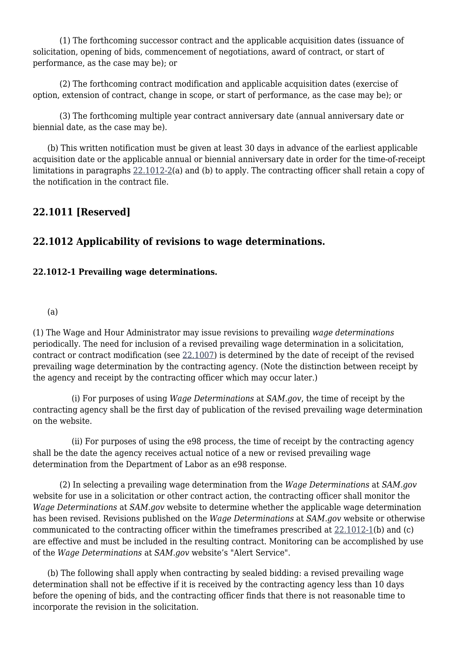(1) The forthcoming successor contract and the applicable acquisition dates (issuance of solicitation, opening of bids, commencement of negotiations, award of contract, or start of performance, as the case may be); or

 (2) The forthcoming contract modification and applicable acquisition dates (exercise of option, extension of contract, change in scope, or start of performance, as the case may be); or

 (3) The forthcoming multiple year contract anniversary date (annual anniversary date or biennial date, as the case may be).

 (b) This written notification must be given at least 30 days in advance of the earliest applicable acquisition date or the applicable annual or biennial anniversary date in order for the time-of-receipt limitations in paragraphs [22.1012-2\(](#page--1-0)a) and (b) to apply. The contracting officer shall retain a copy of the notification in the contract file.

## **22.1011 [Reserved]**

#### **22.1012 Applicability of revisions to wage determinations.**

#### **22.1012-1 Prevailing wage determinations.**

(a)

(1) The Wage and Hour Administrator may issue revisions to prevailing *wage determinations* periodically. The need for inclusion of a revised prevailing wage determination in a solicitation, contract or contract modification (see  $22.1007$ ) is determined by the date of receipt of the revised prevailing wage determination by the contracting agency. (Note the distinction between receipt by the agency and receipt by the contracting officer which may occur later.)

 (i) For purposes of using *Wage Determinations* at *SAM.gov*, the time of receipt by the contracting agency shall be the first day of publication of the revised prevailing wage determination on the website.

 (ii) For purposes of using the e98 process, the time of receipt by the contracting agency shall be the date the agency receives actual notice of a new or revised prevailing wage determination from the Department of Labor as an e98 response.

 (2) In selecting a prevailing wage determination from the *Wage Determinations* at *SAM.gov* website for use in a solicitation or other contract action, the contracting officer shall monitor the *Wage Determinations* at *SAM.gov* website to determine whether the applicable wage determination has been revised. Revisions published on the *Wage Determinations* at *SAM.gov* website or otherwise communicated to the contracting officer within the timeframes prescribed at [22.1012-1](#page--1-0)(b) and (c) are effective and must be included in the resulting contract. Monitoring can be accomplished by use of the *Wage Determinations* at *SAM.gov* website's "Alert Service".

 (b) The following shall apply when contracting by sealed bidding: a revised prevailing wage determination shall not be effective if it is received by the contracting agency less than 10 days before the opening of bids, and the contracting officer finds that there is not reasonable time to incorporate the revision in the solicitation.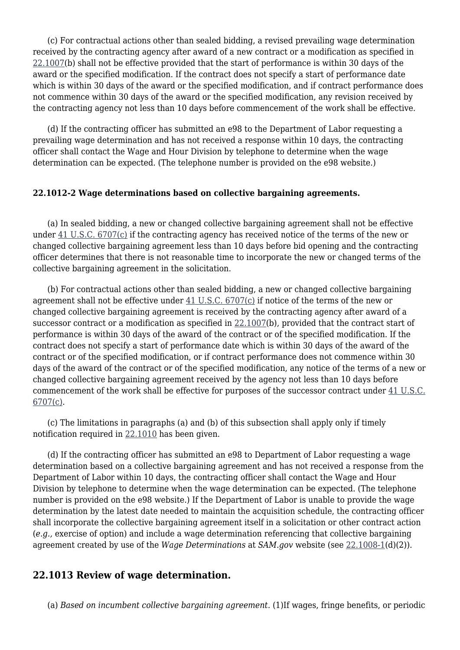(c) For contractual actions other than sealed bidding, a revised prevailing wage determination received by the contracting agency after award of a new contract or a modification as specified in [22.1007](#page--1-0)(b) shall not be effective provided that the start of performance is within 30 days of the award or the specified modification. If the contract does not specify a start of performance date which is within 30 days of the award or the specified modification, and if contract performance does not commence within 30 days of the award or the specified modification, any revision received by the contracting agency not less than 10 days before commencement of the work shall be effective.

 (d) If the contracting officer has submitted an e98 to the Department of Labor requesting a prevailing wage determination and has not received a response within 10 days, the contracting officer shall contact the Wage and Hour Division by telephone to determine when the wage determination can be expected. (The telephone number is provided on the e98 website.)

#### **22.1012-2 Wage determinations based on collective bargaining agreements.**

 (a) In sealed bidding, a new or changed collective bargaining agreement shall not be effective under [41 U.S.C. 6707\(c\)](http://uscode.house.gov/browse.xhtml;jsessionid=114A3287C7B3359E597506A31FC855B3) if the contracting agency has received notice of the terms of the new or changed collective bargaining agreement less than 10 days before bid opening and the contracting officer determines that there is not reasonable time to incorporate the new or changed terms of the collective bargaining agreement in the solicitation.

 (b) For contractual actions other than sealed bidding, a new or changed collective bargaining agreement shall not be effective under [41 U.S.C. 6707\(c\)](http://uscode.house.gov/browse.xhtml;jsessionid=114A3287C7B3359E597506A31FC855B3) if notice of the terms of the new or changed collective bargaining agreement is received by the contracting agency after award of a successor contract or a modification as specified in [22.1007\(](#page--1-0)b), provided that the contract start of performance is within 30 days of the award of the contract or of the specified modification. If the contract does not specify a start of performance date which is within 30 days of the award of the contract or of the specified modification, or if contract performance does not commence within 30 days of the award of the contract or of the specified modification, any notice of the terms of a new or changed collective bargaining agreement received by the agency not less than 10 days before commencement of the work shall be effective for purposes of the successor contract under [41 U.S.C.](http://uscode.house.gov/browse.xhtml;jsessionid=114A3287C7B3359E597506A31FC855B3) [6707\(c\).](http://uscode.house.gov/browse.xhtml;jsessionid=114A3287C7B3359E597506A31FC855B3)

 (c) The limitations in paragraphs (a) and (b) of this subsection shall apply only if timely notification required in [22.1010](#page--1-0) has been given.

 (d) If the contracting officer has submitted an e98 to Department of Labor requesting a wage determination based on a collective bargaining agreement and has not received a response from the Department of Labor within 10 days, the contracting officer shall contact the Wage and Hour Division by telephone to determine when the wage determination can be expected. (The telephone number is provided on the e98 website.) If the Department of Labor is unable to provide the wage determination by the latest date needed to maintain the acquisition schedule, the contracting officer shall incorporate the collective bargaining agreement itself in a solicitation or other contract action (*e.g.,* exercise of option) and include a wage determination referencing that collective bargaining agreement created by use of the *Wage Determinations* at *SAM.gov* website (see [22.1008-1\(](#page--1-0)d)(2)).

## **22.1013 Review of wage determination.**

(a) *Based on incumbent collective bargaining agreement.* (1)If wages, fringe benefits, or periodic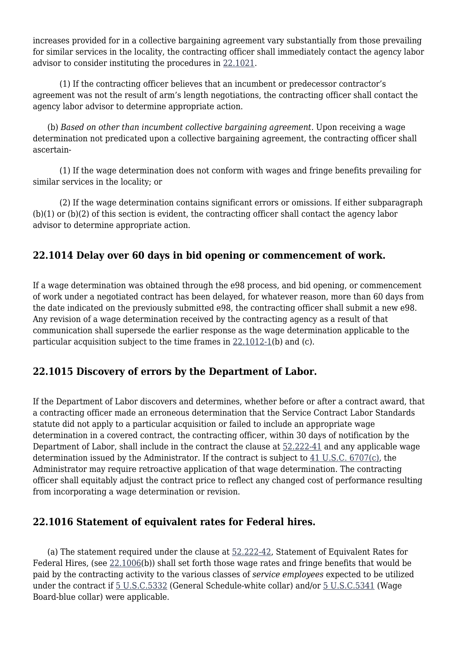increases provided for in a collective bargaining agreement vary substantially from those prevailing for similar services in the locality, the contracting officer shall immediately contact the agency labor advisor to consider instituting the procedures in [22.1021.](#page--1-0)

 (1) If the contracting officer believes that an incumbent or predecessor contractor's agreement was not the result of arm's length negotiations, the contracting officer shall contact the agency labor advisor to determine appropriate action.

 (b) *Based on other than incumbent collective bargaining agreement.* Upon receiving a wage determination not predicated upon a collective bargaining agreement, the contracting officer shall ascertain-

 (1) If the wage determination does not conform with wages and fringe benefits prevailing for similar services in the locality; or

 (2) If the wage determination contains significant errors or omissions. If either subparagraph  $(b)(1)$  or  $(b)(2)$  of this section is evident, the contracting officer shall contact the agency labor advisor to determine appropriate action.

# **22.1014 Delay over 60 days in bid opening or commencement of work.**

If a wage determination was obtained through the e98 process, and bid opening, or commencement of work under a negotiated contract has been delayed, for whatever reason, more than 60 days from the date indicated on the previously submitted e98, the contracting officer shall submit a new e98. Any revision of a wage determination received by the contracting agency as a result of that communication shall supersede the earlier response as the wage determination applicable to the particular acquisition subject to the time frames in [22.1012-1\(](#page--1-0)b) and (c).

## **22.1015 Discovery of errors by the Department of Labor.**

If the Department of Labor discovers and determines, whether before or after a contract award, that a contracting officer made an erroneous determination that the Service Contract Labor Standards statute did not apply to a particular acquisition or failed to include an appropriate wage determination in a covered contract, the contracting officer, within 30 days of notification by the Department of Labor, shall include in the contract the clause at [52.222-41](https://login.acquisition.gov/far/part-52#FAR_52_222_41) and any applicable wage determination issued by the Administrator. If the contract is subject to [41 U.S.C. 6707\(c\),](http://uscode.house.gov/browse.xhtml;jsessionid=114A3287C7B3359E597506A31FC855B3) the Administrator may require retroactive application of that wage determination. The contracting officer shall equitably adjust the contract price to reflect any changed cost of performance resulting from incorporating a wage determination or revision.

## **22.1016 Statement of equivalent rates for Federal hires.**

 (a) The statement required under the clause at [52.222-42,](https://login.acquisition.gov/far/part-52#FAR_52_222_42) Statement of Equivalent Rates for Federal Hires, (see [22.1006\(](#page--1-0)b)) shall set forth those wage rates and fringe benefits that would be paid by the contracting activity to the various classes of *service employees* expected to be utilized under the contract if  $5$  U.S.C.5332 (General Schedule-white collar) and/or  $5$  U.S.C.5341 (Wage Board-blue collar) were applicable.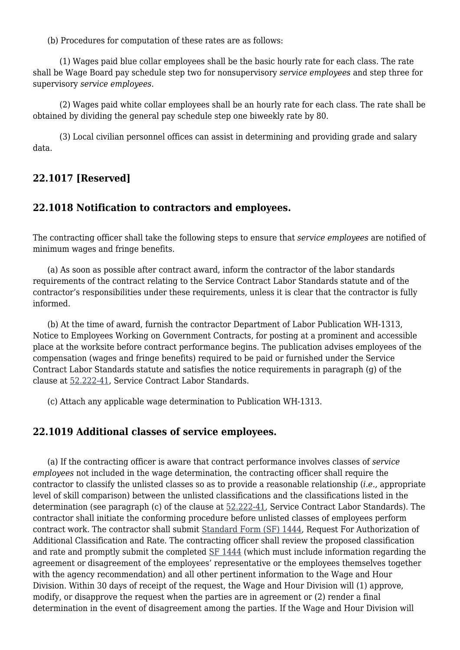(b) Procedures for computation of these rates are as follows:

 (1) Wages paid blue collar employees shall be the basic hourly rate for each class. The rate shall be Wage Board pay schedule step two for nonsupervisory *service employees* and step three for supervisory *service employees*.

 (2) Wages paid white collar employees shall be an hourly rate for each class. The rate shall be obtained by dividing the general pay schedule step one biweekly rate by 80.

 (3) Local civilian personnel offices can assist in determining and providing grade and salary data.

#### **22.1017 [Reserved]**

#### **22.1018 Notification to contractors and employees.**

The contracting officer shall take the following steps to ensure that *service employees* are notified of minimum wages and fringe benefits.

 (a) As soon as possible after contract award, inform the contractor of the labor standards requirements of the contract relating to the Service Contract Labor Standards statute and of the contractor's responsibilities under these requirements, unless it is clear that the contractor is fully informed.

 (b) At the time of award, furnish the contractor Department of Labor Publication WH-1313, Notice to Employees Working on Government Contracts, for posting at a prominent and accessible place at the worksite before contract performance begins. The publication advises employees of the compensation (wages and fringe benefits) required to be paid or furnished under the Service Contract Labor Standards statute and satisfies the notice requirements in paragraph (g) of the clause at [52.222-41](https://login.acquisition.gov/far/part-52#FAR_52_222_41), Service Contract Labor Standards.

(c) Attach any applicable wage determination to Publication WH-1313.

#### **22.1019 Additional classes of service employees.**

 (a) If the contracting officer is aware that contract performance involves classes of *service employees* not included in the wage determination, the contracting officer shall require the contractor to classify the unlisted classes so as to provide a reasonable relationship (*i.e.,* appropriate level of skill comparison) between the unlisted classifications and the classifications listed in the determination (see paragraph (c) of the clause at [52.222-41](https://login.acquisition.gov/far/part-52#FAR_52_222_41), Service Contract Labor Standards). The contractor shall initiate the conforming procedure before unlisted classes of employees perform contract work. The contractor shall submit [Standard Form \(SF\) 1444](https://www.gsa.gov/forms-library/request-authorization-additional-classification-and-rate), Request For Authorization of Additional Classification and Rate. The contracting officer shall review the proposed classification and rate and promptly submit the completed [SF 1444](https://www.gsa.gov/forms-library/request-authorization-additional-classification-and-rate) (which must include information regarding the agreement or disagreement of the employees' representative or the employees themselves together with the agency recommendation) and all other pertinent information to the Wage and Hour Division. Within 30 days of receipt of the request, the Wage and Hour Division will (1) approve, modify, or disapprove the request when the parties are in agreement or (2) render a final determination in the event of disagreement among the parties. If the Wage and Hour Division will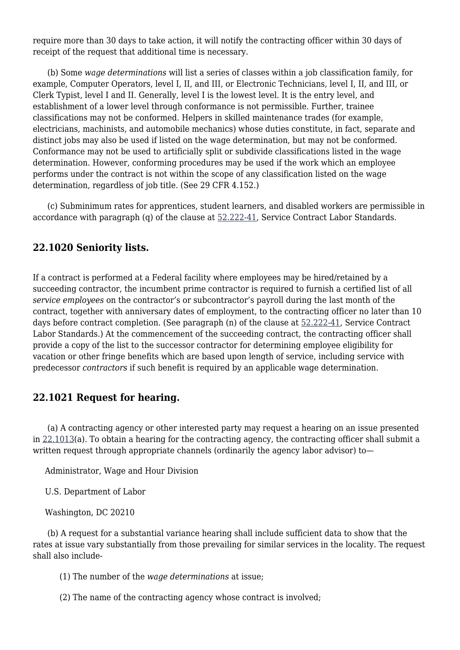require more than 30 days to take action, it will notify the contracting officer within 30 days of receipt of the request that additional time is necessary.

 (b) Some *wage determinations* will list a series of classes within a job classification family, for example, Computer Operators, level I, II, and III, or Electronic Technicians, level I, II, and III, or Clerk Typist, level I and II. Generally, level I is the lowest level. It is the entry level, and establishment of a lower level through conformance is not permissible. Further, trainee classifications may not be conformed. Helpers in skilled maintenance trades (for example, electricians, machinists, and automobile mechanics) whose duties constitute, in fact, separate and distinct jobs may also be used if listed on the wage determination, but may not be conformed. Conformance may not be used to artificially split or subdivide classifications listed in the wage determination. However, conforming procedures may be used if the work which an employee performs under the contract is not within the scope of any classification listed on the wage determination, regardless of job title. (See 29 CFR 4.152.)

 (c) Subminimum rates for apprentices, student learners, and disabled workers are permissible in accordance with paragraph (q) of the clause at [52.222-41](https://login.acquisition.gov/far/part-52#FAR_52_222_41), Service Contract Labor Standards.

#### **22.1020 Seniority lists.**

If a contract is performed at a Federal facility where employees may be hired/retained by a succeeding contractor, the incumbent prime contractor is required to furnish a certified list of all *service employees* on the contractor's or subcontractor's payroll during the last month of the contract, together with anniversary dates of employment, to the contracting officer no later than 10 days before contract completion. (See paragraph (n) of the clause at [52.222-41](https://login.acquisition.gov/far/part-52#FAR_52_222_41), Service Contract Labor Standards.) At the commencement of the succeeding contract, the contracting officer shall provide a copy of the list to the successor contractor for determining employee eligibility for vacation or other fringe benefits which are based upon length of service, including service with predecessor *contractors* if such benefit is required by an applicable wage determination.

#### **22.1021 Request for hearing.**

 (a) A contracting agency or other interested party may request a hearing on an issue presented in [22.1013](#page--1-0)(a). To obtain a hearing for the contracting agency, the contracting officer shall submit a written request through appropriate channels (ordinarily the agency labor advisor) to—

Administrator, Wage and Hour Division

U.S. Department of Labor

Washington, DC 20210

 (b) A request for a substantial variance hearing shall include sufficient data to show that the rates at issue vary substantially from those prevailing for similar services in the locality. The request shall also include-

(1) The number of the *wage determinations* at issue;

(2) The name of the contracting agency whose contract is involved;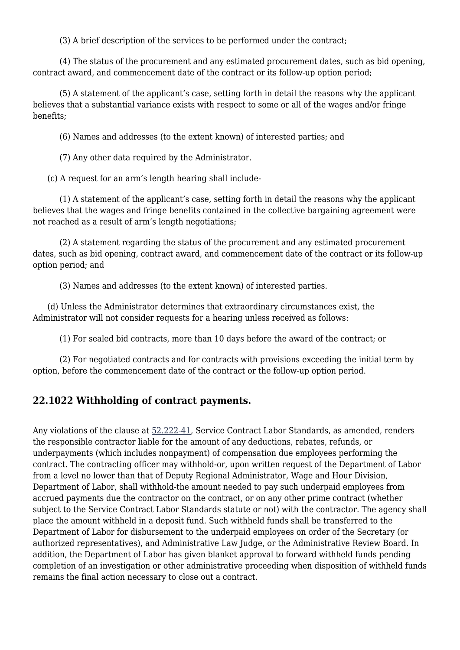(3) A brief description of the services to be performed under the contract;

 (4) The status of the procurement and any estimated procurement dates, such as bid opening, contract award, and commencement date of the contract or its follow-up option period;

 (5) A statement of the applicant's case, setting forth in detail the reasons why the applicant believes that a substantial variance exists with respect to some or all of the wages and/or fringe benefits;

(6) Names and addresses (to the extent known) of interested parties; and

(7) Any other data required by the Administrator.

(c) A request for an arm's length hearing shall include-

 (1) A statement of the applicant's case, setting forth in detail the reasons why the applicant believes that the wages and fringe benefits contained in the collective bargaining agreement were not reached as a result of arm's length negotiations;

 (2) A statement regarding the status of the procurement and any estimated procurement dates, such as bid opening, contract award, and commencement date of the contract or its follow-up option period; and

(3) Names and addresses (to the extent known) of interested parties.

 (d) Unless the Administrator determines that extraordinary circumstances exist, the Administrator will not consider requests for a hearing unless received as follows:

(1) For sealed bid contracts, more than 10 days before the award of the contract; or

 (2) For negotiated contracts and for contracts with provisions exceeding the initial term by option, before the commencement date of the contract or the follow-up option period.

## **22.1022 Withholding of contract payments.**

Any violations of the clause at [52.222-41,](https://login.acquisition.gov/far/part-52#FAR_52_222_41) Service Contract Labor Standards, as amended, renders the responsible contractor liable for the amount of any deductions, rebates, refunds, or underpayments (which includes nonpayment) of compensation due employees performing the contract. The contracting officer may withhold-or, upon written request of the Department of Labor from a level no lower than that of Deputy Regional Administrator, Wage and Hour Division, Department of Labor, shall withhold-the amount needed to pay such underpaid employees from accrued payments due the contractor on the contract, or on any other prime contract (whether subject to the Service Contract Labor Standards statute or not) with the contractor. The agency shall place the amount withheld in a deposit fund. Such withheld funds shall be transferred to the Department of Labor for disbursement to the underpaid employees on order of the Secretary (or authorized representatives), and Administrative Law Judge, or the Administrative Review Board. In addition, the Department of Labor has given blanket approval to forward withheld funds pending completion of an investigation or other administrative proceeding when disposition of withheld funds remains the final action necessary to close out a contract.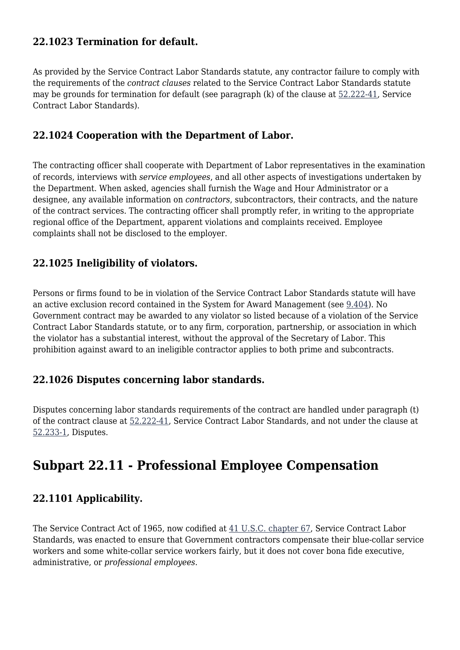# **22.1023 Termination for default.**

As provided by the Service Contract Labor Standards statute, any contractor failure to comply with the requirements of the *contract clauses* related to the Service Contract Labor Standards statute may be grounds for termination for default (see paragraph (k) of the clause at [52.222-41,](https://login.acquisition.gov/far/part-52#FAR_52_222_41) Service Contract Labor Standards).

## **22.1024 Cooperation with the Department of Labor.**

The contracting officer shall cooperate with Department of Labor representatives in the examination of records, interviews with *service employees*, and all other aspects of investigations undertaken by the Department. When asked, agencies shall furnish the Wage and Hour Administrator or a designee, any available information on *contractors*, subcontractors, their contracts, and the nature of the contract services. The contracting officer shall promptly refer, in writing to the appropriate regional office of the Department, apparent violations and complaints received. Employee complaints shall not be disclosed to the employer.

# **22.1025 Ineligibility of violators.**

Persons or firms found to be in violation of the Service Contract Labor Standards statute will have an active exclusion record contained in the System for Award Management (see [9.404\)](https://login.acquisition.gov/far/part-9#FAR_9_404). No Government contract may be awarded to any violator so listed because of a violation of the Service Contract Labor Standards statute, or to any firm, corporation, partnership, or association in which the violator has a substantial interest, without the approval of the Secretary of Labor. This prohibition against award to an ineligible contractor applies to both prime and subcontracts.

## **22.1026 Disputes concerning labor standards.**

Disputes concerning labor standards requirements of the contract are handled under paragraph (t) of the contract clause at [52.222-41](https://login.acquisition.gov/far/part-52#FAR_52_222_41), Service Contract Labor Standards, and not under the clause at [52.233-1,](https://login.acquisition.gov/far/part-52#FAR_52_233_1) Disputes.

# **Subpart 22.11 - Professional Employee Compensation**

# **22.1101 Applicability.**

The Service Contract Act of 1965, now codified at [41 U.S.C. chapter 67,](http://uscode.house.gov/browse.xhtml;jsessionid=114A3287C7B3359E597506A31FC855B3) Service Contract Labor Standards, was enacted to ensure that Government contractors compensate their blue-collar service workers and some white-collar service workers fairly, but it does not cover bona fide executive, administrative, or *professional employees*.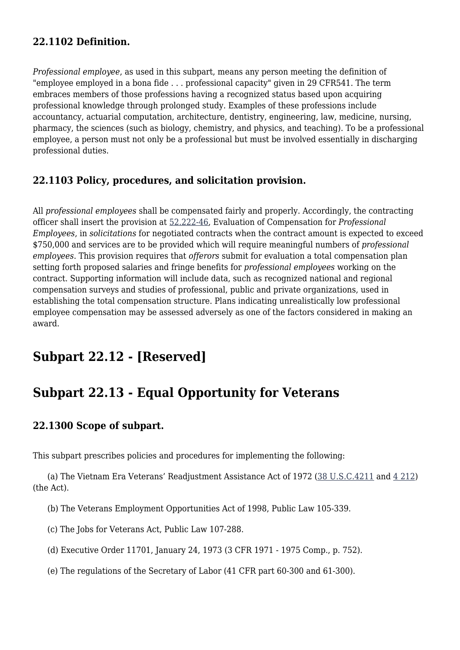# **22.1102 Definition.**

*Professional employee*, as used in this subpart, means any person meeting the definition of "employee employed in a bona fide . . . professional capacity" given in 29 CFR541. The term embraces members of those professions having a recognized status based upon acquiring professional knowledge through prolonged study. Examples of these professions include accountancy, actuarial computation, architecture, dentistry, engineering, law, medicine, nursing, pharmacy, the sciences (such as biology, chemistry, and physics, and teaching). To be a professional employee, a person must not only be a professional but must be involved essentially in discharging professional duties.

#### **22.1103 Policy, procedures, and solicitation provision.**

All *professional employees* shall be compensated fairly and properly. Accordingly, the contracting officer shall insert the provision at [52.222-46,](https://login.acquisition.gov/far/part-52#FAR_52_222_46) Evaluation of Compensation for *Professional Employees*, in *solicitations* for negotiated contracts when the contract amount is expected to exceed \$750,000 and services are to be provided which will require meaningful numbers of *professional employees*. This provision requires that *offerors* submit for evaluation a total compensation plan setting forth proposed salaries and fringe benefits for *professional employees* working on the contract. Supporting information will include data, such as recognized national and regional compensation surveys and studies of professional, public and private organizations, used in establishing the total compensation structure. Plans indicating unrealistically low professional employee compensation may be assessed adversely as one of the factors considered in making an award.

# **Subpart 22.12 - [Reserved]**

# **Subpart 22.13 - Equal Opportunity for Veterans**

#### **22.1300 Scope of subpart.**

This subpart prescribes policies and procedures for implementing the following:

(a) The Vietnam Era Veterans' Readjustment Assistance Act of 1972  $(38 \text{ U.S.C.4211}$  and  $4 \text{ 212})$ (the Act).

- (b) The Veterans Employment Opportunities Act of 1998, Public Law 105-339.
- (c) The Jobs for Veterans Act, Public Law 107-288.
- (d) Executive Order 11701, January 24, 1973 (3 CFR 1971 1975 Comp., p. 752).
- (e) The regulations of the Secretary of Labor (41 CFR part 60-300 and 61-300).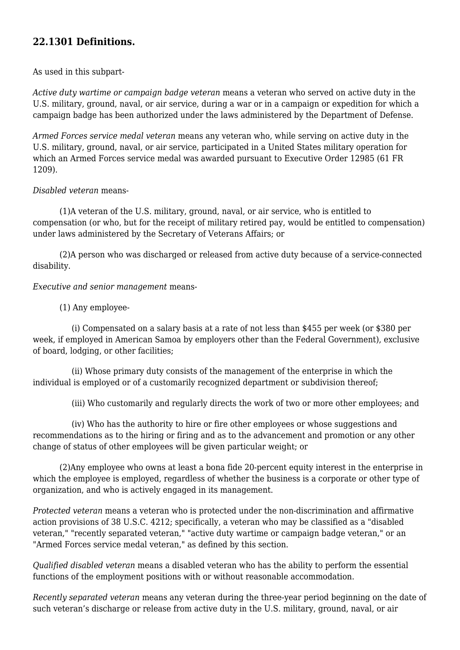# **22.1301 Definitions.**

As used in this subpart-

*Active duty wartime or campaign badge veteran* means a veteran who served on active duty in the U.S. military, ground, naval, or air service, during a war or in a campaign or expedition for which a campaign badge has been authorized under the laws administered by the Department of Defense.

*Armed Forces service medal veteran* means any veteran who, while serving on active duty in the U.S. military, ground, naval, or air service, participated in a United States military operation for which an Armed Forces service medal was awarded pursuant to Executive Order 12985 (61 FR 1209).

#### *Disabled veteran* means-

 (1)A veteran of the U.S. military, ground, naval, or air service, who is entitled to compensation (or who, but for the receipt of military retired pay, would be entitled to compensation) under laws administered by the Secretary of Veterans Affairs; or

 (2)A person who was discharged or released from active duty because of a service-connected disability.

*Executive and senior management* means-

#### (1) Any employee-

 (i) Compensated on a salary basis at a rate of not less than \$455 per week (or \$380 per week, if employed in American Samoa by employers other than the Federal Government), exclusive of board, lodging, or other facilities;

 (ii) Whose primary duty consists of the management of the enterprise in which the individual is employed or of a customarily recognized department or subdivision thereof;

(iii) Who customarily and regularly directs the work of two or more other employees; and

 (iv) Who has the authority to hire or fire other employees or whose suggestions and recommendations as to the hiring or firing and as to the advancement and promotion or any other change of status of other employees will be given particular weight; or

 (2)Any employee who owns at least a bona fide 20-percent equity interest in the enterprise in which the employee is employed, regardless of whether the business is a corporate or other type of organization, and who is actively engaged in its management.

*Protected veteran* means a veteran who is protected under the non-discrimination and affirmative action provisions of 38 U.S.C. 4212; specifically, a veteran who may be classified as a "disabled veteran," "recently separated veteran," "active duty wartime or campaign badge veteran," or an "Armed Forces service medal veteran," as defined by this section.

*Qualified disabled veteran* means a disabled veteran who has the ability to perform the essential functions of the employment positions with or without reasonable accommodation.

*Recently separated veteran* means any veteran during the three-year period beginning on the date of such veteran's discharge or release from active duty in the U.S. military, ground, naval, or air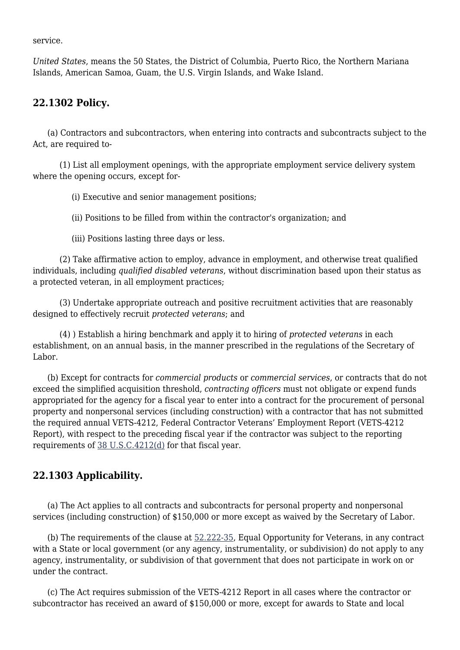service.

*United States*, means the 50 States, the District of Columbia, Puerto Rico, the Northern Mariana Islands, American Samoa, Guam, the U.S. Virgin Islands, and Wake Island.

#### **22.1302 Policy.**

 (a) Contractors and subcontractors, when entering into contracts and subcontracts subject to the Act, are required to-

 (1) List all employment openings, with the appropriate employment service delivery system where the opening occurs, except for-

(i) Executive and senior management positions;

(ii) Positions to be filled from within the contractor's organization; and

(iii) Positions lasting three days or less.

 (2) Take affirmative action to employ, advance in employment, and otherwise treat qualified individuals, including *qualified disabled veterans*, without discrimination based upon their status as a protected veteran, in all employment practices;

 (3) Undertake appropriate outreach and positive recruitment activities that are reasonably designed to effectively recruit *protected veterans*; and

 (4) ) Establish a hiring benchmark and apply it to hiring of *protected veterans* in each establishment, on an annual basis, in the manner prescribed in the regulations of the Secretary of Labor.

 (b) Except for contracts for *commercial products* or *commercial services*, or contracts that do not exceed the simplified acquisition threshold, *contracting officers* must not obligate or expend funds appropriated for the agency for a fiscal year to enter into a contract for the procurement of personal property and nonpersonal services (including construction) with a contractor that has not submitted the required annual VETS-4212, Federal Contractor Veterans' Employment Report (VETS-4212 Report), with respect to the preceding fiscal year if the contractor was subject to the reporting requirements of [38 U.S.C.4212\(d\)](http://uscode.house.gov/browse.xhtml;jsessionid=114A3287C7B3359E597506A31FC855B3) for that fiscal year.

## **22.1303 Applicability.**

 (a) The Act applies to all contracts and subcontracts for personal property and nonpersonal services (including construction) of \$150,000 or more except as waived by the Secretary of Labor.

(b) The requirements of the clause at  $52.222-35$ , Equal Opportunity for Veterans, in any contract with a State or local government (or any agency, instrumentality, or subdivision) do not apply to any agency, instrumentality, or subdivision of that government that does not participate in work on or under the contract.

 (c) The Act requires submission of the VETS-4212 Report in all cases where the contractor or subcontractor has received an award of \$150,000 or more, except for awards to State and local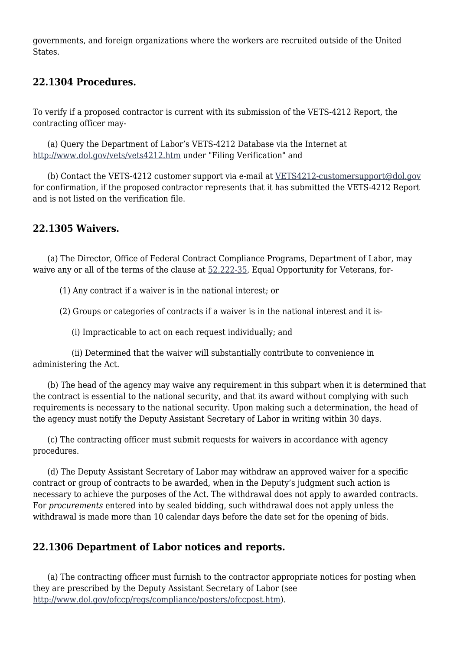governments, and foreign organizations where the workers are recruited outside of the United States.

## **22.1304 Procedures.**

To verify if a proposed contractor is current with its submission of the VETS-4212 Report, the contracting officer may-

 (a) Query the Department of Labor's VETS-4212 Database via the Internet at <http://www.dol.gov/vets/vets4212.htm>under "Filing Verification" and

 (b) Contact the VETS-4212 customer support via e-mail at [VETS4212-customersupport@dol.gov](mailto:VETS4212-customersupport@dol.gov) for confirmation, if the proposed contractor represents that it has submitted the VETS-4212 Report and is not listed on the verification file.

#### **22.1305 Waivers.**

 (a) The Director, Office of Federal Contract Compliance Programs, Department of Labor, may waive any or all of the terms of the clause at [52.222-35,](https://login.acquisition.gov/far/part-52#FAR_52_222_35) Equal Opportunity for Veterans, for-

(1) Any contract if a waiver is in the national interest; or

(2) Groups or categories of contracts if a waiver is in the national interest and it is-

(i) Impracticable to act on each request individually; and

 (ii) Determined that the waiver will substantially contribute to convenience in administering the Act.

 (b) The head of the agency may waive any requirement in this subpart when it is determined that the contract is essential to the national security, and that its award without complying with such requirements is necessary to the national security. Upon making such a determination, the head of the agency must notify the Deputy Assistant Secretary of Labor in writing within 30 days.

 (c) The contracting officer must submit requests for waivers in accordance with agency procedures.

 (d) The Deputy Assistant Secretary of Labor may withdraw an approved waiver for a specific contract or group of contracts to be awarded, when in the Deputy's judgment such action is necessary to achieve the purposes of the Act. The withdrawal does not apply to awarded contracts. For *procurements* entered into by sealed bidding, such withdrawal does not apply unless the withdrawal is made more than 10 calendar days before the date set for the opening of bids.

#### **22.1306 Department of Labor notices and reports.**

 (a) The contracting officer must furnish to the contractor appropriate notices for posting when they are prescribed by the Deputy Assistant Secretary of Labor (see <http://www.dol.gov/ofccp/regs/compliance/posters/ofccpost.htm>).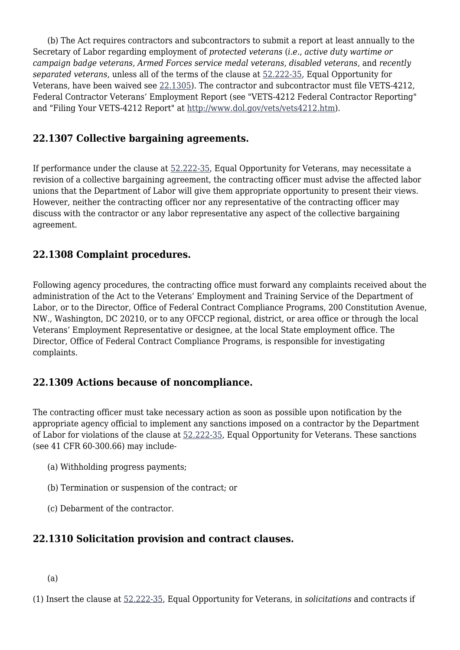(b) The Act requires contractors and subcontractors to submit a report at least annually to the Secretary of Labor regarding employment of *protected veterans* (*i.e.*, *active duty wartime or campaign badge veterans*, *Armed Forces service medal veterans*, *disabled veterans*, and *recently separated veterans*, unless all of the terms of the clause at [52.222-35,](https://login.acquisition.gov/far/part-52#FAR_52_222_35) Equal Opportunity for Veterans, have been waived see [22.1305](#page--1-0)). The contractor and subcontractor must file VETS-4212, Federal Contractor Veterans' Employment Report (see "VETS-4212 Federal Contractor Reporting" and "Filing Your VETS-4212 Report" at [http://www.dol.gov/vets/vets4212.htm\)](http://www.dol.gov/vets/vets4212.htm).

# **22.1307 Collective bargaining agreements.**

If performance under the clause at [52.222-35](https://login.acquisition.gov/far/part-52#FAR_52_222_35), Equal Opportunity for Veterans, may necessitate a revision of a collective bargaining agreement, the contracting officer must advise the affected labor unions that the Department of Labor will give them appropriate opportunity to present their views. However, neither the contracting officer nor any representative of the contracting officer may discuss with the contractor or any labor representative any aspect of the collective bargaining agreement.

## **22.1308 Complaint procedures.**

Following agency procedures, the contracting office must forward any complaints received about the administration of the Act to the Veterans' Employment and Training Service of the Department of Labor, or to the Director, Office of Federal Contract Compliance Programs, 200 Constitution Avenue, NW., Washington, DC 20210, or to any OFCCP regional, district, or area office or through the local Veterans' Employment Representative or designee, at the local State employment office. The Director, Office of Federal Contract Compliance Programs, is responsible for investigating complaints.

## **22.1309 Actions because of noncompliance.**

The contracting officer must take necessary action as soon as possible upon notification by the appropriate agency official to implement any sanctions imposed on a contractor by the Department of Labor for violations of the clause at [52.222-35,](https://login.acquisition.gov/far/part-52#FAR_52_222_35) Equal Opportunity for Veterans. These sanctions (see 41 CFR 60-300.66) may include-

- (a) Withholding progress payments;
- (b) Termination or suspension of the contract; or
- (c) Debarment of the contractor.

## **22.1310 Solicitation provision and contract clauses.**

(a)

(1) Insert the clause at [52.222-35,](https://login.acquisition.gov/far/part-52#FAR_52_222_35) Equal Opportunity for Veterans, in *solicitations* and contracts if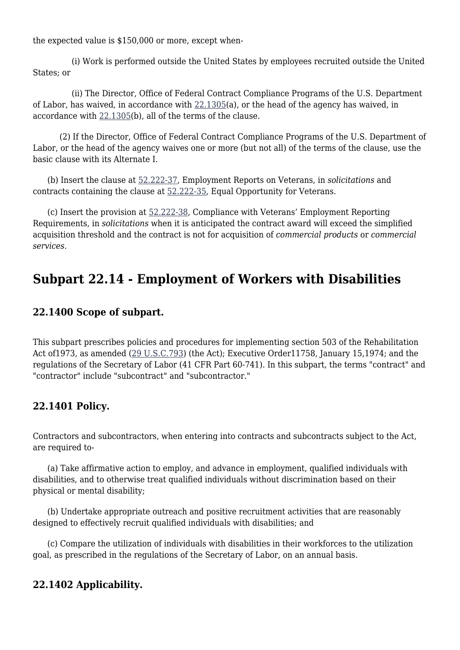the expected value is \$150,000 or more, except when-

 (i) Work is performed outside the United States by employees recruited outside the United States; or

 (ii) The Director, Office of Federal Contract Compliance Programs of the U.S. Department of Labor, has waived, in accordance with  $22.1305(a)$  $22.1305(a)$ , or the head of the agency has waived, in accordance with [22.1305](#page--1-0)(b), all of the terms of the clause.

 (2) If the Director, Office of Federal Contract Compliance Programs of the U.S. Department of Labor, or the head of the agency waives one or more (but not all) of the terms of the clause, use the basic clause with its Alternate I.

 (b) Insert the clause at [52.222-37,](https://login.acquisition.gov/far/part-52#FAR_52_222_37) Employment Reports on Veterans, in *solicitations* and contracts containing the clause at [52.222-35](https://login.acquisition.gov/far/part-52#FAR_52_222_35), Equal Opportunity for Veterans.

 (c) Insert the provision at [52.222-38](https://login.acquisition.gov/far/part-52#FAR_52_222_38), Compliance with Veterans' Employment Reporting Requirements, in *solicitations* when it is anticipated the contract award will exceed the simplified acquisition threshold and the contract is not for acquisition of *commercial products* or *commercial services*.

# **Subpart 22.14 - Employment of Workers with Disabilities**

#### **22.1400 Scope of subpart.**

This subpart prescribes policies and procedures for implementing section 503 of the Rehabilitation Act of1973, as amended ([29 U.S.C.793](http://uscode.house.gov/browse.xhtml;jsessionid=114A3287C7B3359E597506A31FC855B3)) (the Act); Executive Order11758, January 15,1974; and the regulations of the Secretary of Labor (41 CFR Part 60-741). In this subpart, the terms "contract" and "contractor" include "subcontract" and "subcontractor."

## **22.1401 Policy.**

Contractors and subcontractors, when entering into contracts and subcontracts subject to the Act, are required to-

 (a) Take affirmative action to employ, and advance in employment, qualified individuals with disabilities, and to otherwise treat qualified individuals without discrimination based on their physical or mental disability;

 (b) Undertake appropriate outreach and positive recruitment activities that are reasonably designed to effectively recruit qualified individuals with disabilities; and

 (c) Compare the utilization of individuals with disabilities in their workforces to the utilization goal, as prescribed in the regulations of the Secretary of Labor, on an annual basis.

## **22.1402 Applicability.**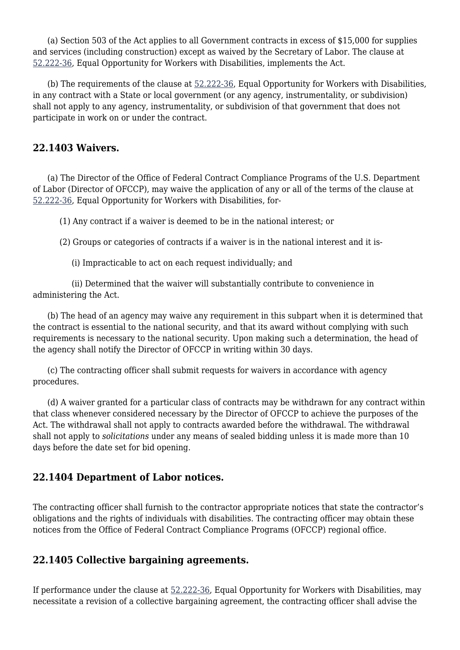(a) Section 503 of the Act applies to all Government contracts in excess of \$15,000 for supplies and services (including construction) except as waived by the Secretary of Labor. The clause at [52.222-36](https://login.acquisition.gov/far/part-52#FAR_52_222_36), Equal Opportunity for Workers with Disabilities, implements the Act.

 (b) The requirements of the clause at [52.222-36](https://login.acquisition.gov/far/part-52#FAR_52_222_36), Equal Opportunity for Workers with Disabilities, in any contract with a State or local government (or any agency, instrumentality, or subdivision) shall not apply to any agency, instrumentality, or subdivision of that government that does not participate in work on or under the contract.

#### **22.1403 Waivers.**

 (a) The Director of the Office of Federal Contract Compliance Programs of the U.S. Department of Labor (Director of OFCCP), may waive the application of any or all of the terms of the clause at [52.222-36](https://login.acquisition.gov/far/part-52#FAR_52_222_36), Equal Opportunity for Workers with Disabilities, for-

(1) Any contract if a waiver is deemed to be in the national interest; or

(2) Groups or categories of contracts if a waiver is in the national interest and it is-

(i) Impracticable to act on each request individually; and

 (ii) Determined that the waiver will substantially contribute to convenience in administering the Act.

 (b) The head of an agency may waive any requirement in this subpart when it is determined that the contract is essential to the national security, and that its award without complying with such requirements is necessary to the national security. Upon making such a determination, the head of the agency shall notify the Director of OFCCP in writing within 30 days.

 (c) The contracting officer shall submit requests for waivers in accordance with agency procedures.

 (d) A waiver granted for a particular class of contracts may be withdrawn for any contract within that class whenever considered necessary by the Director of OFCCP to achieve the purposes of the Act. The withdrawal shall not apply to contracts awarded before the withdrawal. The withdrawal shall not apply to *solicitations* under any means of sealed bidding unless it is made more than 10 days before the date set for bid opening.

## **22.1404 Department of Labor notices.**

The contracting officer shall furnish to the contractor appropriate notices that state the contractor's obligations and the rights of individuals with disabilities. The contracting officer may obtain these notices from the Office of Federal Contract Compliance Programs (OFCCP) regional office.

## **22.1405 Collective bargaining agreements.**

If performance under the clause at [52.222-36](https://login.acquisition.gov/far/part-52#FAR_52_222_36), Equal Opportunity for Workers with Disabilities, may necessitate a revision of a collective bargaining agreement, the contracting officer shall advise the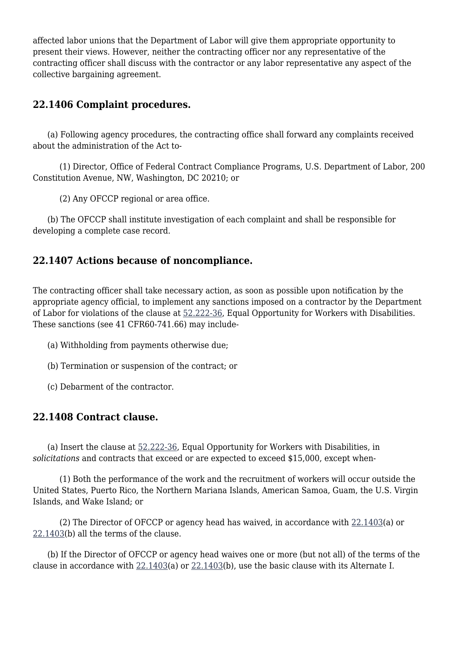affected labor unions that the Department of Labor will give them appropriate opportunity to present their views. However, neither the contracting officer nor any representative of the contracting officer shall discuss with the contractor or any labor representative any aspect of the collective bargaining agreement.

#### **22.1406 Complaint procedures.**

 (a) Following agency procedures, the contracting office shall forward any complaints received about the administration of the Act to-

 (1) Director, Office of Federal Contract Compliance Programs, U.S. Department of Labor, 200 Constitution Avenue, NW, Washington, DC 20210; or

(2) Any OFCCP regional or area office.

 (b) The OFCCP shall institute investigation of each complaint and shall be responsible for developing a complete case record.

## **22.1407 Actions because of noncompliance.**

The contracting officer shall take necessary action, as soon as possible upon notification by the appropriate agency official, to implement any sanctions imposed on a contractor by the Department of Labor for violations of the clause at [52.222-36,](https://login.acquisition.gov/far/part-52#FAR_52_222_36) Equal Opportunity for Workers with Disabilities. These sanctions (see 41 CFR60-741.66) may include-

- (a) Withholding from payments otherwise due;
- (b) Termination or suspension of the contract; or
- (c) Debarment of the contractor.

#### **22.1408 Contract clause.**

 (a) Insert the clause at [52.222-36](https://login.acquisition.gov/far/part-52#FAR_52_222_36), Equal Opportunity for Workers with Disabilities, in *solicitations* and contracts that exceed or are expected to exceed \$15,000, except when-

 (1) Both the performance of the work and the recruitment of workers will occur outside the United States, Puerto Rico, the Northern Mariana Islands, American Samoa, Guam, the U.S. Virgin Islands, and Wake Island; or

 (2) The Director of OFCCP or agency head has waived, in accordance with [22.1403\(](#page--1-0)a) or [22.1403](#page--1-0)(b) all the terms of the clause.

 (b) If the Director of OFCCP or agency head waives one or more (but not all) of the terms of the clause in accordance with [22.1403](#page--1-0)(a) or [22.1403\(](#page--1-0)b), use the basic clause with its Alternate I.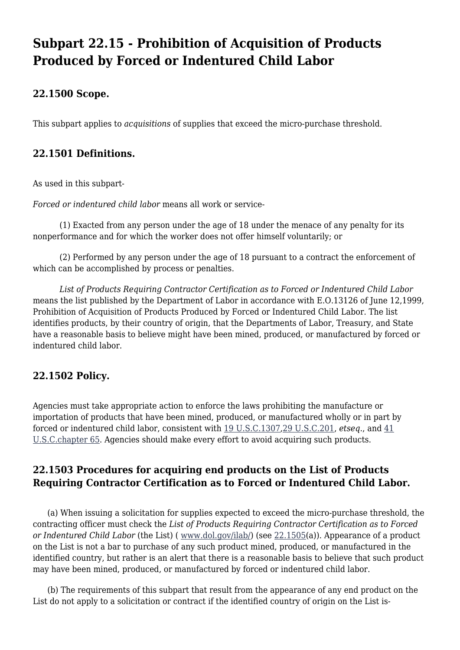# **Subpart 22.15 - Prohibition of Acquisition of Products Produced by Forced or Indentured Child Labor**

## **22.1500 Scope.**

This subpart applies to *acquisitions* of supplies that exceed the micro-purchase threshold.

# **22.1501 Definitions.**

As used in this subpart-

*Forced or indentured child labor* means all work or service-

 (1) Exacted from any person under the age of 18 under the menace of any penalty for its nonperformance and for which the worker does not offer himself voluntarily; or

 (2) Performed by any person under the age of 18 pursuant to a contract the enforcement of which can be accomplished by process or penalties.

 *List of Products Requiring Contractor Certification as to Forced or Indentured Child Labor* means the list published by the Department of Labor in accordance with E.O.13126 of June 12,1999, Prohibition of Acquisition of Products Produced by Forced or Indentured Child Labor. The list identifies products, by their country of origin, that the Departments of Labor, Treasury, and State have a reasonable basis to believe might have been mined, produced, or manufactured by forced or indentured child labor.

## **22.1502 Policy.**

Agencies must take appropriate action to enforce the laws prohibiting the manufacture or importation of products that have been mined, produced, or manufactured wholly or in part by forced or indentured child labor, consistent with [19 U.S.C.1307,29 U.S.C.201,](http://uscode.house.gov/browse.xhtml;jsessionid=114A3287C7B3359E597506A31FC855B3) *etseq*., and [41](http://uscode.house.gov/browse.xhtml;jsessionid=114A3287C7B3359E597506A31FC855B3) [U.S.C.chapter 65](http://uscode.house.gov/browse.xhtml;jsessionid=114A3287C7B3359E597506A31FC855B3). Agencies should make every effort to avoid acquiring such products.

# **22.1503 Procedures for acquiring end products on the List of Products Requiring Contractor Certification as to Forced or Indentured Child Labor.**

 (a) When issuing a solicitation for supplies expected to exceed the micro-purchase threshold, the contracting officer must check the *List of Products Requiring Contractor Certification as to Forced or Indentured Child Labor* (the List) ( [www.dol.gov/ilab/](http://www.dol.gov/ilab/)) (see [22.1505](#page--1-0)(a)). Appearance of a product on the List is not a bar to purchase of any such product mined, produced, or manufactured in the identified country, but rather is an alert that there is a reasonable basis to believe that such product may have been mined, produced, or manufactured by forced or indentured child labor.

 (b) The requirements of this subpart that result from the appearance of any end product on the List do not apply to a solicitation or contract if the identified country of origin on the List is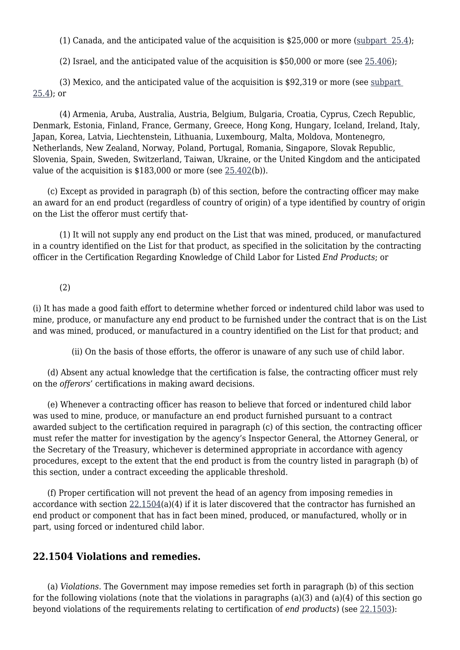(1) Canada, and the anticipated value of the acquisition is \$25,000 or more ([subpart 25.4\)](https://login.acquisition.gov/far/part-25#FAR_Subpart_25_4);

(2) Israel, and the anticipated value of the acquisition is  $$50,000$  or more (see  $25.406$ );

 (3) Mexico, and the anticipated value of the acquisition is \$92,319 or more (see [subpart](https://login.acquisition.gov/far/part-25#FAR_Subpart_25_4)   $25.4$ ); or

 (4) Armenia, Aruba, Australia, Austria, Belgium, Bulgaria, Croatia, Cyprus, Czech Republic, Denmark, Estonia, Finland, France, Germany, Greece, Hong Kong, Hungary, Iceland, Ireland, Italy, Japan, Korea, Latvia, Liechtenstein, Lithuania, Luxembourg, Malta, Moldova, Montenegro, Netherlands, New Zealand, Norway, Poland, Portugal, Romania, Singapore, Slovak Republic, Slovenia, Spain, Sweden, Switzerland, Taiwan, Ukraine, or the United Kingdom and the anticipated value of the acquisition is \$183,000 or more (see [25.402\(](https://login.acquisition.gov/far/part-25#FAR_25_402)b)).

 (c) Except as provided in paragraph (b) of this section, before the contracting officer may make an award for an end product (regardless of country of origin) of a type identified by country of origin on the List the offeror must certify that-

 (1) It will not supply any end product on the List that was mined, produced, or manufactured in a country identified on the List for that product, as specified in the solicitation by the contracting officer in the Certification Regarding Knowledge of Child Labor for Listed *End Products*; or

(2)

(i) It has made a good faith effort to determine whether forced or indentured child labor was used to mine, produce, or manufacture any end product to be furnished under the contract that is on the List and was mined, produced, or manufactured in a country identified on the List for that product; and

(ii) On the basis of those efforts, the offeror is unaware of any such use of child labor.

 (d) Absent any actual knowledge that the certification is false, the contracting officer must rely on the *offerors*' certifications in making award decisions.

 (e) Whenever a contracting officer has reason to believe that forced or indentured child labor was used to mine, produce, or manufacture an end product furnished pursuant to a contract awarded subject to the certification required in paragraph (c) of this section, the contracting officer must refer the matter for investigation by the agency's Inspector General, the Attorney General, or the Secretary of the Treasury, whichever is determined appropriate in accordance with agency procedures, except to the extent that the end product is from the country listed in paragraph (b) of this section, under a contract exceeding the applicable threshold.

 (f) Proper certification will not prevent the head of an agency from imposing remedies in accordance with section [22.1504](#page--1-0)(a)(4) if it is later discovered that the contractor has furnished an end product or component that has in fact been mined, produced, or manufactured, wholly or in part, using forced or indentured child labor.

#### **22.1504 Violations and remedies.**

 (a) *Violations.* The Government may impose remedies set forth in paragraph (b) of this section for the following violations (note that the violations in paragraphs (a)(3) and (a)(4) of this section go beyond violations of the requirements relating to certification of *end products*) (see [22.1503\)](#page--1-0):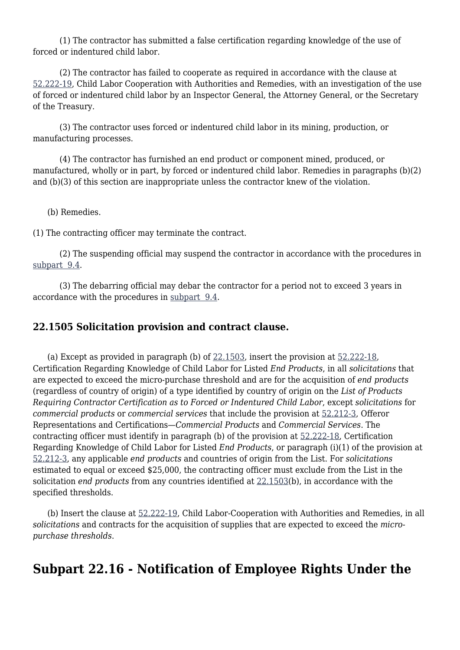(1) The contractor has submitted a false certification regarding knowledge of the use of forced or indentured child labor.

 (2) The contractor has failed to cooperate as required in accordance with the clause at [52.222-19](https://login.acquisition.gov/far/part-52#FAR_52_222_19), Child Labor Cooperation with Authorities and Remedies, with an investigation of the use of forced or indentured child labor by an Inspector General, the Attorney General, or the Secretary of the Treasury.

 (3) The contractor uses forced or indentured child labor in its mining, production, or manufacturing processes.

 (4) The contractor has furnished an end product or component mined, produced, or manufactured, wholly or in part, by forced or indentured child labor. Remedies in paragraphs (b)(2) and (b)(3) of this section are inappropriate unless the contractor knew of the violation.

(b) Remedies.

(1) The contracting officer may terminate the contract.

 (2) The suspending official may suspend the contractor in accordance with the procedures in [subpart 9.4](https://login.acquisition.gov/far/part-9#FAR_Subpart_9_4).

 (3) The debarring official may debar the contractor for a period not to exceed 3 years in accordance with the procedures in [subpart 9.4](https://login.acquisition.gov/far/part-9#FAR_Subpart_9_4).

#### **22.1505 Solicitation provision and contract clause.**

(a) Except as provided in paragraph (b) of  $22.1503$ , insert the provision at  $52.222-18$ , Certification Regarding Knowledge of Child Labor for Listed *End Products*, in all *solicitations* that are expected to exceed the micro-purchase threshold and are for the acquisition of *end products* (regardless of country of origin) of a type identified by country of origin on the *List of Products Requiring Contractor Certification as to Forced or Indentured Child Labor*, except *solicitations* for *commercial products* or *commercial services* that include the provision at [52.212-3,](https://login.acquisition.gov/far/part-52#FAR_52_212_3) Offeror Representations and Certifications—*Commercial Products* and *Commercial Services*. The contracting officer must identify in paragraph (b) of the provision at [52.222-18](https://login.acquisition.gov/far/part-52#FAR_52_222_18), Certification Regarding Knowledge of Child Labor for Listed *End Products*, or paragraph (i)(1) of the provision at [52.212-3,](https://login.acquisition.gov/far/part-52#FAR_52_212_3) any applicable *end products* and countries of origin from the List. For *solicitations* estimated to equal or exceed \$25,000, the contracting officer must exclude from the List in the solicitation *end products* from any countries identified at [22.1503](#page--1-0)(b), in accordance with the specified thresholds.

 (b) Insert the clause at [52.222-19,](https://login.acquisition.gov/far/part-52#FAR_52_222_19) Child Labor-Cooperation with Authorities and Remedies, in all *solicitations* and contracts for the acquisition of supplies that are expected to exceed the *micropurchase thresholds*.

# **Subpart 22.16 - Notification of Employee Rights Under the**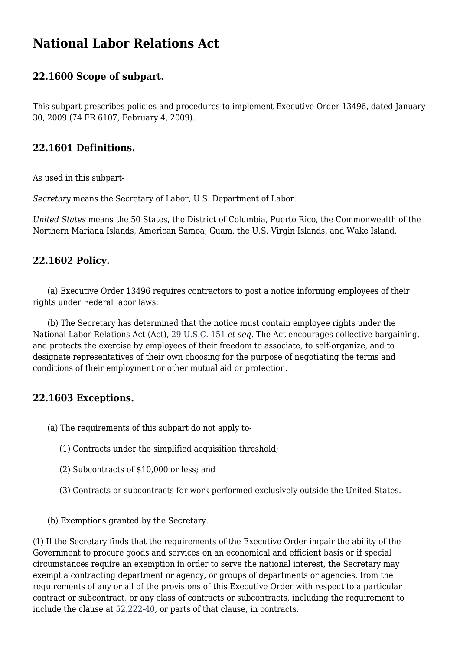# **National Labor Relations Act**

#### **22.1600 Scope of subpart.**

This subpart prescribes policies and procedures to implement Executive Order 13496, dated January 30, 2009 (74 FR 6107, February 4, 2009).

#### **22.1601 Definitions.**

As used in this subpart-

*Secretary* means the Secretary of Labor, U.S. Department of Labor.

*United States* means the 50 States, the District of Columbia, Puerto Rico, the Commonwealth of the Northern Mariana Islands, American Samoa, Guam, the U.S. Virgin Islands, and Wake Island.

#### **22.1602 Policy.**

 (a) Executive Order 13496 requires contractors to post a notice informing employees of their rights under Federal labor laws.

 (b) The Secretary has determined that the notice must contain employee rights under the National Labor Relations Act (Act), [29 U.S.C. 151](http://uscode.house.gov/browse.xhtml;jsessionid=114A3287C7B3359E597506A31FC855B3) *et seq*. The Act encourages collective bargaining, and protects the exercise by employees of their freedom to associate, to self-organize, and to designate representatives of their own choosing for the purpose of negotiating the terms and conditions of their employment or other mutual aid or protection.

#### **22.1603 Exceptions.**

- (a) The requirements of this subpart do not apply to-
	- (1) Contracts under the simplified acquisition threshold;
	- (2) Subcontracts of \$10,000 or less; and
	- (3) Contracts or subcontracts for work performed exclusively outside the United States.
- (b) Exemptions granted by the Secretary.

(1) If the Secretary finds that the requirements of the Executive Order impair the ability of the Government to procure goods and services on an economical and efficient basis or if special circumstances require an exemption in order to serve the national interest, the Secretary may exempt a contracting department or agency, or groups of departments or agencies, from the requirements of any or all of the provisions of this Executive Order with respect to a particular contract or subcontract, or any class of contracts or subcontracts, including the requirement to include the clause at [52.222-40](https://login.acquisition.gov/far/part-52#FAR_52_222_40), or parts of that clause, in contracts.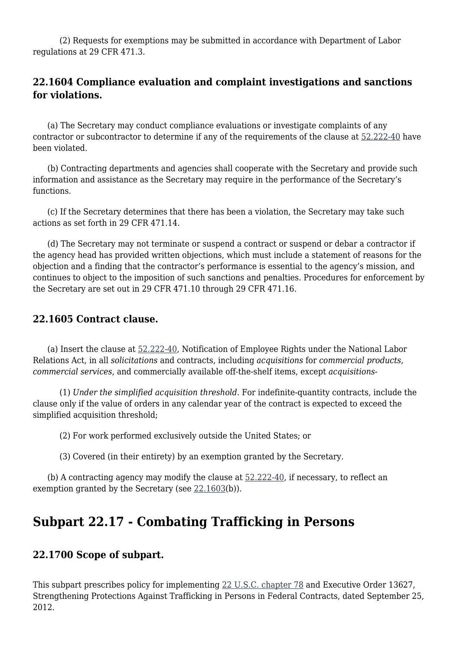(2) Requests for exemptions may be submitted in accordance with Department of Labor regulations at 29 CFR 471.3.

## **22.1604 Compliance evaluation and complaint investigations and sanctions for violations.**

 (a) The Secretary may conduct compliance evaluations or investigate complaints of any contractor or subcontractor to determine if any of the requirements of the clause at [52.222-40](https://login.acquisition.gov/far/part-52#FAR_52_222_40) have been violated.

 (b) Contracting departments and agencies shall cooperate with the Secretary and provide such information and assistance as the Secretary may require in the performance of the Secretary's functions.

 (c) If the Secretary determines that there has been a violation, the Secretary may take such actions as set forth in 29 CFR 471.14.

 (d) The Secretary may not terminate or suspend a contract or suspend or debar a contractor if the agency head has provided written objections, which must include a statement of reasons for the objection and a finding that the contractor's performance is essential to the agency's mission, and continues to object to the imposition of such sanctions and penalties. Procedures for enforcement by the Secretary are set out in 29 CFR 471.10 through 29 CFR 471.16.

#### **22.1605 Contract clause.**

 (a) Insert the clause at [52.222-40](https://login.acquisition.gov/far/part-52#FAR_52_222_40), Notification of Employee Rights under the National Labor Relations Act, in all *solicitations* and contracts, including *acquisitions* for *commercial products*, *commercial services*, and commercially available off-the-shelf items, except *acquisitions*-

 (1) *Under the simplified acquisition threshold*. For indefinite-quantity contracts, include the clause only if the value of orders in any calendar year of the contract is expected to exceed the simplified acquisition threshold;

(2) For work performed exclusively outside the United States; or

(3) Covered (in their entirety) by an exemption granted by the Secretary.

 (b) A contracting agency may modify the clause at [52.222-40,](https://login.acquisition.gov/far/part-52#FAR_52_222_40) if necessary, to reflect an exemption granted by the Secretary (see [22.1603\(](#page--1-0)b)).

# **Subpart 22.17 - Combating Trafficking in Persons**

#### **22.1700 Scope of subpart.**

This subpart prescribes policy for implementing [22 U.S.C. chapter 78](http://uscode.house.gov/browse.xhtml;jsessionid=114A3287C7B3359E597506A31FC855B3) and Executive Order 13627, Strengthening Protections Against Trafficking in Persons in Federal Contracts, dated September 25, 2012.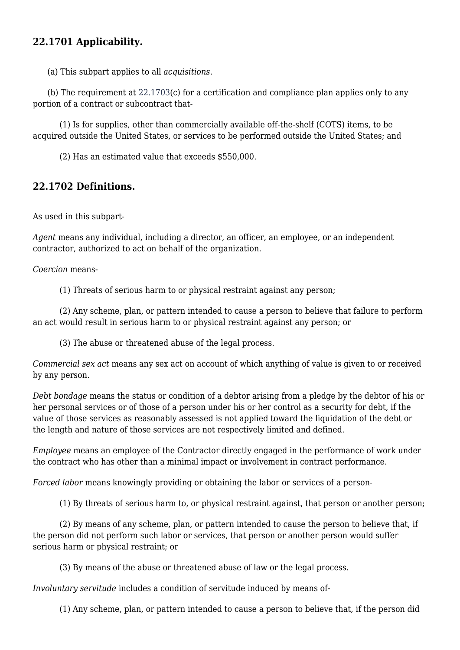# **22.1701 Applicability.**

(a) This subpart applies to all *acquisitions*.

(b) The requirement at  $22.1703(c)$  for a certification and compliance plan applies only to any portion of a contract or subcontract that-

 (1) Is for supplies, other than commercially available off-the-shelf (COTS) items, to be acquired outside the United States, or services to be performed outside the United States; and

(2) Has an estimated value that exceeds \$550,000.

#### **22.1702 Definitions.**

As used in this subpart-

*Agent* means any individual, including a director, an officer, an employee, or an independent contractor, authorized to act on behalf of the organization.

*Coercion* means-

(1) Threats of serious harm to or physical restraint against any person;

 (2) Any scheme, plan, or pattern intended to cause a person to believe that failure to perform an act would result in serious harm to or physical restraint against any person; or

(3) The abuse or threatened abuse of the legal process.

*Commercial sex act* means any sex act on account of which anything of value is given to or received by any person.

*Debt bondage* means the status or condition of a debtor arising from a pledge by the debtor of his or her personal services or of those of a person under his or her control as a security for debt, if the value of those services as reasonably assessed is not applied toward the liquidation of the debt or the length and nature of those services are not respectively limited and defined.

*Employee* means an employee of the Contractor directly engaged in the performance of work under the contract who has other than a minimal impact or involvement in contract performance.

*Forced labor* means knowingly providing or obtaining the labor or services of a person-

(1) By threats of serious harm to, or physical restraint against, that person or another person;

 (2) By means of any scheme, plan, or pattern intended to cause the person to believe that, if the person did not perform such labor or services, that person or another person would suffer serious harm or physical restraint; or

(3) By means of the abuse or threatened abuse of law or the legal process.

*Involuntary servitude* includes a condition of servitude induced by means of-

(1) Any scheme, plan, or pattern intended to cause a person to believe that, if the person did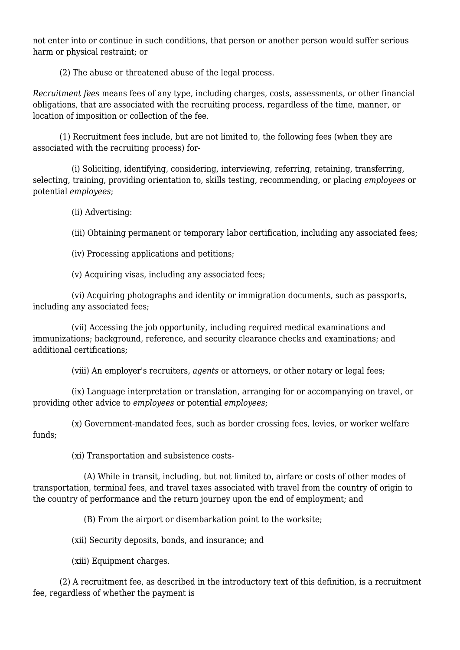not enter into or continue in such conditions, that person or another person would suffer serious harm or physical restraint; or

(2) The abuse or threatened abuse of the legal process.

*Recruitment fees* means fees of any type, including charges, costs, assessments, or other financial obligations, that are associated with the recruiting process, regardless of the time, manner, or location of imposition or collection of the fee.

 (1) Recruitment fees include, but are not limited to, the following fees (when they are associated with the recruiting process) for-

 (i) Soliciting, identifying, considering, interviewing, referring, retaining, transferring, selecting, training, providing orientation to, skills testing, recommending, or placing *employees* or potential *employees*;

(ii) Advertising:

(iii) Obtaining permanent or temporary labor certification, including any associated fees;

(iv) Processing applications and petitions;

(v) Acquiring visas, including any associated fees;

 (vi) Acquiring photographs and identity or immigration documents, such as passports, including any associated fees;

 (vii) Accessing the job opportunity, including required medical examinations and immunizations; background, reference, and security clearance checks and examinations; and additional certifications;

(viii) An employer's recruiters, *agents* or attorneys, or other notary or legal fees;

 (ix) Language interpretation or translation, arranging for or accompanying on travel, or providing other advice to *employees* or potential *employees*;

 (x) Government-mandated fees, such as border crossing fees, levies, or worker welfare funds;

(xi) Transportation and subsistence costs-

 (A) While in transit, including, but not limited to, airfare or costs of other modes of transportation, terminal fees, and travel taxes associated with travel from the country of origin to the country of performance and the return journey upon the end of employment; and

(B) From the airport or disembarkation point to the worksite;

(xii) Security deposits, bonds, and insurance; and

(xiii) Equipment charges.

 (2) A recruitment fee, as described in the introductory text of this definition, is a recruitment fee, regardless of whether the payment is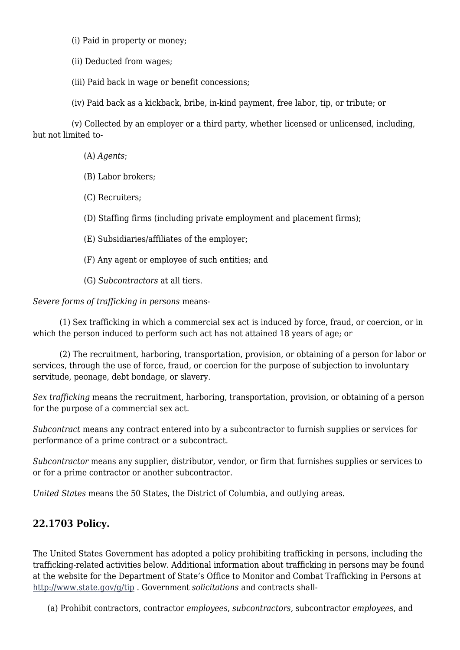(i) Paid in property or money;

(ii) Deducted from wages;

(iii) Paid back in wage or benefit concessions;

(iv) Paid back as a kickback, bribe, in-kind payment, free labor, tip, or tribute; or

 (v) Collected by an employer or a third party, whether licensed or unlicensed, including, but not limited to-

(A) *Agents*;

(B) Labor brokers;

(C) Recruiters;

(D) Staffing firms (including private employment and placement firms);

- (E) Subsidiaries/affiliates of the employer;
- (F) Any agent or employee of such entities; and
- (G) *Subcontractors* at all tiers.

*Severe forms of trafficking in persons* means-

 (1) Sex trafficking in which a commercial sex act is induced by force, fraud, or coercion, or in which the person induced to perform such act has not attained 18 years of age; or

 (2) The recruitment, harboring, transportation, provision, or obtaining of a person for labor or services, through the use of force, fraud, or coercion for the purpose of subjection to involuntary servitude, peonage, debt bondage, or slavery.

*Sex trafficking* means the recruitment, harboring, transportation, provision, or obtaining of a person for the purpose of a commercial sex act.

*Subcontract* means any contract entered into by a subcontractor to furnish supplies or services for performance of a prime contract or a subcontract.

*Subcontractor* means any supplier, distributor, vendor, or firm that furnishes supplies or services to or for a prime contractor or another subcontractor.

*United States* means the 50 States, the District of Columbia, and outlying areas.

## **22.1703 Policy.**

The United States Government has adopted a policy prohibiting trafficking in persons, including the trafficking-related activities below. Additional information about trafficking in persons may be found at the website for the Department of State's Office to Monitor and Combat Trafficking in Persons at <http://www.state.gov/g/tip> . Government *solicitations* and contracts shall-

(a) Prohibit contractors, contractor *employees*, *subcontractors*, subcontractor *employees*, and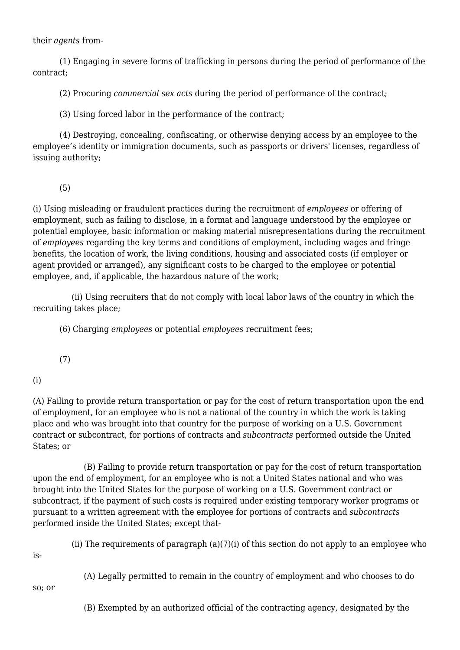their *agents* from-

 (1) Engaging in severe forms of trafficking in persons during the period of performance of the contract;

(2) Procuring *commercial sex acts* during the period of performance of the contract;

(3) Using forced labor in the performance of the contract;

 (4) Destroying, concealing, confiscating, or otherwise denying access by an employee to the employee's identity or immigration documents, such as passports or drivers' licenses, regardless of issuing authority;

(5)

(i) Using misleading or fraudulent practices during the recruitment of *employees* or offering of employment, such as failing to disclose, in a format and language understood by the employee or potential employee, basic information or making material misrepresentations during the recruitment of *employees* regarding the key terms and conditions of employment, including wages and fringe benefits, the location of work, the living conditions, housing and associated costs (if employer or agent provided or arranged), any significant costs to be charged to the employee or potential employee, and, if applicable, the hazardous nature of the work;

 (ii) Using recruiters that do not comply with local labor laws of the country in which the recruiting takes place;

(6) Charging *employees* or potential *employees* recruitment fees;

(7)

(i)

(A) Failing to provide return transportation or pay for the cost of return transportation upon the end of employment, for an employee who is not a national of the country in which the work is taking place and who was brought into that country for the purpose of working on a U.S. Government contract or subcontract, for portions of contracts and *subcontracts* performed outside the United States; or

 (B) Failing to provide return transportation or pay for the cost of return transportation upon the end of employment, for an employee who is not a United States national and who was brought into the United States for the purpose of working on a U.S. Government contract or subcontract, if the payment of such costs is required under existing temporary worker programs or pursuant to a written agreement with the employee for portions of contracts and *subcontracts* performed inside the United States; except that-

is-

(ii) The requirements of paragraph  $(a)(7)(i)$  of this section do not apply to an employee who

(A) Legally permitted to remain in the country of employment and who chooses to do

so; or

(B) Exempted by an authorized official of the contracting agency, designated by the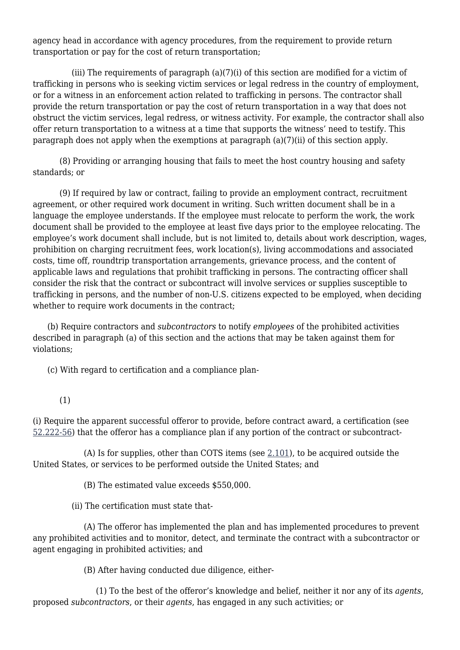agency head in accordance with agency procedures, from the requirement to provide return transportation or pay for the cost of return transportation;

(iii) The requirements of paragraph  $(a)(7)(i)$  of this section are modified for a victim of trafficking in persons who is seeking victim services or legal redress in the country of employment, or for a witness in an enforcement action related to trafficking in persons. The contractor shall provide the return transportation or pay the cost of return transportation in a way that does not obstruct the victim services, legal redress, or witness activity. For example, the contractor shall also offer return transportation to a witness at a time that supports the witness' need to testify. This paragraph does not apply when the exemptions at paragraph (a)(7)(ii) of this section apply.

 (8) Providing or arranging housing that fails to meet the host country housing and safety standards; or

 (9) If required by law or contract, failing to provide an employment contract, recruitment agreement, or other required work document in writing. Such written document shall be in a language the employee understands. If the employee must relocate to perform the work, the work document shall be provided to the employee at least five days prior to the employee relocating. The employee's work document shall include, but is not limited to, details about work description, wages, prohibition on charging recruitment fees, work location(s), living accommodations and associated costs, time off, roundtrip transportation arrangements, grievance process, and the content of applicable laws and regulations that prohibit trafficking in persons. The contracting officer shall consider the risk that the contract or subcontract will involve services or supplies susceptible to trafficking in persons, and the number of non-U.S. citizens expected to be employed, when deciding whether to require work documents in the contract;

 (b) Require contractors and *subcontractors* to notify *employees* of the prohibited activities described in paragraph (a) of this section and the actions that may be taken against them for violations;

(c) With regard to certification and a compliance plan-

#### (1)

(i) Require the apparent successful offeror to provide, before contract award, a certification (see [52.222-56](https://login.acquisition.gov/far/part-52#FAR_52_222_56)) that the offeror has a compliance plan if any portion of the contract or subcontract-

 (A) Is for supplies, other than COTS items (see [2.101\)](https://login.acquisition.gov/far/part-2#FAR_2_101), to be acquired outside the United States, or services to be performed outside the United States; and

(B) The estimated value exceeds \$550,000.

(ii) The certification must state that-

 (A) The offeror has implemented the plan and has implemented procedures to prevent any prohibited activities and to monitor, detect, and terminate the contract with a subcontractor or agent engaging in prohibited activities; and

(B) After having conducted due diligence, either-

 (1) To the best of the offeror's knowledge and belief, neither it nor any of its *agents*, proposed *subcontractors*, or their *agents*, has engaged in any such activities; or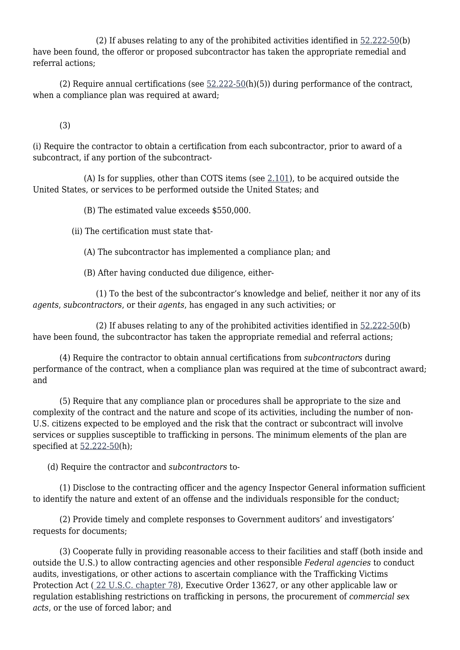(2) If abuses relating to any of the prohibited activities identified in [52.222-50\(](https://login.acquisition.gov/far/part-52#FAR_52_222_50)b) have been found, the offeror or proposed subcontractor has taken the appropriate remedial and referral actions;

(2) Require annual certifications (see  $52.222-50(h)(5)$ ) during performance of the contract, when a compliance plan was required at award;

(3)

(i) Require the contractor to obtain a certification from each subcontractor, prior to award of a subcontract, if any portion of the subcontract-

 (A) Is for supplies, other than COTS items (see [2.101\)](https://login.acquisition.gov/far/part-2#FAR_2_101), to be acquired outside the United States, or services to be performed outside the United States; and

(B) The estimated value exceeds \$550,000.

(ii) The certification must state that-

(A) The subcontractor has implemented a compliance plan; and

(B) After having conducted due diligence, either-

 (1) To the best of the subcontractor's knowledge and belief, neither it nor any of its *agents*, *subcontractors*, or their *agents*, has engaged in any such activities; or

 (2) If abuses relating to any of the prohibited activities identified in [52.222-50\(](https://login.acquisition.gov/far/part-52#FAR_52_222_50)b) have been found, the subcontractor has taken the appropriate remedial and referral actions;

 (4) Require the contractor to obtain annual certifications from *subcontractors* during performance of the contract, when a compliance plan was required at the time of subcontract award; and

 (5) Require that any compliance plan or procedures shall be appropriate to the size and complexity of the contract and the nature and scope of its activities, including the number of non-U.S. citizens expected to be employed and the risk that the contract or subcontract will involve services or supplies susceptible to trafficking in persons. The minimum elements of the plan are specified at [52.222-50](https://login.acquisition.gov/far/part-52#FAR_52_222_50)(h);

(d) Require the contractor and *subcontractors* to-

 (1) Disclose to the contracting officer and the agency Inspector General information sufficient to identify the nature and extent of an offense and the individuals responsible for the conduct;

 (2) Provide timely and complete responses to Government auditors' and investigators' requests for documents;

 (3) Cooperate fully in providing reasonable access to their facilities and staff (both inside and outside the U.S.) to allow contracting agencies and other responsible *Federal agencies* to conduct audits, investigations, or other actions to ascertain compliance with the Trafficking Victims Protection Act (22 U.S.C. chapter 78), Executive Order 13627, or any other applicable law or regulation establishing restrictions on trafficking in persons, the procurement of *commercial sex acts*, or the use of forced labor; and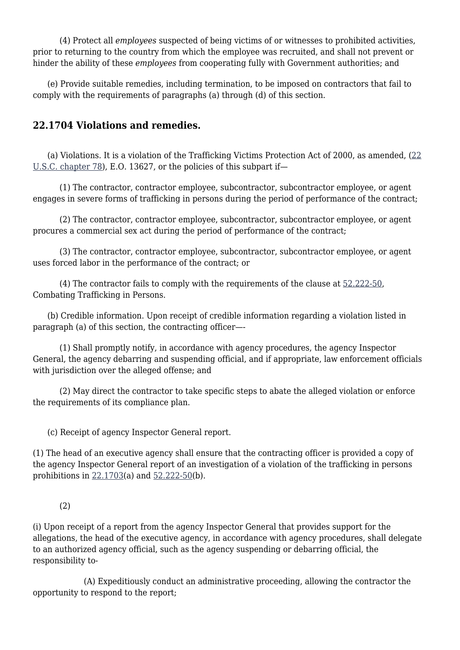(4) Protect all *employees* suspected of being victims of or witnesses to prohibited activities, prior to returning to the country from which the employee was recruited, and shall not prevent or hinder the ability of these *employees* from cooperating fully with Government authorities; and

 (e) Provide suitable remedies, including termination, to be imposed on contractors that fail to comply with the requirements of paragraphs (a) through (d) of this section.

#### **22.1704 Violations and remedies.**

 (a) Violations. It is a violation of the Trafficking Victims Protection Act of 2000, as amended, ([22](http://uscode.house.gov/browse.xhtml;jsessionid=114A3287C7B3359E597506A31FC855B3) [U.S.C. chapter 78](http://uscode.house.gov/browse.xhtml;jsessionid=114A3287C7B3359E597506A31FC855B3)), E.O. 13627, or the policies of this subpart if—

 (1) The contractor, contractor employee, subcontractor, subcontractor employee, or agent engages in severe forms of trafficking in persons during the period of performance of the contract;

 (2) The contractor, contractor employee, subcontractor, subcontractor employee, or agent procures a commercial sex act during the period of performance of the contract;

 (3) The contractor, contractor employee, subcontractor, subcontractor employee, or agent uses forced labor in the performance of the contract; or

 (4) The contractor fails to comply with the requirements of the clause at [52.222-50](https://login.acquisition.gov/far/part-52#FAR_52_222_50), Combating Trafficking in Persons.

 (b) Credible information. Upon receipt of credible information regarding a violation listed in paragraph (a) of this section, the contracting officer—-

 (1) Shall promptly notify, in accordance with agency procedures, the agency Inspector General, the agency debarring and suspending official, and if appropriate, law enforcement officials with jurisdiction over the alleged offense; and

 (2) May direct the contractor to take specific steps to abate the alleged violation or enforce the requirements of its compliance plan.

(c) Receipt of agency Inspector General report.

(1) The head of an executive agency shall ensure that the contracting officer is provided a copy of the agency Inspector General report of an investigation of a violation of the trafficking in persons prohibitions in [22.1703\(](#page--1-0)a) and [52.222-50\(](https://login.acquisition.gov/far/part-52#FAR_52_222_50)b).

#### (2)

(i) Upon receipt of a report from the agency Inspector General that provides support for the allegations, the head of the executive agency, in accordance with agency procedures, shall delegate to an authorized agency official, such as the agency suspending or debarring official, the responsibility to-

 (A) Expeditiously conduct an administrative proceeding, allowing the contractor the opportunity to respond to the report;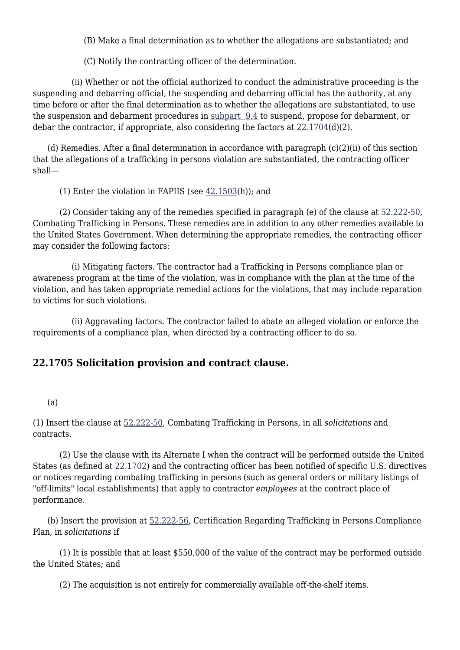- (B) Make a final determination as to whether the allegations are substantiated; and
- (C) Notify the contracting officer of the determination.

 (ii) Whether or not the official authorized to conduct the administrative proceeding is the suspending and debarring official, the suspending and debarring official has the authority, at any time before or after the final determination as to whether the allegations are substantiated, to use the suspension and debarment procedures in [subpart 9.4](https://login.acquisition.gov/far/part-9#FAR_Subpart_9_4) to suspend, propose for debarment, or debar the contractor, if appropriate, also considering the factors at  $22.1704(d)(2)$ .

 (d) Remedies. After a final determination in accordance with paragraph (c)(2)(ii) of this section that the allegations of a trafficking in persons violation are substantiated, the contracting officer shall—

(1) Enter the violation in FAPIIS (see  $42.1503(h)$ ); and

 (2) Consider taking any of the remedies specified in paragraph (e) of the clause at [52.222-50,](https://login.acquisition.gov/far/part-52#FAR_52_222_50) Combating Trafficking in Persons. These remedies are in addition to any other remedies available to the United States Government. When determining the appropriate remedies, the contracting officer may consider the following factors:

 (i) Mitigating factors. The contractor had a Trafficking in Persons compliance plan or awareness program at the time of the violation, was in compliance with the plan at the time of the violation, and has taken appropriate remedial actions for the violations, that may include reparation to victims for such violations.

 (ii) Aggravating factors. The contractor failed to abate an alleged violation or enforce the requirements of a compliance plan, when directed by a contracting officer to do so.

#### **22.1705 Solicitation provision and contract clause.**

#### (a)

(1) Insert the clause at [52.222-50,](https://login.acquisition.gov/far/part-52#FAR_52_222_50) Combating Trafficking in Persons, in all *solicitations* and contracts.

 (2) Use the clause with its Alternate I when the contract will be performed outside the United States (as defined at [22.1702\)](#page--1-0) and the contracting officer has been notified of specific U.S. directives or notices regarding combating trafficking in persons (such as general orders or military listings of "off-limits" local establishments) that apply to contractor *employees* at the contract place of performance.

 (b) Insert the provision at [52.222-56](https://login.acquisition.gov/far/part-52#FAR_52_222_56), Certification Regarding Trafficking in Persons Compliance Plan, in *solicitations* if

 (1) It is possible that at least \$550,000 of the value of the contract may be performed outside the United States; and

(2) The acquisition is not entirely for commercially available off-the-shelf items.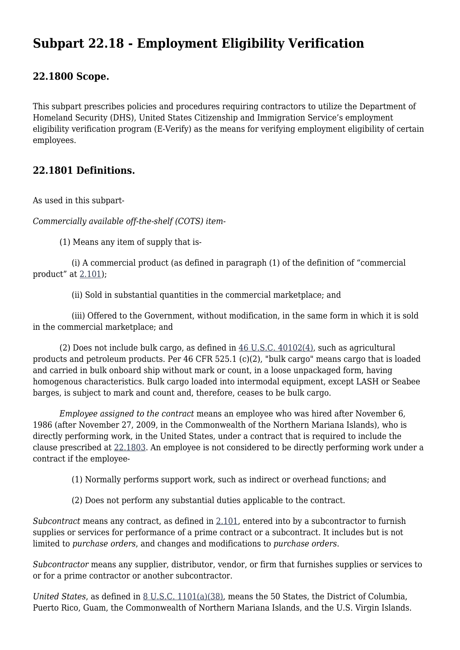# **Subpart 22.18 - Employment Eligibility Verification**

#### **22.1800 Scope.**

This subpart prescribes policies and procedures requiring contractors to utilize the Department of Homeland Security (DHS), United States Citizenship and Immigration Service's employment eligibility verification program (E-Verify) as the means for verifying employment eligibility of certain employees.

#### **22.1801 Definitions.**

As used in this subpart-

*Commercially available off-the-shelf (COTS) item*-

(1) Means any item of supply that is-

 (i) A commercial product (as defined in paragraph (1) of the definition of "commercial product" at  $2.101$ ;

(ii) Sold in substantial quantities in the commercial marketplace; and

 (iii) Offered to the Government, without modification, in the same form in which it is sold in the commercial marketplace; and

(2) Does not include bulk cargo, as defined in  $46$  U.S.C.  $40102(4)$ , such as agricultural products and petroleum products. Per 46 CFR 525.1 (c)(2), "bulk cargo" means cargo that is loaded and carried in bulk onboard ship without mark or count, in a loose unpackaged form, having homogenous characteristics. Bulk cargo loaded into intermodal equipment, except LASH or Seabee barges, is subject to mark and count and, therefore, ceases to be bulk cargo.

 *Employee assigned to the contract* means an employee who was hired after November 6, 1986 (after November 27, 2009, in the Commonwealth of the Northern Mariana Islands), who is directly performing work, in the United States, under a contract that is required to include the clause prescribed at [22.1803.](#page--1-0) An employee is not considered to be directly performing work under a contract if the employee-

(1) Normally performs support work, such as indirect or overhead functions; and

(2) Does not perform any substantial duties applicable to the contract.

*Subcontract* means any contract, as defined in [2.101](https://login.acquisition.gov/far/part-2#FAR_2_101), entered into by a subcontractor to furnish supplies or services for performance of a prime contract or a subcontract. It includes but is not limited to *purchase orders*, and changes and modifications to *purchase orders*.

*Subcontractor* means any supplier, distributor, vendor, or firm that furnishes supplies or services to or for a prime contractor or another subcontractor.

*United States*, as defined in [8 U.S.C. 1101\(a\)\(38\),](http://uscode.house.gov/browse.xhtml;jsessionid=114A3287C7B3359E597506A31FC855B3) means the 50 States, the District of Columbia, Puerto Rico, Guam, the Commonwealth of Northern Mariana Islands, and the U.S. Virgin Islands.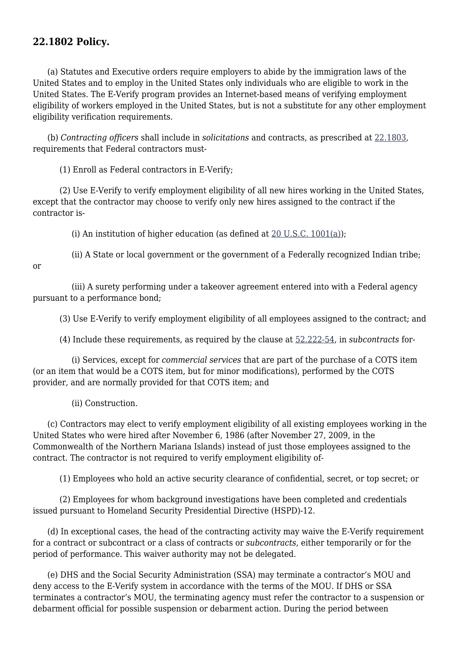#### **22.1802 Policy.**

 (a) Statutes and Executive orders require employers to abide by the immigration laws of the United States and to employ in the United States only individuals who are eligible to work in the United States. The E-Verify program provides an Internet-based means of verifying employment eligibility of workers employed in the United States, but is not a substitute for any other employment eligibility verification requirements.

 (b) *Contracting officers* shall include in *solicitations* and contracts, as prescribed at [22.1803,](#page--1-0) requirements that Federal contractors must-

(1) Enroll as Federal contractors in E-Verify;

 (2) Use E-Verify to verify employment eligibility of all new hires working in the United States, except that the contractor may choose to verify only new hires assigned to the contract if the contractor is-

(i) An institution of higher education (as defined at  $20 \text{ U.S.C. } 1001(a)$ );

(ii) A State or local government or the government of a Federally recognized Indian tribe;

or

 (iii) A surety performing under a takeover agreement entered into with a Federal agency pursuant to a performance bond;

(3) Use E-Verify to verify employment eligibility of all employees assigned to the contract; and

(4) Include these requirements, as required by the clause at [52.222-54,](https://login.acquisition.gov/far/part-52#FAR_52_222_54) in *subcontracts* for-

 (i) Services, except for *commercial services* that are part of the purchase of a COTS item (or an item that would be a COTS item, but for minor modifications), performed by the COTS provider, and are normally provided for that COTS item; and

(ii) Construction.

 (c) Contractors may elect to verify employment eligibility of all existing employees working in the United States who were hired after November 6, 1986 (after November 27, 2009, in the Commonwealth of the Northern Mariana Islands) instead of just those employees assigned to the contract. The contractor is not required to verify employment eligibility of-

(1) Employees who hold an active security clearance of confidential, secret, or top secret; or

 (2) Employees for whom background investigations have been completed and credentials issued pursuant to Homeland Security Presidential Directive (HSPD)-12.

 (d) In exceptional cases, the head of the contracting activity may waive the E-Verify requirement for a contract or subcontract or a class of contracts or *subcontracts*, either temporarily or for the period of performance. This waiver authority may not be delegated.

 (e) DHS and the Social Security Administration (SSA) may terminate a contractor's MOU and deny access to the E-Verify system in accordance with the terms of the MOU. If DHS or SSA terminates a contractor's MOU, the terminating agency must refer the contractor to a suspension or debarment official for possible suspension or debarment action. During the period between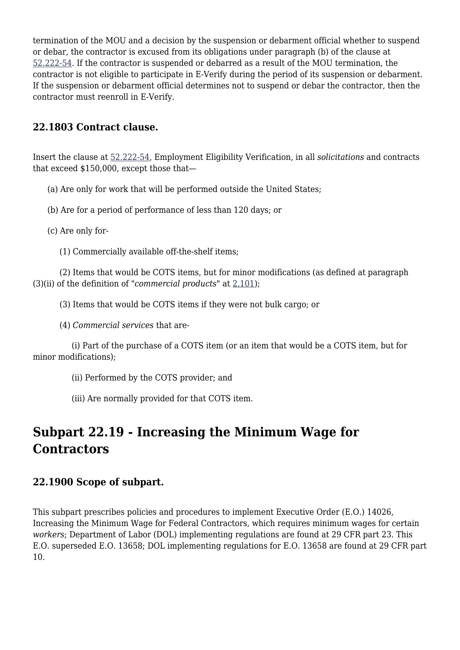termination of the MOU and a decision by the suspension or debarment official whether to suspend or debar, the contractor is excused from its obligations under paragraph (b) of the clause at [52.222-54](https://login.acquisition.gov/far/part-52#FAR_52_222_54). If the contractor is suspended or debarred as a result of the MOU termination, the contractor is not eligible to participate in E-Verify during the period of its suspension or debarment. If the suspension or debarment official determines not to suspend or debar the contractor, then the contractor must reenroll in E-Verify.

# **22.1803 Contract clause.**

Insert the clause at [52.222-54,](https://login.acquisition.gov/far/part-52#FAR_52_222_54) Employment Eligibility Verification, in all *solicitations* and contracts that exceed \$150,000, except those that—

(a) Are only for work that will be performed outside the United States;

- (b) Are for a period of performance of less than 120 days; or
- (c) Are only for-
	- (1) Commercially available off-the-shelf items;

 (2) Items that would be COTS items, but for minor modifications (as defined at paragraph (3)(ii) of the definition of "*commercial products*" at [2.101\)](https://login.acquisition.gov/far/part-2#FAR_2_101);

(3) Items that would be COTS items if they were not bulk cargo; or

(4) *Commercial services* that are-

 (i) Part of the purchase of a COTS item (or an item that would be a COTS item, but for minor modifications);

(ii) Performed by the COTS provider; and

(iii) Are normally provided for that COTS item.

# **Subpart 22.19 - Increasing the Minimum Wage for Contractors**

#### **22.1900 Scope of subpart.**

This subpart prescribes policies and procedures to implement Executive Order (E.O.) 14026, Increasing the Minimum Wage for Federal Contractors, which requires minimum wages for certain *workers*; Department of Labor (DOL) implementing regulations are found at 29 CFR part 23. This E.O. superseded E.O. 13658; DOL implementing regulations for E.O. 13658 are found at 29 CFR part 10.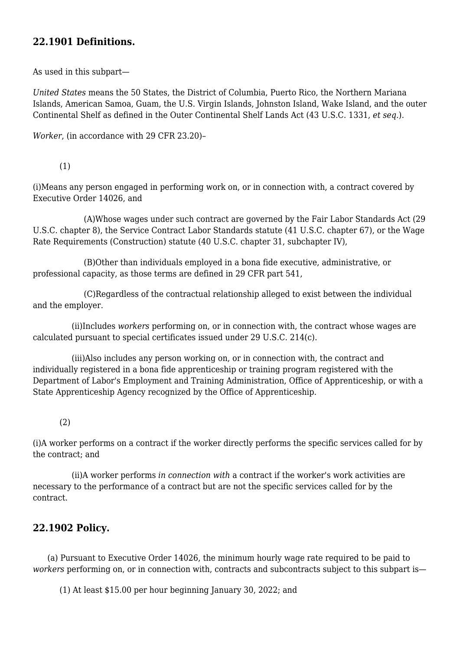# **22.1901 Definitions.**

As used in this subpart—

*United States* means the 50 States, the District of Columbia, Puerto Rico, the Northern Mariana Islands, American Samoa, Guam, the U.S. Virgin Islands, Johnston Island, Wake Island, and the outer Continental Shelf as defined in the Outer Continental Shelf Lands Act (43 U.S.C. 1331, *et seq.*).

*Worker*, (in accordance with 29 CFR 23.20)–

#### (1)

(i)Means any person engaged in performing work on, or in connection with, a contract covered by Executive Order 14026, and

 (A)Whose wages under such contract are governed by the Fair Labor Standards Act (29 U.S.C. chapter 8), the Service Contract Labor Standards statute (41 U.S.C. chapter 67), or the Wage Rate Requirements (Construction) statute (40 U.S.C. chapter 31, subchapter IV),

 (B)Other than individuals employed in a bona fide executive, administrative, or professional capacity, as those terms are defined in 29 CFR part 541,

 (C)Regardless of the contractual relationship alleged to exist between the individual and the employer.

 (ii)Includes *workers* performing on, or in connection with, the contract whose wages are calculated pursuant to special certificates issued under 29 U.S.C. 214(c).

 (iii)Also includes any person working on, or in connection with, the contract and individually registered in a bona fide apprenticeship or training program registered with the Department of Labor's Employment and Training Administration, Office of Apprenticeship, or with a State Apprenticeship Agency recognized by the Office of Apprenticeship.

#### (2)

(i)A worker performs on a contract if the worker directly performs the specific services called for by the contract; and

 (ii)A worker performs *in connection with* a contract if the worker's work activities are necessary to the performance of a contract but are not the specific services called for by the contract.

#### **22.1902 Policy.**

 (a) Pursuant to Executive Order 14026, the minimum hourly wage rate required to be paid to *workers* performing on, or in connection with, contracts and subcontracts subject to this subpart is—

(1) At least \$15.00 per hour beginning January 30, 2022; and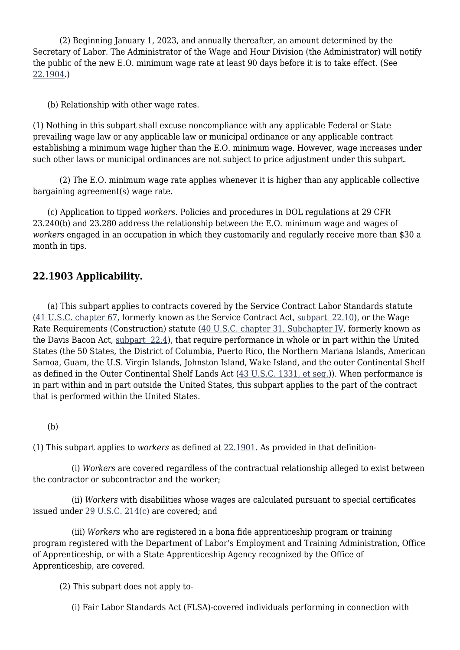(2) Beginning January 1, 2023, and annually thereafter, an amount determined by the Secretary of Labor. The Administrator of the Wage and Hour Division (the Administrator) will notify the public of the new E.O. minimum wage rate at least 90 days before it is to take effect. (See [22.1904](#page--1-0).)

(b) Relationship with other wage rates.

(1) Nothing in this subpart shall excuse noncompliance with any applicable Federal or State prevailing wage law or any applicable law or municipal ordinance or any applicable contract establishing a minimum wage higher than the E.O. minimum wage. However, wage increases under such other laws or municipal ordinances are not subject to price adjustment under this subpart.

 (2) The E.O. minimum wage rate applies whenever it is higher than any applicable collective bargaining agreement(s) wage rate.

 (c) Application to tipped *workers*. Policies and procedures in DOL regulations at 29 CFR 23.240(b) and 23.280 address the relationship between the E.O. minimum wage and wages of *workers* engaged in an occupation in which they customarily and regularly receive more than \$30 a month in tips.

# **22.1903 Applicability.**

 (a) This subpart applies to contracts covered by the Service Contract Labor Standards statute [\(41 U.S.C. chapter 67,](http://uscode.house.gov/) formerly known as the Service Contract Act, [subpart 22.10](#page--1-0)), or the Wage Rate Requirements (Construction) statute [\(40 U.S.C. chapter 31, Subchapter IV,](http://uscode.house.gov/) formerly known as the Davis Bacon Act, [subpart 22.4\)](#page--1-0), that require performance in whole or in part within the United States (the 50 States, the District of Columbia, Puerto Rico, the Northern Mariana Islands, American Samoa, Guam, the U.S. Virgin Islands, Johnston Island, Wake Island, and the outer Continental Shelf as defined in the Outer Continental Shelf Lands Act ([43 U.S.C. 1331, et seq.](http://uscode.house.gov/))). When performance is in part within and in part outside the United States, this subpart applies to the part of the contract that is performed within the United States.

(b)

(1) This subpart applies to *workers* as defined at [22.1901.](#page--1-0) As provided in that definition-

 (i) *Workers* are covered regardless of the contractual relationship alleged to exist between the contractor or subcontractor and the worker;

 (ii) *Workers* with disabilities whose wages are calculated pursuant to special certificates issued under [29 U.S.C. 214\(c\)](http://uscode.house.gov/) are covered; and

 (iii) *Workers* who are registered in a bona fide apprenticeship program or training program registered with the Department of Labor's Employment and Training Administration, Office of Apprenticeship, or with a State Apprenticeship Agency recognized by the Office of Apprenticeship, are covered.

(2) This subpart does not apply to-

(i) Fair Labor Standards Act (FLSA)-covered individuals performing in connection with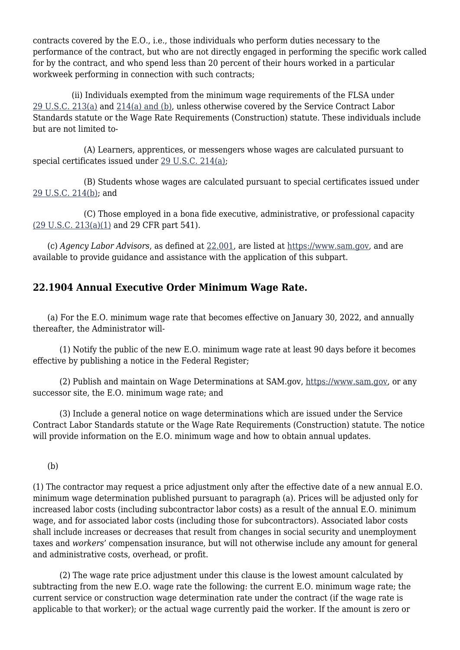contracts covered by the E.O., i.e., those individuals who perform duties necessary to the performance of the contract, but who are not directly engaged in performing the specific work called for by the contract, and who spend less than 20 percent of their hours worked in a particular workweek performing in connection with such contracts;

 (ii) Individuals exempted from the minimum wage requirements of the FLSA under [29 U.S.C. 213\(a\)](http://uscode.house.gov/) and [214\(a\) and \(b\)](http://uscode.house.gov/), unless otherwise covered by the Service Contract Labor Standards statute or the Wage Rate Requirements (Construction) statute. These individuals include but are not limited to-

 (A) Learners, apprentices, or messengers whose wages are calculated pursuant to special certificates issued under [29 U.S.C. 214\(a\);](http://uscode.house.gov/)

 (B) Students whose wages are calculated pursuant to special certificates issued under [29 U.S.C. 214\(b\)](http://uscode.house.gov/browse.xhtml;jsessionid=114A3287C7B3359E597506A31FC855B3); and

 (C) Those employed in a bona fide executive, administrative, or professional capacity [\(29 U.S.C. 213\(a\)\(1\)](http://uscode.house.gov/) and 29 CFR part 541).

 (c) *Agency Labor Advisors*, as defined at [22.001](#page--1-0), are listed at [https://www.sam.gov,](https://www.sam.gov) and are available to provide guidance and assistance with the application of this subpart.

# **22.1904 Annual Executive Order Minimum Wage Rate.**

 (a) For the E.O. minimum wage rate that becomes effective on January 30, 2022, and annually thereafter, the Administrator will-

 (1) Notify the public of the new E.O. minimum wage rate at least 90 days before it becomes effective by publishing a notice in the Federal Register;

 (2) Publish and maintain on Wage Determinations at SAM.gov, [https://www.sam.gov,](https://www.sam.gov) or any successor site, the E.O. minimum wage rate; and

 (3) Include a general notice on wage determinations which are issued under the Service Contract Labor Standards statute or the Wage Rate Requirements (Construction) statute. The notice will provide information on the E.O. minimum wage and how to obtain annual updates.

(b)

(1) The contractor may request a price adjustment only after the effective date of a new annual E.O. minimum wage determination published pursuant to paragraph (a). Prices will be adjusted only for increased labor costs (including subcontractor labor costs) as a result of the annual E.O. minimum wage, and for associated labor costs (including those for subcontractors). Associated labor costs shall include increases or decreases that result from changes in social security and unemployment taxes and *workers*' compensation insurance, but will not otherwise include any amount for general and administrative costs, overhead, or profit.

 (2) The wage rate price adjustment under this clause is the lowest amount calculated by subtracting from the new E.O. wage rate the following: the current E.O. minimum wage rate; the current service or construction wage determination rate under the contract (if the wage rate is applicable to that worker); or the actual wage currently paid the worker. If the amount is zero or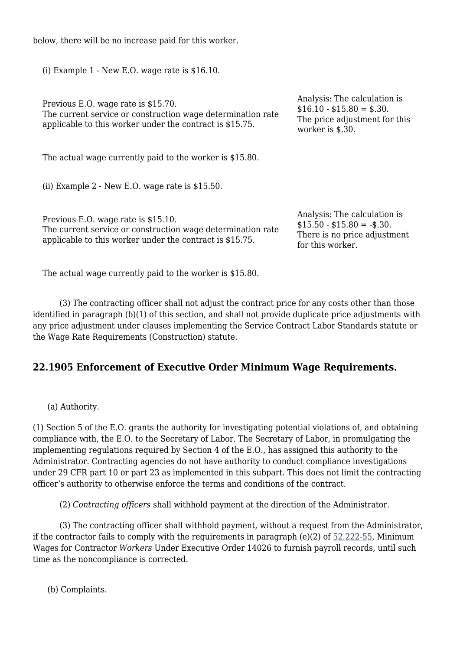below, there will be no increase paid for this worker.

(i) Example 1 - New E.O. wage rate is \$16.10.

Previous E.O. wage rate is \$15.70. The current service or construction wage determination rate applicable to this worker under the contract is \$15.75.

The actual wage currently paid to the worker is \$15.80.

(ii) Example 2 - New E.O. wage rate is \$15.50.

Previous E.O. wage rate is \$15.10. The current service or construction wage determination rate applicable to this worker under the contract is \$15.75.

Analysis: The calculation is  $$15.50 - $15.80 = -\$.30.$ There is no price adjustment for this worker.

Analysis: The calculation is  $$16.10 - $15.80 = $.30.$ The price adjustment for this

worker is \$.30.

The actual wage currently paid to the worker is \$15.80.

 (3) The contracting officer shall not adjust the contract price for any costs other than those identified in paragraph (b)(1) of this section, and shall not provide duplicate price adjustments with any price adjustment under clauses implementing the Service Contract Labor Standards statute or the Wage Rate Requirements (Construction) statute.

#### **22.1905 Enforcement of Executive Order Minimum Wage Requirements.**

(a) Authority.

(1) Section 5 of the E.O. grants the authority for investigating potential violations of, and obtaining compliance with, the E.O. to the Secretary of Labor. The Secretary of Labor, in promulgating the implementing regulations required by Section 4 of the E.O., has assigned this authority to the Administrator. Contracting agencies do not have authority to conduct compliance investigations under 29 CFR part 10 or part 23 as implemented in this subpart. This does not limit the contracting officer's authority to otherwise enforce the terms and conditions of the contract.

(2) *Contracting officers* shall withhold payment at the direction of the Administrator.

 (3) The contracting officer shall withhold payment, without a request from the Administrator, if the contractor fails to comply with the requirements in paragraph (e)(2) of  $52.222-55$ , Minimum Wages for Contractor *Workers* Under Executive Order 14026 to furnish payroll records, until such time as the noncompliance is corrected.

(b) Complaints.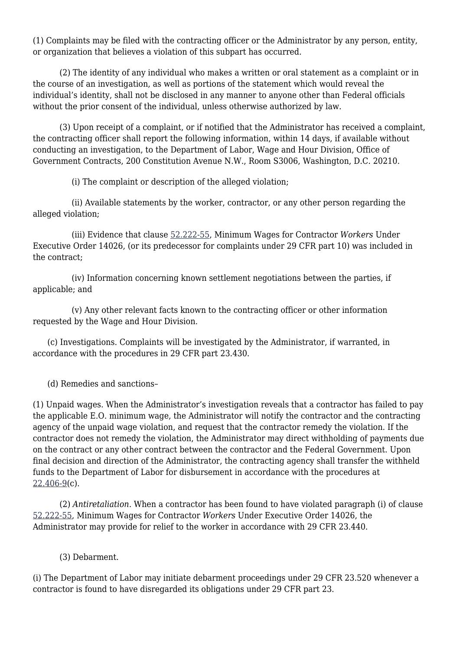(1) Complaints may be filed with the contracting officer or the Administrator by any person, entity, or organization that believes a violation of this subpart has occurred.

 (2) The identity of any individual who makes a written or oral statement as a complaint or in the course of an investigation, as well as portions of the statement which would reveal the individual's identity, shall not be disclosed in any manner to anyone other than Federal officials without the prior consent of the individual, unless otherwise authorized by law.

 (3) Upon receipt of a complaint, or if notified that the Administrator has received a complaint, the contracting officer shall report the following information, within 14 days, if available without conducting an investigation, to the Department of Labor, Wage and Hour Division, Office of Government Contracts, 200 Constitution Avenue N.W., Room S3006, Washington, D.C. 20210.

(i) The complaint or description of the alleged violation;

 (ii) Available statements by the worker, contractor, or any other person regarding the alleged violation;

 (iii) Evidence that clause [52.222-55](https://login.acquisition.gov/far/part-52#FAR_52_222_55), Minimum Wages for Contractor *Workers* Under Executive Order 14026, (or its predecessor for complaints under 29 CFR part 10) was included in the contract;

 (iv) Information concerning known settlement negotiations between the parties, if applicable; and

 (v) Any other relevant facts known to the contracting officer or other information requested by the Wage and Hour Division.

 (c) Investigations. Complaints will be investigated by the Administrator, if warranted, in accordance with the procedures in 29 CFR part 23.430.

(d) Remedies and sanctions–

(1) Unpaid wages. When the Administrator's investigation reveals that a contractor has failed to pay the applicable E.O. minimum wage, the Administrator will notify the contractor and the contracting agency of the unpaid wage violation, and request that the contractor remedy the violation. If the contractor does not remedy the violation, the Administrator may direct withholding of payments due on the contract or any other contract between the contractor and the Federal Government. Upon final decision and direction of the Administrator, the contracting agency shall transfer the withheld funds to the Department of Labor for disbursement in accordance with the procedures at [22.406-9\(](#page--1-0)c).

 (2) *Antiretaliation*. When a contractor has been found to have violated paragraph (i) of clause [52.222-55](https://login.acquisition.gov/far/part-52#FAR_52_222_55), Minimum Wages for Contractor *Workers* Under Executive Order 14026, the Administrator may provide for relief to the worker in accordance with 29 CFR 23.440.

(3) Debarment.

(i) The Department of Labor may initiate debarment proceedings under 29 CFR 23.520 whenever a contractor is found to have disregarded its obligations under 29 CFR part 23.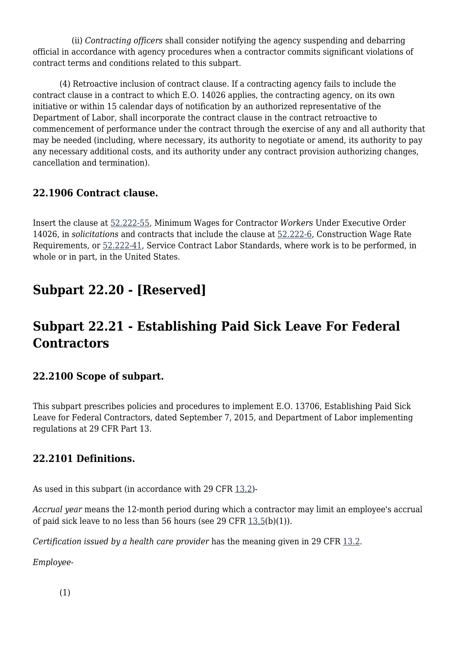(ii) *Contracting officers* shall consider notifying the agency suspending and debarring official in accordance with agency procedures when a contractor commits significant violations of contract terms and conditions related to this subpart.

 (4) Retroactive inclusion of contract clause. If a contracting agency fails to include the contract clause in a contract to which E.O. 14026 applies, the contracting agency, on its own initiative or within 15 calendar days of notification by an authorized representative of the Department of Labor, shall incorporate the contract clause in the contract retroactive to commencement of performance under the contract through the exercise of any and all authority that may be needed (including, where necessary, its authority to negotiate or amend, its authority to pay any necessary additional costs, and its authority under any contract provision authorizing changes, cancellation and termination).

## **22.1906 Contract clause.**

Insert the clause at [52.222-55,](https://login.acquisition.gov/far/part-52#FAR_52_222_55) Minimum Wages for Contractor *Workers* Under Executive Order 14026, in *solicitations* and contracts that include the clause at [52.222-6,](https://login.acquisition.gov/far/part-52#FAR_52_222_6) Construction Wage Rate Requirements, or [52.222-41,](https://login.acquisition.gov/far/part-52#FAR_52_222_41) Service Contract Labor Standards, where work is to be performed, in whole or in part, in the United States.

# **Subpart 22.20 - [Reserved]**

# **Subpart 22.21 - Establishing Paid Sick Leave For Federal Contractors**

# **22.2100 Scope of subpart.**

This subpart prescribes policies and procedures to implement E.O. 13706, Establishing Paid Sick Leave for Federal Contractors, dated September 7, 2015, and Department of Labor implementing regulations at 29 CFR Part 13.

# **22.2101 Definitions.**

As used in this subpart (in accordance with 29 CFR [13.2](https://login.acquisition.gov/far/part-13#FAR_Subpart_13_2))-

*Accrual year* means the 12-month period during which a contractor may limit an employee's accrual of paid sick leave to no less than 56 hours (see 29 CFR [13.5](https://login.acquisition.gov/far/part-13#FAR_Subpart_13_5)(b)(1)).

*Certification issued by a health care provider* has the meaning given in 29 CFR [13.2.](https://login.acquisition.gov/far/part-13#FAR_Subpart_13_2)

*Employee*-

(1)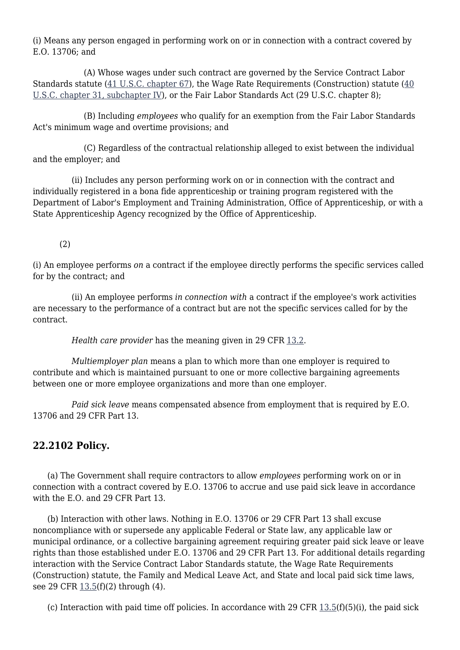(i) Means any person engaged in performing work on or in connection with a contract covered by E.O. 13706; and

 (A) Whose wages under such contract are governed by the Service Contract Labor Standards statute [\(41 U.S.C. chapter 67\)](http://uscode.house.gov/browse.xhtml;jsessionid=114A3287C7B3359E597506A31FC855B3), the Wage Rate Requirements (Construction) statute [\(40](http://uscode.house.gov/browse.xhtml;jsessionid=114A3287C7B3359E597506A31FC855B3) [U.S.C. chapter 31, subchapter IV](http://uscode.house.gov/browse.xhtml;jsessionid=114A3287C7B3359E597506A31FC855B3)), or the Fair Labor Standards Act (29 U.S.C. chapter 8);

 (B) Including *employees* who qualify for an exemption from the Fair Labor Standards Act's minimum wage and overtime provisions; and

 (C) Regardless of the contractual relationship alleged to exist between the individual and the employer; and

 (ii) Includes any person performing work on or in connection with the contract and individually registered in a bona fide apprenticeship or training program registered with the Department of Labor's Employment and Training Administration, Office of Apprenticeship, or with a State Apprenticeship Agency recognized by the Office of Apprenticeship.

(2)

(i) An employee performs *on* a contract if the employee directly performs the specific services called for by the contract; and

 (ii) An employee performs *in connection with* a contract if the employee's work activities are necessary to the performance of a contract but are not the specific services called for by the contract.

*Health care provider* has the meaning given in 29 CFR [13.2](https://login.acquisition.gov/far/part-13#FAR_Subpart_13_2).

 *Multiemployer plan* means a plan to which more than one employer is required to contribute and which is maintained pursuant to one or more collective bargaining agreements between one or more employee organizations and more than one employer.

 *Paid sick leave* means compensated absence from employment that is required by E.O. 13706 and 29 CFR Part 13.

# **22.2102 Policy.**

 (a) The Government shall require contractors to allow *employees* performing work on or in connection with a contract covered by E.O. 13706 to accrue and use paid sick leave in accordance with the E.O. and 29 CFR Part 13.

 (b) Interaction with other laws. Nothing in E.O. 13706 or 29 CFR Part 13 shall excuse noncompliance with or supersede any applicable Federal or State law, any applicable law or municipal ordinance, or a collective bargaining agreement requiring greater paid sick leave or leave rights than those established under E.O. 13706 and 29 CFR Part 13. For additional details regarding interaction with the Service Contract Labor Standards statute, the Wage Rate Requirements (Construction) statute, the Family and Medical Leave Act, and State and local paid sick time laws, see 29 CFR [13.5](https://login.acquisition.gov/far/part-13#FAR_Subpart_13_5)(f)(2) through (4).

(c) Interaction with paid time off policies. In accordance with 29 CFR  $13.5(f)(5)(i)$ , the paid sick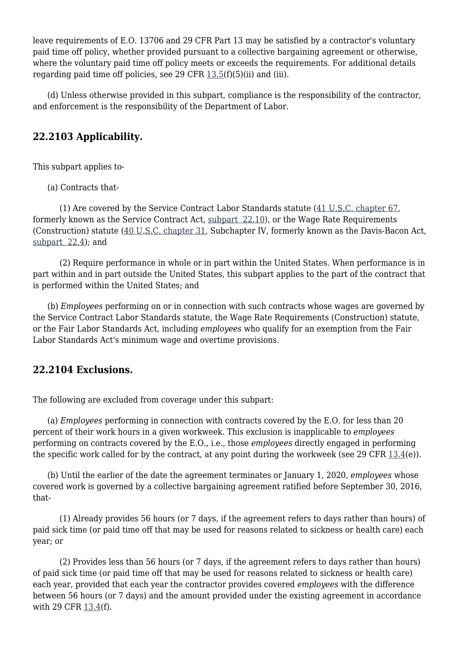leave requirements of E.O. 13706 and 29 CFR Part 13 may be satisfied by a contractor's voluntary paid time off policy, whether provided pursuant to a collective bargaining agreement or otherwise, where the voluntary paid time off policy meets or exceeds the requirements. For additional details regarding paid time off policies, see 29 CFR [13.5\(](https://login.acquisition.gov/far/part-13#FAR_Subpart_13_5)f)(5)(ii) and (iii).

 (d) Unless otherwise provided in this subpart, compliance is the responsibility of the contractor, and enforcement is the responsibility of the Department of Labor.

# **22.2103 Applicability.**

This subpart applies to-

(a) Contracts that-

 (1) Are covered by the Service Contract Labor Standards statute ([41 U.S.C. chapter 67](http://uscode.house.gov/browse.xhtml;jsessionid=114A3287C7B3359E597506A31FC855B3), formerly known as the Service Contract Act, [subpart 22.10\)](#page--1-0), or the Wage Rate Requirements (Construction) statute ([40 U.S.C. chapter 31](http://uscode.house.gov/browse.xhtml;jsessionid=114A3287C7B3359E597506A31FC855B3), Subchapter IV, formerly known as the Davis-Bacon Act, [subpart 22.4\)](#page--1-0); and

 (2) Require performance in whole or in part within the United States. When performance is in part within and in part outside the United States, this subpart applies to the part of the contract that is performed within the United States; and

 (b) *Employees* performing on or in connection with such contracts whose wages are governed by the Service Contract Labor Standards statute, the Wage Rate Requirements (Construction) statute, or the Fair Labor Standards Act, including *employees* who qualify for an exemption from the Fair Labor Standards Act's minimum wage and overtime provisions.

# **22.2104 Exclusions.**

The following are excluded from coverage under this subpart:

 (a) *Employees* performing in connection with contracts covered by the E.O. for less than 20 percent of their work hours in a given workweek. This exclusion is inapplicable to *employees* performing on contracts covered by the E.O., i.e., those *employees* directly engaged in performing the specific work called for by the contract, at any point during the workweek (see 29 CFR [13.4\(](https://login.acquisition.gov/far/part-13#FAR_Subpart_13_4)e)).

 (b) Until the earlier of the date the agreement terminates or January 1, 2020, *employees* whose covered work is governed by a collective bargaining agreement ratified before September 30, 2016, that-

 (1) Already provides 56 hours (or 7 days, if the agreement refers to days rather than hours) of paid sick time (or paid time off that may be used for reasons related to sickness or health care) each year; or

 (2) Provides less than 56 hours (or 7 days, if the agreement refers to days rather than hours) of paid sick time (or paid time off that may be used for reasons related to sickness or health care) each year, provided that each year the contractor provides covered *employees* with the difference between 56 hours (or 7 days) and the amount provided under the existing agreement in accordance with 29 CFR [13.4](https://login.acquisition.gov/far/part-13#FAR_Subpart_13_4)(f).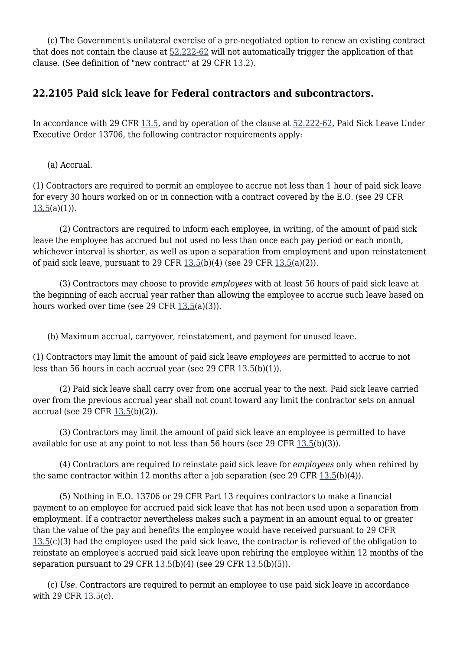(c) The Government's unilateral exercise of a pre-negotiated option to renew an existing contract that does not contain the clause at [52.222-62](https://login.acquisition.gov/far/part-52#FAR_52_222_62) will not automatically trigger the application of that clause. (See definition of "new contract" at 29 CFR [13.2](https://login.acquisition.gov/far/part-13#FAR_Subpart_13_2)).

# **22.2105 Paid sick leave for Federal contractors and subcontractors.**

In accordance with 29 CFR [13.5,](https://login.acquisition.gov/far/part-13#FAR_Subpart_13_5) and by operation of the clause at [52.222-62,](https://login.acquisition.gov/far/part-52#FAR_52_222_62) Paid Sick Leave Under Executive Order 13706, the following contractor requirements apply:

(a) Accrual.

(1) Contractors are required to permit an employee to accrue not less than 1 hour of paid sick leave for every 30 hours worked on or in connection with a contract covered by the E.O. (see 29 CFR  $13.5(a)(1)$  $13.5(a)(1)$ ).

 (2) Contractors are required to inform each employee, in writing, of the amount of paid sick leave the employee has accrued but not used no less than once each pay period or each month, whichever interval is shorter, as well as upon a separation from employment and upon reinstatement of paid sick leave, pursuant to 29 CFR  $13.5(b)(4)$  $13.5(b)(4)$  (see 29 CFR  $13.5(a)(2)$ ).

 (3) Contractors may choose to provide *employees* with at least 56 hours of paid sick leave at the beginning of each accrual year rather than allowing the employee to accrue such leave based on hours worked over time (see 29 CFR  $13.5(a)(3)$ ).

(b) Maximum accrual, carryover, reinstatement, and payment for unused leave.

(1) Contractors may limit the amount of paid sick leave *employees* are permitted to accrue to not less than 56 hours in each accrual year (see 29 CFR  $13.5(b)(1)$  $13.5(b)(1)$ ).

 (2) Paid sick leave shall carry over from one accrual year to the next. Paid sick leave carried over from the previous accrual year shall not count toward any limit the contractor sets on annual accrual (see 29 CFR [13.5](https://login.acquisition.gov/far/part-13#FAR_Subpart_13_5)(b)(2)).

 (3) Contractors may limit the amount of paid sick leave an employee is permitted to have available for use at any point to not less than 56 hours (see 29 CFR [13.5](https://login.acquisition.gov/far/part-13#FAR_Subpart_13_5)(b)(3)).

 (4) Contractors are required to reinstate paid sick leave for *employees* only when rehired by the same contractor within 12 months after a job separation (see 29 CFR  $13.5(b)(4)$  $13.5(b)(4)$ ).

 (5) Nothing in E.O. 13706 or 29 CFR Part 13 requires contractors to make a financial payment to an employee for accrued paid sick leave that has not been used upon a separation from employment. If a contractor nevertheless makes such a payment in an amount equal to or greater than the value of the pay and benefits the employee would have received pursuant to 29 CFR [13.5\(](https://login.acquisition.gov/far/part-13#FAR_Subpart_13_5)c)(3) had the employee used the paid sick leave, the contractor is relieved of the obligation to reinstate an employee's accrued paid sick leave upon rehiring the employee within 12 months of the separation pursuant to 29 CFR  $13.5(b)(4)$  $13.5(b)(4)$  (see 29 CFR  $13.5(b)(5)$ ).

 (c) *Use*. Contractors are required to permit an employee to use paid sick leave in accordance with 29 CFR [13.5](https://login.acquisition.gov/far/part-13#FAR_Subpart_13_5)(c).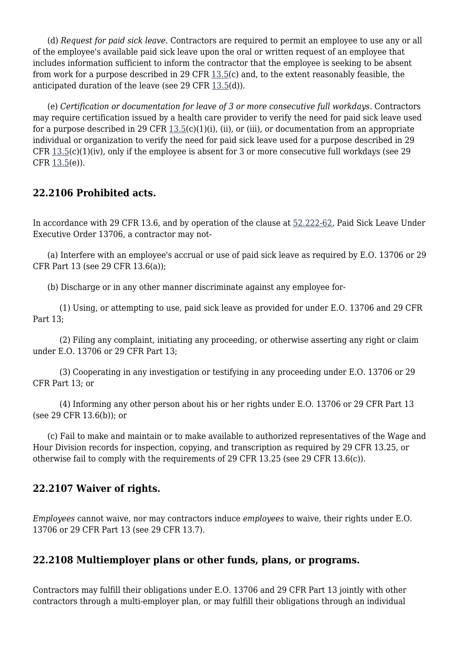(d) *Request for paid sick leave*. Contractors are required to permit an employee to use any or all of the employee's available paid sick leave upon the oral or written request of an employee that includes information sufficient to inform the contractor that the employee is seeking to be absent from work for a purpose described in 29 CFR [13.5\(](https://login.acquisition.gov/far/part-13#FAR_Subpart_13_5)c) and, to the extent reasonably feasible, the anticipated duration of the leave (see 29 CFR  $13.5(d)$ ).

 (e) *Certification or documentation for leave of 3 or more consecutive full workdays*. Contractors may require certification issued by a health care provider to verify the need for paid sick leave used for a purpose described in 29 CFR  $13.5(c)(1)(i)$  $13.5(c)(1)(i)$ , (ii), or (iii), or documentation from an appropriate individual or organization to verify the need for paid sick leave used for a purpose described in 29 CFR [13.5\(](https://login.acquisition.gov/far/part-13#FAR_Subpart_13_5)c)(1)(iv), only if the employee is absent for 3 or more consecutive full workdays (see 29  $CFR 13.5(e)$  $CFR 13.5(e)$  $CFR 13.5(e)$ ).

### **22.2106 Prohibited acts.**

In accordance with 29 CFR 13.6, and by operation of the clause at [52.222-62,](https://login.acquisition.gov/far/part-52#FAR_52_222_62) Paid Sick Leave Under Executive Order 13706, a contractor may not-

 (a) Interfere with an employee's accrual or use of paid sick leave as required by E.O. 13706 or 29 CFR Part 13 (see 29 CFR 13.6(a));

(b) Discharge or in any other manner discriminate against any employee for-

 (1) Using, or attempting to use, paid sick leave as provided for under E.O. 13706 and 29 CFR Part 13;

 (2) Filing any complaint, initiating any proceeding, or otherwise asserting any right or claim under E.O. 13706 or 29 CFR Part 13;

 (3) Cooperating in any investigation or testifying in any proceeding under E.O. 13706 or 29 CFR Part 13; or

 (4) Informing any other person about his or her rights under E.O. 13706 or 29 CFR Part 13 (see 29 CFR 13.6(b)); or

 (c) Fail to make and maintain or to make available to authorized representatives of the Wage and Hour Division records for inspection, copying, and transcription as required by 29 CFR 13.25, or otherwise fail to comply with the requirements of 29 CFR 13.25 (see 29 CFR 13.6(c)).

### **22.2107 Waiver of rights.**

*Employees* cannot waive, nor may contractors induce *employees* to waive, their rights under E.O. 13706 or 29 CFR Part 13 (see 29 CFR 13.7).

### **22.2108 Multiemployer plans or other funds, plans, or programs.**

Contractors may fulfill their obligations under E.O. 13706 and 29 CFR Part 13 jointly with other contractors through a multi-employer plan, or may fulfill their obligations through an individual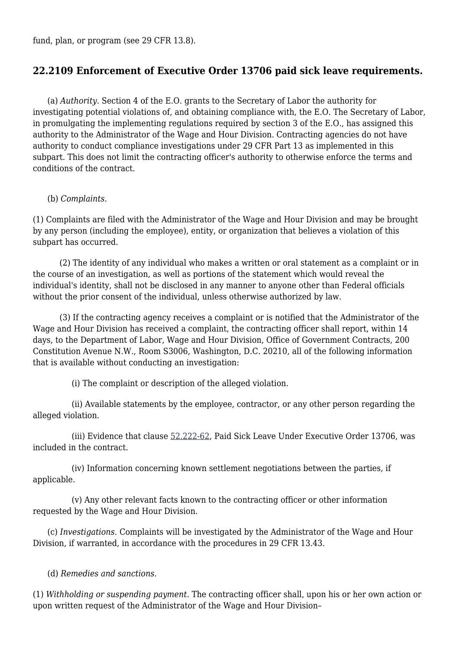fund, plan, or program (see 29 CFR 13.8).

## **22.2109 Enforcement of Executive Order 13706 paid sick leave requirements.**

 (a) *Authority*. Section 4 of the E.O. grants to the Secretary of Labor the authority for investigating potential violations of, and obtaining compliance with, the E.O. The Secretary of Labor, in promulgating the implementing regulations required by section 3 of the E.O., has assigned this authority to the Administrator of the Wage and Hour Division. Contracting agencies do not have authority to conduct compliance investigations under 29 CFR Part 13 as implemented in this subpart. This does not limit the contracting officer's authority to otherwise enforce the terms and conditions of the contract.

(b) *Complaints*.

(1) Complaints are filed with the Administrator of the Wage and Hour Division and may be brought by any person (including the employee), entity, or organization that believes a violation of this subpart has occurred.

 (2) The identity of any individual who makes a written or oral statement as a complaint or in the course of an investigation, as well as portions of the statement which would reveal the individual's identity, shall not be disclosed in any manner to anyone other than Federal officials without the prior consent of the individual, unless otherwise authorized by law.

 (3) If the contracting agency receives a complaint or is notified that the Administrator of the Wage and Hour Division has received a complaint, the contracting officer shall report, within 14 days, to the Department of Labor, Wage and Hour Division, Office of Government Contracts, 200 Constitution Avenue N.W., Room S3006, Washington, D.C. 20210, all of the following information that is available without conducting an investigation:

(i) The complaint or description of the alleged violation.

 (ii) Available statements by the employee, contractor, or any other person regarding the alleged violation.

 (iii) Evidence that clause [52.222-62](https://login.acquisition.gov/far/part-52#FAR_52_222_62), Paid Sick Leave Under Executive Order 13706, was included in the contract.

 (iv) Information concerning known settlement negotiations between the parties, if applicable.

 (v) Any other relevant facts known to the contracting officer or other information requested by the Wage and Hour Division.

 (c) *Investigations*. Complaints will be investigated by the Administrator of the Wage and Hour Division, if warranted, in accordance with the procedures in 29 CFR 13.43.

(d) *Remedies and sanctions*.

(1) *Withholding or suspending payment*. The contracting officer shall, upon his or her own action or upon written request of the Administrator of the Wage and Hour Division–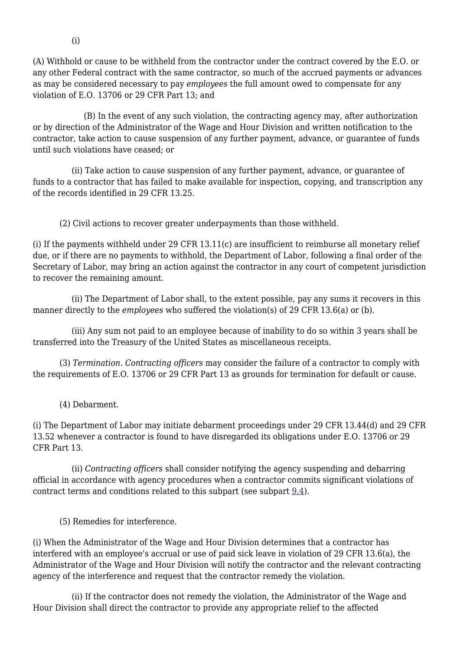(i)

(A) Withhold or cause to be withheld from the contractor under the contract covered by the E.O. or any other Federal contract with the same contractor, so much of the accrued payments or advances as may be considered necessary to pay *employees* the full amount owed to compensate for any violation of E.O. 13706 or 29 CFR Part 13; and

 (B) In the event of any such violation, the contracting agency may, after authorization or by direction of the Administrator of the Wage and Hour Division and written notification to the contractor, take action to cause suspension of any further payment, advance, or guarantee of funds until such violations have ceased; or

 (ii) Take action to cause suspension of any further payment, advance, or guarantee of funds to a contractor that has failed to make available for inspection, copying, and transcription any of the records identified in 29 CFR 13.25.

(2) Civil actions to recover greater underpayments than those withheld.

(i) If the payments withheld under 29 CFR 13.11(c) are insufficient to reimburse all monetary relief due, or if there are no payments to withhold, the Department of Labor, following a final order of the Secretary of Labor, may bring an action against the contractor in any court of competent jurisdiction to recover the remaining amount.

 (ii) The Department of Labor shall, to the extent possible, pay any sums it recovers in this manner directly to the *employees* who suffered the violation(s) of 29 CFR 13.6(a) or (b).

 (iii) Any sum not paid to an employee because of inability to do so within 3 years shall be transferred into the Treasury of the United States as miscellaneous receipts.

 (3) *Termination*. *Contracting officers* may consider the failure of a contractor to comply with the requirements of E.O. 13706 or 29 CFR Part 13 as grounds for termination for default or cause.

(4) Debarment.

(i) The Department of Labor may initiate debarment proceedings under 29 CFR 13.44(d) and 29 CFR 13.52 whenever a contractor is found to have disregarded its obligations under E.O. 13706 or 29 CFR Part 13.

 (ii) *Contracting officers* shall consider notifying the agency suspending and debarring official in accordance with agency procedures when a contractor commits significant violations of contract terms and conditions related to this subpart (see subpart  $9.4$ ).

(5) Remedies for interference.

(i) When the Administrator of the Wage and Hour Division determines that a contractor has interfered with an employee's accrual or use of paid sick leave in violation of 29 CFR 13.6(a), the Administrator of the Wage and Hour Division will notify the contractor and the relevant contracting agency of the interference and request that the contractor remedy the violation.

 (ii) If the contractor does not remedy the violation, the Administrator of the Wage and Hour Division shall direct the contractor to provide any appropriate relief to the affected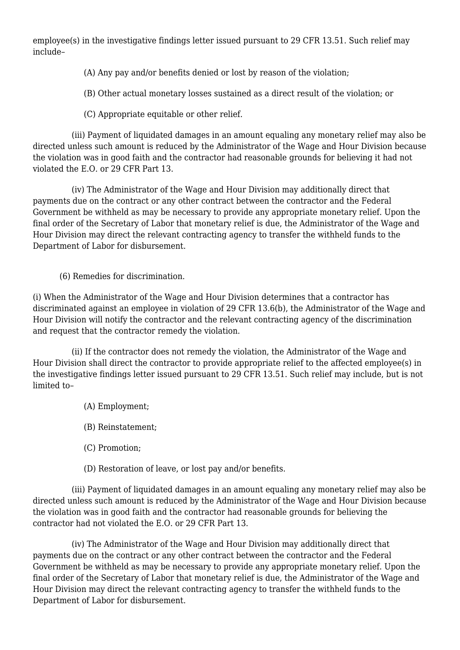employee(s) in the investigative findings letter issued pursuant to 29 CFR 13.51. Such relief may include–

(A) Any pay and/or benefits denied or lost by reason of the violation;

(B) Other actual monetary losses sustained as a direct result of the violation; or

(C) Appropriate equitable or other relief.

 (iii) Payment of liquidated damages in an amount equaling any monetary relief may also be directed unless such amount is reduced by the Administrator of the Wage and Hour Division because the violation was in good faith and the contractor had reasonable grounds for believing it had not violated the E.O. or 29 CFR Part 13.

 (iv) The Administrator of the Wage and Hour Division may additionally direct that payments due on the contract or any other contract between the contractor and the Federal Government be withheld as may be necessary to provide any appropriate monetary relief. Upon the final order of the Secretary of Labor that monetary relief is due, the Administrator of the Wage and Hour Division may direct the relevant contracting agency to transfer the withheld funds to the Department of Labor for disbursement.

(6) Remedies for discrimination.

(i) When the Administrator of the Wage and Hour Division determines that a contractor has discriminated against an employee in violation of 29 CFR 13.6(b), the Administrator of the Wage and Hour Division will notify the contractor and the relevant contracting agency of the discrimination and request that the contractor remedy the violation.

 (ii) If the contractor does not remedy the violation, the Administrator of the Wage and Hour Division shall direct the contractor to provide appropriate relief to the affected employee(s) in the investigative findings letter issued pursuant to 29 CFR 13.51. Such relief may include, but is not limited to–

- (A) Employment;
- (B) Reinstatement;
- (C) Promotion;
- (D) Restoration of leave, or lost pay and/or benefits.

 (iii) Payment of liquidated damages in an amount equaling any monetary relief may also be directed unless such amount is reduced by the Administrator of the Wage and Hour Division because the violation was in good faith and the contractor had reasonable grounds for believing the contractor had not violated the E.O. or 29 CFR Part 13.

 (iv) The Administrator of the Wage and Hour Division may additionally direct that payments due on the contract or any other contract between the contractor and the Federal Government be withheld as may be necessary to provide any appropriate monetary relief. Upon the final order of the Secretary of Labor that monetary relief is due, the Administrator of the Wage and Hour Division may direct the relevant contracting agency to transfer the withheld funds to the Department of Labor for disbursement.